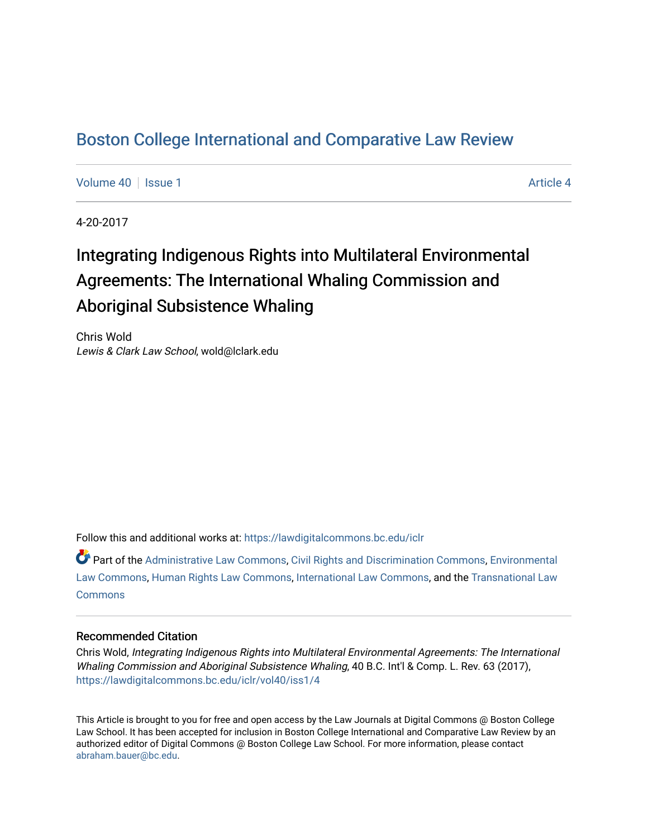# [Boston College International and Comparative Law Review](https://lawdigitalcommons.bc.edu/iclr)

[Volume 40](https://lawdigitalcommons.bc.edu/iclr/vol40) | [Issue 1](https://lawdigitalcommons.bc.edu/iclr/vol40/iss1) [Article 4](https://lawdigitalcommons.bc.edu/iclr/vol40/iss1/4) Article 4

4-20-2017

# Integrating Indigenous Rights into Multilateral Environmental Agreements: The International Whaling Commission and Aboriginal Subsistence Whaling

Chris Wold Lewis & Clark Law School, wold@lclark.edu

Follow this and additional works at: [https://lawdigitalcommons.bc.edu/iclr](https://lawdigitalcommons.bc.edu/iclr?utm_source=lawdigitalcommons.bc.edu%2Ficlr%2Fvol40%2Fiss1%2F4&utm_medium=PDF&utm_campaign=PDFCoverPages) 

Part of the [Administrative Law Commons,](http://network.bepress.com/hgg/discipline/579?utm_source=lawdigitalcommons.bc.edu%2Ficlr%2Fvol40%2Fiss1%2F4&utm_medium=PDF&utm_campaign=PDFCoverPages) [Civil Rights and Discrimination Commons,](http://network.bepress.com/hgg/discipline/585?utm_source=lawdigitalcommons.bc.edu%2Ficlr%2Fvol40%2Fiss1%2F4&utm_medium=PDF&utm_campaign=PDFCoverPages) [Environmental](http://network.bepress.com/hgg/discipline/599?utm_source=lawdigitalcommons.bc.edu%2Ficlr%2Fvol40%2Fiss1%2F4&utm_medium=PDF&utm_campaign=PDFCoverPages)  [Law Commons,](http://network.bepress.com/hgg/discipline/599?utm_source=lawdigitalcommons.bc.edu%2Ficlr%2Fvol40%2Fiss1%2F4&utm_medium=PDF&utm_campaign=PDFCoverPages) [Human Rights Law Commons,](http://network.bepress.com/hgg/discipline/847?utm_source=lawdigitalcommons.bc.edu%2Ficlr%2Fvol40%2Fiss1%2F4&utm_medium=PDF&utm_campaign=PDFCoverPages) [International Law Commons,](http://network.bepress.com/hgg/discipline/609?utm_source=lawdigitalcommons.bc.edu%2Ficlr%2Fvol40%2Fiss1%2F4&utm_medium=PDF&utm_campaign=PDFCoverPages) and the [Transnational Law](http://network.bepress.com/hgg/discipline/1123?utm_source=lawdigitalcommons.bc.edu%2Ficlr%2Fvol40%2Fiss1%2F4&utm_medium=PDF&utm_campaign=PDFCoverPages)  **[Commons](http://network.bepress.com/hgg/discipline/1123?utm_source=lawdigitalcommons.bc.edu%2Ficlr%2Fvol40%2Fiss1%2F4&utm_medium=PDF&utm_campaign=PDFCoverPages)** 

# Recommended Citation

Chris Wold, Integrating Indigenous Rights into Multilateral Environmental Agreements: The International Whaling Commission and Aboriginal Subsistence Whaling, 40 B.C. Int'l & Comp. L. Rev. 63 (2017), [https://lawdigitalcommons.bc.edu/iclr/vol40/iss1/4](https://lawdigitalcommons.bc.edu/iclr/vol40/iss1/4?utm_source=lawdigitalcommons.bc.edu%2Ficlr%2Fvol40%2Fiss1%2F4&utm_medium=PDF&utm_campaign=PDFCoverPages)

This Article is brought to you for free and open access by the Law Journals at Digital Commons @ Boston College Law School. It has been accepted for inclusion in Boston College International and Comparative Law Review by an authorized editor of Digital Commons @ Boston College Law School. For more information, please contact [abraham.bauer@bc.edu.](mailto:abraham.bauer@bc.edu)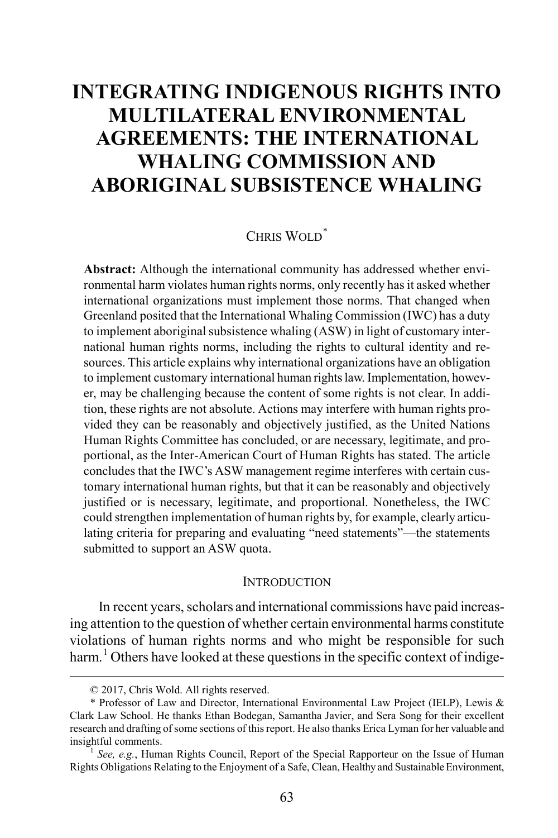# **INTEGRATING INDIGENOUS RIGHTS INTO MULTILATERAL ENVIRONMENTAL AGREEMENTS: THE INTERNATIONAL WHALING COMMISSION AND ABORIGINAL SUBSISTENCE WHALING**

# CHRIS WOLD<sup>[\\*](#page-1-0)</sup>

**Abstract:** Although the international community has addressed whether environmental harm violates human rights norms, only recently has it asked whether international organizations must implement those norms. That changed when Greenland posited that the International Whaling Commission (IWC) has a duty to implement aboriginal subsistence whaling (ASW) in light of customary international human rights norms, including the rights to cultural identity and resources. This article explains why international organizations have an obligation to implement customary international human rights law. Implementation, however, may be challenging because the content of some rights is not clear. In addition, these rights are not absolute. Actions may interfere with human rights provided they can be reasonably and objectively justified, as the United Nations Human Rights Committee has concluded, or are necessary, legitimate, and proportional, as the Inter-American Court of Human Rights has stated. The article concludes that the IWC's ASW management regime interferes with certain customary international human rights, but that it can be reasonably and objectively justified or is necessary, legitimate, and proportional. Nonetheless, the IWC could strengthen implementation of human rights by, for example, clearly articulating criteria for preparing and evaluating "need statements"—the statements submitted to support an ASW quota.

#### **INTRODUCTION**

In recent years, scholars and international commissions have paid increasing attention to the question of whether certain environmental harms constitute violations of human rights norms and who might be responsible for such harm.<sup>[1](#page-1-1)</sup> Others have looked at these questions in the specific context of indige-

 <sup>© 2017,</sup> Chris Wold. All rights reserved.

<span id="page-1-0"></span><sup>\*</sup> Professor of Law and Director, International Environmental Law Project (IELP), Lewis & Clark Law School. He thanks Ethan Bodegan, Samantha Javier, and Sera Song for their excellent research and drafting of some sections of this report. He also thanks Erica Lyman for her valuable and

<span id="page-1-1"></span>See, e.g., Human Rights Council, Report of the Special Rapporteur on the Issue of Human Rights Obligations Relating to the Enjoyment of a Safe, Clean, Healthy and Sustainable Environment,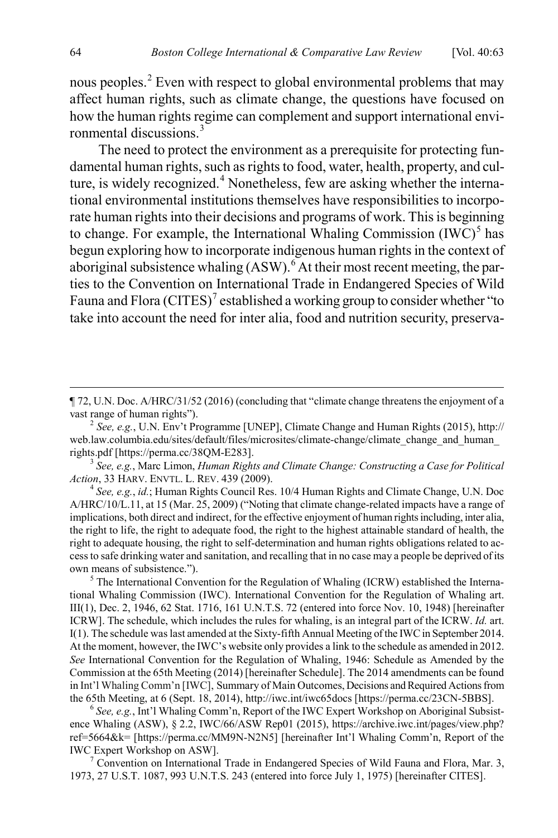nous peoples.<sup>[2](#page-2-0)</sup> Even with respect to global environmental problems that may affect human rights, such as climate change, the questions have focused on how the human rights regime can complement and support international envi-ronmental discussions.<sup>[3](#page-2-1)</sup>

<span id="page-2-7"></span><span id="page-2-6"></span>The need to protect the environment as a prerequisite for protecting fundamental human rights, such as rights to food, water, health, property, and cul-ture, is widely recognized.<sup>[4](#page-2-2)</sup> Nonetheless, few are asking whether the international environmental institutions themselves have responsibilities to incorporate human rights into their decisions and programs of work. This is beginning to change. For example, the International Whaling Commission  $(IW\ddot{C})^5$  $(IW\ddot{C})^5$  has begun exploring how to incorporate indigenous human rights in the context of aboriginal subsistence whaling (ASW).<sup>[6](#page-2-4)</sup> At their most recent meeting, the parties to the Convention on International Trade in Endangered Species of Wild Fauna and Flora  $\left( \text{CITES} \right)^7$  $\left( \text{CITES} \right)^7$  established a working group to consider whether "to take into account the need for inter alia, food and nutrition security, preserva-

<span id="page-2-1"></span>*Action*, 33 HARV. ENVTL. L. REV. <sup>439</sup> (2009). <sup>4</sup> *See, e.g.*, *id.*; Human Rights Council Res. 10/4 Human Rights and Climate Change, U.N. Doc

<span id="page-2-2"></span>A/HRC/10/L.11, at 15 (Mar. 25, 2009) ("Noting that climate change-related impacts have a range of implications, both direct and indirect, for the effective enjoyment of human rights including, inter alia, the right to life, the right to adequate food, the right to the highest attainable standard of health, the right to adequate housing, the right to self-determination and human rights obligations related to access to safe drinking water and sanitation, and recalling that in no case may a people be deprived of its own means of subsistence.").<br><sup>5</sup> The International Convention for the Regulation of Whaling (ICRW) established the Interna-

<span id="page-2-3"></span>tional Whaling Commission (IWC). International Convention for the Regulation of Whaling art. III(1), Dec. 2, 1946, 62 Stat. 1716, 161 U.N.T.S. 72 (entered into force Nov. 10, 1948) [hereinafter ICRW]. The schedule, which includes the rules for whaling, is an integral part of the ICRW. *Id.* art. I(1). The schedule was last amended at the Sixty-fifth Annual Meeting of the IWC in September 2014. At the moment, however, the IWC's website only provides a link to the schedule as amended in 2012. *See* International Convention for the Regulation of Whaling, 1946: Schedule as Amended by the Commission at the 65th Meeting (2014) [hereinafter Schedule]. The 2014 amendments can be found in Int'l Whaling Comm'n [IWC], Summary of Main Outcomes, Decisions and Required Actions from<br>the 65th Meeting, at 6 (Sept. 18, 2014), http://iwc.int/iwc65docs [https://perma.cc/23CN-5BBS].

<span id="page-2-4"></span><sup>6</sup> See, e.g., Int'l Whaling Comm'n, Report of the IWC Expert Workshop on Aboriginal Subsistence Whaling (ASW), § 2.2, IWC/66/ASW Rep01 (2015), https://archive.iwc.int/pages/view.php? ref=5664&k= [https://perma.cc/MM9N-N2N5] [hereinafter Int'l Whaling Comm'n, Report of the IWC Expert Workshop on ASW]. <sup>7</sup> Convention on International Trade in Endangered Species of Wild Fauna and Flora, Mar. 3,

<span id="page-2-5"></span>1973, 27 U.S.T. 1087, 993 U.N.T.S. 243 (entered into force July 1, 1975) [hereinafter CITES].

<span id="page-2-8"></span> <sup>¶ 72,</sup> U.N. Doc. A/HRC/31/52 (2016) (concluding that "climate change threatens the enjoyment of a vast range of human rights"). <sup>2</sup> *See, e.g.*, U.N. Env't Programme [UNEP], Climate Change and Human Rights (2015), http://

<span id="page-2-0"></span>web.law.columbia.edu/sites/default/files/microsites/climate-change/climate\_change\_and\_human rights.pdf [https://perma.cc/38QM-E283]. 3 *See, e.g.*, Marc Limon, *Human Rights and Climate Change: Constructing a Case for Political*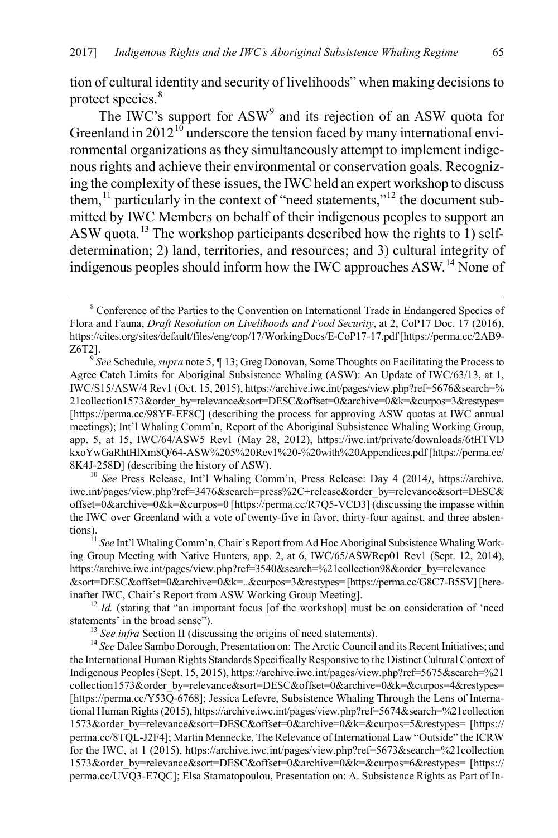tion of cultural identity and security of livelihoods" when making decisions to protect species.<sup>[8](#page-3-0)</sup>

<span id="page-3-10"></span><span id="page-3-8"></span><span id="page-3-7"></span>The IWC's support for ASW<sup>[9](#page-3-1)</sup> and its rejection of an ASW quota for Greenland in  $2012^{10}$  $2012^{10}$  $2012^{10}$  underscore the tension faced by many international environmental organizations as they simultaneously attempt to implement indigenous rights and achieve their environmental or conservation goals. Recognizing the complexity of these issues, the IWC held an expert workshop to discuss them,<sup>[11](#page-3-3)</sup> particularly in the context of "need statements,"<sup>[12](#page-3-4)</sup> the document submitted by IWC Members on behalf of their indigenous peoples to support an ASW quota.<sup>[13](#page-3-5)</sup> The workshop participants described how the rights to 1) selfdetermination; 2) land, territories, and resources; and 3) cultural integrity of indigenous peoples should inform how the IWC approaches ASW.[14](#page-3-6) None of

<span id="page-3-2"></span>iwc.int/pages/view.php?ref=3476&search=press%2C+release&order\_by=relevance&sort=DESC& offset=0&archive=0&k=&curpos=0 [https://perma.cc/R7Q5-VCD3] (discussing the impasse within the IWC over Greenland with a vote of twenty-five in favor, thirty-four against, and three absten-

<span id="page-3-3"></span>tions). <sup>11</sup> *See* Int'l Whaling Comm'n, Chair's Report from Ad Hoc Aboriginal Subsistence Whaling Working Group Meeting with Native Hunters, app. 2, at 6, IWC/65/ASWRep01 Rev1 (Sept. 12, 2014), https://archive.iwc.int/pages/view.php?ref=3540&search=%21collection98&order\_by=relevance &sort=DESC&offset=0&archive=0&k=..&curpos=3&restypes= [https://perma.cc/G8C7-B5SV][here-

<span id="page-3-4"></span>inafter IWC, Chair's Report from ASW Working Group Meeting].<br><sup>12</sup> *Id.* (stating that "an important focus [of the workshop] must be on consideration of 'need statements' in the broad sense").

<span id="page-3-6"></span><span id="page-3-5"></span><sup>13</sup> *See infra* Section II (discussing the origins of need statements). <sup>14</sup> *See* Dalee Sambo Dorough, Presentation on: The Arctic Council and its Recent Initiatives; and the International Human Rights Standards Specifically Responsive to the Distinct Cultural Context of Indigenous Peoples (Sept. 15, 2015), https://archive.iwc.int/pages/view.php?ref=5675&search=%21 collection1573&order\_by=relevance&sort=DESC&offset=0&archive=0&k=&curpos=4&restypes= [https://perma.cc/Y53Q-6768]; Jessica Lefevre, Subsistence Whaling Through the Lens of International Human Rights (2015), https://archive.iwc.int/pages/view.php?ref=5674&search=%21collection 1573&order\_by=relevance&sort=DESC&offset=0&archive=0&k=&curpos=5&restypes= [https:// perma.cc/8TQL-J2F4]; Martin Mennecke, The Relevance of International Law "Outside" the ICRW for the IWC, at 1 (2015), https://archive.iwc.int/pages/view.php?ref=5673&search=%21collection 1573&order\_by=relevance&sort=DESC&offset=0&archive=0&k=&curpos=6&restypes= [https:// perma.cc/UVQ3-E7QC]; Elsa Stamatopoulou, Presentation on: A. Subsistence Rights as Part of In-

<span id="page-3-9"></span><span id="page-3-0"></span><sup>&</sup>lt;sup>8</sup> Conference of the Parties to the Convention on International Trade in Endangered Species of Flora and Fauna, *Draft Resolution on Livelihoods and Food Security*, at 2, CoP17 Doc. 17 (2016), https://cites.org/sites/default/files/eng/cop/17/WorkingDocs/E-CoP17-17.pdf [https://perma.cc/2AB9- Z6T2]. <sup>9</sup> *See* Schedule, *supra* not[e 5,](#page-2-6) ¶ 13; Greg Donovan, Some Thoughts on Facilitating the Process to

<span id="page-3-1"></span>Agree Catch Limits for Aboriginal Subsistence Whaling (ASW): An Update of IWC/63/13, at 1, IWC/S15/ASW/4 Rev1 (Oct. 15, 2015), https://archive.iwc.int/pages/view.php?ref=5676&search=% 21collection1573&order\_by=relevance&sort=DESC&offset=0&archive=0&k=&curpos=3&restypes= [https://perma.cc/98YF-EF8C] (describing the process for approving ASW quotas at IWC annual meetings); Int'l Whaling Comm'n, Report of the Aboriginal Subsistence Whaling Working Group, app. 5, at 15, IWC/64/ASW5 Rev1 (May 28, 2012), https://iwc.int/private/downloads/6tHTVD kxoYwGaRhtHlXm8Q/64-ASW%205%20Rev1%20-%20with%20Appendices.pdf [https://perma.cc/ 8K4J-258D] (describing the history of ASW). 10 *See* Press Release, Int'l Whaling Comm'n, Press Release: Day 4 (2014*)*, https://archive.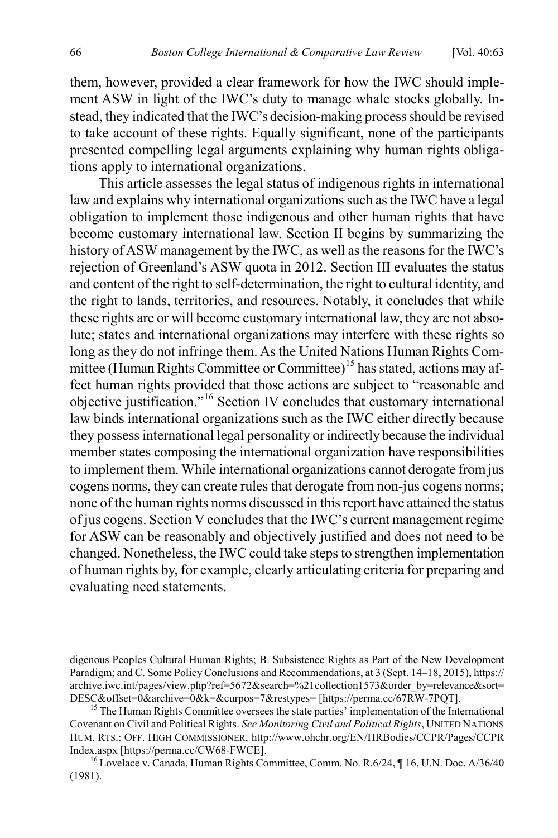them, however, provided a clear framework for how the IWC should implement ASW in light of the IWC's duty to manage whale stocks globally. Instead, they indicated that the IWC's decision-making process should be revised to take account of these rights. Equally significant, none of the participants presented compelling legal arguments explaining why human rights obligations apply to international organizations.

This article assesses the legal status of indigenous rights in international law and explains why international organizations such as the IWC have a legal obligation to implement those indigenous and other human rights that have become customary international law. Section II begins by summarizing the history of ASW management by the IWC, as well as the reasons for the IWC's rejection of Greenland's ASW quota in 2012. Section III evaluates the status and content of the right to self-determination, the right to cultural identity, and the right to lands, territories, and resources. Notably, it concludes that while these rights are or will become customary international law, they are not absolute; states and international organizations may interfere with these rights so long as they do not infringe them. As the United Nations Human Rights Com-mittee (Human Rights Committee or Committee)<sup>[15](#page-4-0)</sup> has stated, actions may affect human rights provided that those actions are subject to "reasonable and objective justification."[16](#page-4-1) Section IV concludes that customary international law binds international organizations such as the IWC either directly because they possess international legal personality or indirectly because the individual member states composing the international organization have responsibilities to implement them. While international organizations cannot derogate from jus cogens norms, they can create rules that derogate from non-jus cogens norms; none of the human rights norms discussed in this report have attained the status of jus cogens. Section V concludes that the IWC's current management regime for ASW can be reasonably and objectively justified and does not need to be changed. Nonetheless, the IWC could take steps to strengthen implementation of human rights by, for example, clearly articulating criteria for preparing and evaluating need statements.

digenous Peoples Cultural Human Rights; B. Subsistence Rights as Part of the New Development Paradigm; and C. Some Policy Conclusions and Recommendations, at 3 (Sept. 14–18, 2015), https:// archive.iwc.int/pages/view.php?ref=5672&search=%21collection1573&order\_by=relevance&sort=<br>DESC&offset=0&archive=0&k=&curpos=7&restypes= [https://perma.cc/67RW-7PQT].

<span id="page-4-0"></span> $<sup>15</sup>$  The Human Rights Committee oversees the state parties' implementation of the International</sup> Covenant on Civil and Political Rights. *See Monitoring Civil and Political Rights*, UNITED NATIONS HUM. RTS.: OFF. HIGH COMMISSIONER, http://www.ohchr.org/EN/HRBodies/CCPR/Pages/CCPR Index.aspx [https://perma.cc/CW68-FWCE].<br><sup>16</sup> Lovelace v. Canada, Human Rights Committee, Comm. No. R.6/24, ¶ 16, U.N. Doc. A/36/40

<span id="page-4-1"></span><sup>(1981).</sup>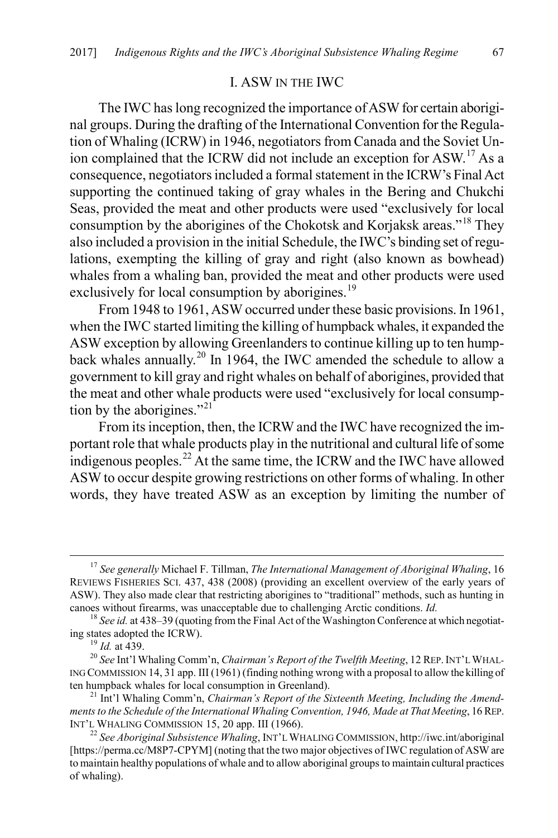#### I. ASW IN THE IWC

The IWC has long recognized the importance of ASW for certain aboriginal groups. During the drafting of the International Convention for the Regulation of Whaling (ICRW) in 1946, negotiators from Canada and the Soviet Un-ion complained that the ICRW did not include an exception for ASW.<sup>[17](#page-5-0)</sup> As a consequence, negotiators included a formal statement in the ICRW's Final Act supporting the continued taking of gray whales in the Bering and Chukchi Seas, provided the meat and other products were used "exclusively for local consumption by the aborigines of the Chokotsk and Korjaksk areas."[18](#page-5-1) They also included a provision in the initial Schedule, the IWC's binding set of regulations, exempting the killing of gray and right (also known as bowhead) whales from a whaling ban, provided the meat and other products were used exclusively for local consumption by aborigines.<sup>[19](#page-5-2)</sup>

From 1948 to 1961, ASW occurred under these basic provisions. In 1961, when the IWC started limiting the killing of humpback whales, it expanded the ASW exception by allowing Greenlanders to continue killing up to ten hump-back whales annually.<sup>[20](#page-5-3)</sup> In 1964, the IWC amended the schedule to allow a government to kill gray and right whales on behalf of aborigines, provided that the meat and other whale products were used "exclusively for local consump-tion by the aborigines."<sup>[21](#page-5-4)</sup>

From its inception, then, the ICRW and the IWC have recognized the important role that whale products play in the nutritional and cultural life of some indigenous peoples.<sup>[22](#page-5-5)</sup> At the same time, the ICRW and the IWC have allowed ASW to occur despite growing restrictions on other forms of whaling. In other words, they have treated ASW as an exception by limiting the number of

<span id="page-5-0"></span> <sup>17</sup> *See generally* Michael F. Tillman, *The International Management of Aboriginal Whaling*, 16 REVIEWS FISHERIES SCI. 437, 438 (2008) (providing an excellent overview of the early years of ASW). They also made clear that restricting aborigines to "traditional" methods, such as hunting in canoes without firearms, was unacceptable due to challenging Arctic conditions. *Id.* <sup>18</sup> *See id.* at 438–39 (quoting from the Final Act of the Washington Conference at which negotiat-

<span id="page-5-1"></span>ing states adopted the ICRW).<br> $^{19}$  *Id.* at 439.

<span id="page-5-3"></span><span id="page-5-2"></span><sup>&</sup>lt;sup>20</sup> See Int'l Whaling Comm'n, *Chairman's Report of the Twelfth Meeting*, 12 REP. INT'L WHAL-ING COMMISSION 14, 31 app. III (1961) (finding nothing wrong with a proposal to allow the killing of ten humpback whales for local consumption in Greenland). <sup>21</sup> Int'l Whaling Comm'n, *Chairman's Report of the Sixteenth Meeting, Including the Amend-*

<span id="page-5-4"></span>*ments to the Schedule of the International Whaling Convention, 1946, Made at That Meeting*, 16 REP. INT'L WHALING COMMISSION 15, 20 app. III (1966). <sup>22</sup> *See Aboriginal Subsistence Whaling*, INT'L WHALING COMMISSION, http://iwc.int/aboriginal

<span id="page-5-5"></span><sup>[</sup>https://perma.cc/M8P7-CPYM] (noting that the two major objectives of IWC regulation of ASW are to maintain healthy populations of whale and to allow aboriginal groups to maintain cultural practices of whaling).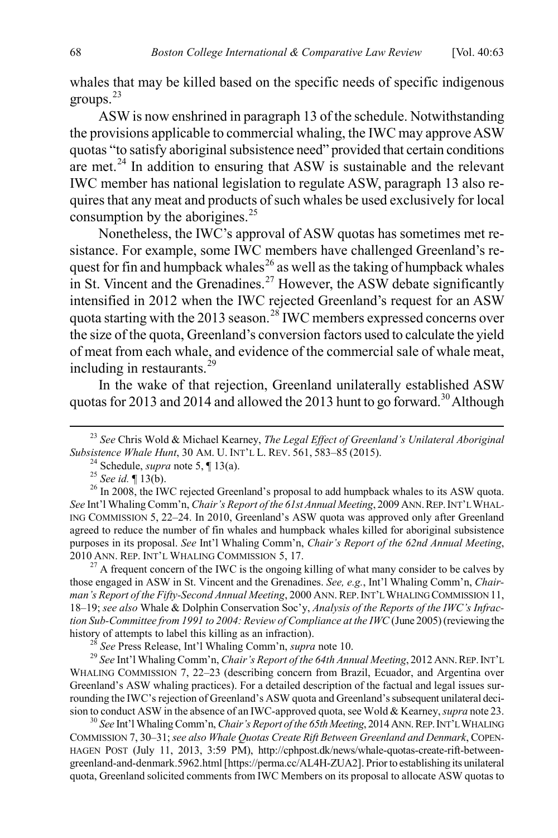<span id="page-6-0"></span>whales that may be killed based on the specific needs of specific indigenous groups.[23](#page-6-1)

ASW is now enshrined in paragraph 13 of the schedule. Notwithstanding the provisions applicable to commercial whaling, the IWC may approve ASW quotas "to satisfy aboriginal subsistence need" provided that certain conditions are met. $24$  In addition to ensuring that ASW is sustainable and the relevant IWC member has national legislation to regulate ASW, paragraph 13 also requires that any meat and products of such whales be used exclusively for local consumption by the aborigines. $25$ 

<span id="page-6-11"></span>Nonetheless, the IWC's approval of ASW quotas has sometimes met resistance. For example, some IWC members have challenged Greenland's re-quest for fin and humpback whales<sup>[26](#page-6-4)</sup> as well as the taking of humpback whales in St. Vincent and the Grenadines.<sup>[27](#page-6-5)</sup> However, the ASW debate significantly intensified in 2012 when the IWC rejected Greenland's request for an ASW quota starting with the 2013 season.<sup>[28](#page-6-6)</sup> IWC members expressed concerns over the size of the quota, Greenland's conversion factors used to calculate the yield of meat from each whale, and evidence of the commercial sale of whale meat, including in restaurants. $^{29}$  $^{29}$  $^{29}$ 

<span id="page-6-9"></span>In the wake of that rejection, Greenland unilaterally established ASW quotas for 2013 and 2014 and allowed the 2013 hunt to go forward.<sup>[30](#page-6-8)</sup> Although

<span id="page-6-5"></span>those engaged in ASW in St. Vincent and the Grenadines. *See, e.g.*, Int'l Whaling Comm'n, *Chair*man's Report of the Fifty-Second Annual Meeting, 2000 ANN. REP. INT'L WHALING COMMISSION 11, 18–19; *see also* Whale & Dolphin Conservation Soc'y, *Analysis of the Reports of the IWC's Infraction Sub-Committee from 1991 to 2004: Review of Compliance at the IWC* (June 2005) (reviewing the history of attempts to label this killing as an infraction).<br><sup>28</sup> See Press Release, Int'l Whaling Comm'n, *supra* note 10.<br><sup>29</sup> See Int'l Whaling Comm'n, *Chair's Report of the 64th Annual Meeting*, 2012 ANN. REP. INT'L

<span id="page-6-7"></span><span id="page-6-6"></span>WHALING COMMISSION 7, 22–23 (describing concern from Brazil, Ecuador, and Argentina over Greenland's ASW whaling practices). For a detailed description of the factual and legal issues surrounding the IWC's rejection of Greenland's ASW quota and Greenland's subsequent unilateral decision to conduct ASW in the absence of an IWC-approved quota, see Wold & Kearney, *supra* not[e 23.](#page-6-0) <sup>30</sup> *See* Int'l Whaling Comm'n, *Chair's Report of the 65th Meeting*, 2014 ANN. REP. INT'L WHALING

<span id="page-6-8"></span>COMMISSION 7, 30–31; *see also Whale Quotas Create Rift Between Greenland and Denmark*, COPEN-HAGEN POST (July 11, 2013, 3:59 PM), http://cphpost.dk/news/whale-quotas-create-rift-betweengreenland-and-denmark.5962.html [https://perma.cc/AL4H-ZUA2]. Prior to establishing its unilateral quota, Greenland solicited comments from IWC Members on its proposal to allocate ASW quotas to

<span id="page-6-1"></span><sup>&</sup>lt;sup>23</sup> *See* Chris Wold & Michael Kearney, *The Legal Effect of Greenland's Unilateral Aboriginal Subsistence Whale Hunt*, 30 AM. U. INT'L L. REV. 561, 583–85 (2015).

<span id="page-6-10"></span>

<span id="page-6-4"></span><span id="page-6-3"></span><span id="page-6-2"></span><sup>&</sup>lt;sup>24</sup> Schedule, *supra* not[e 5,](#page-2-6)  $\P$  13(a).<br><sup>25</sup> See id.  $\P$  13(b).<br><sup>25</sup> See id.  $\P$  13(b).<br><sup>26</sup> In 2008, the IWC rejected Greenland's proposal to add humpback whales to its ASW quota. *See* Int'l Whaling Comm'n, *Chair's Report of the 61st Annual Meeting*, 2009 ANN.REP.INT'L WHAL-ING COMMISSION 5, 22–24. In 2010, Greenland's ASW quota was approved only after Greenland agreed to reduce the number of fin whales and humpback whales killed for aboriginal subsistence purposes in its proposal. *See* Int'l Whaling Comm'n, *Chair's Report of the 62nd Annual Meeting*, 2010 ANN. REP. INT'L WHALING COMMISSION 5, 17.<br><sup>27</sup> A frequent concern of the IWC is the ongoing killing of what many consider to be calves by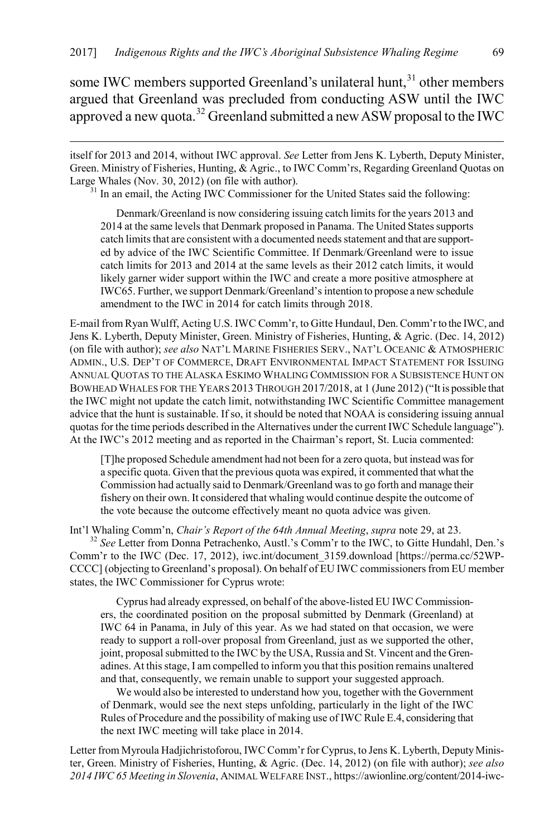some IWC members supported Greenland's unilateral hunt, $31$  other members argued that Greenland was precluded from conducting ASW until the IWC approved a new quota.<sup>[32](#page-7-1)</sup> Greenland submitted a new ASW proposal to the IWC

<span id="page-7-0"></span> itself for 2013 and 2014, without IWC approval. *See* Letter from Jens K. Lyberth, Deputy Minister, Green. Ministry of Fisheries, Hunting, & Agric., to IWC Comm'rs, Regarding Greenland Quotas on Large Whales (Nov. 30, 2012) (on file with author).

<sup>31</sup> In an email, the Acting IWC Commissioner for the United States said the following:

Denmark/Greenland is now considering issuing catch limits for the years 2013 and 2014 at the same levels that Denmark proposed in Panama. The United States supports catch limits that are consistent with a documented needs statement and that are supported by advice of the IWC Scientific Committee. If Denmark/Greenland were to issue catch limits for 2013 and 2014 at the same levels as their 2012 catch limits, it would likely garner wider support within the IWC and create a more positive atmosphere at IWC65. Further, we support Denmark/Greenland's intention to propose a new schedule amendment to the IWC in 2014 for catch limits through 2018.

E-mail from Ryan Wulff, Acting U.S. IWC Comm'r, to Gitte Hundaul, Den.Comm'r to the IWC, and Jens K. Lyberth, Deputy Minister, Green. Ministry of Fisheries, Hunting, & Agric. (Dec. 14, 2012) (on file with author); *see also* NAT'L MARINE FISHERIES SERV., NAT'L OCEANIC & ATMOSPHERIC ADMIN., U.S. DEP'T OF COMMERCE, DRAFT ENVIRONMENTAL IMPACT STATEMENT FOR ISSUING ANNUAL QUOTAS TO THE ALASKA ESKIMO WHALING COMMISSION FOR A SUBSISTENCE HUNT ON BOWHEAD WHALES FOR THE YEARS 2013 THROUGH 2017/2018, at 1 (June 2012) ("It is possible that the IWC might not update the catch limit, notwithstanding IWC Scientific Committee management advice that the hunt is sustainable. If so, it should be noted that NOAA is considering issuing annual quotas for the time periods described in the Alternatives under the current IWC Schedule language"). At the IWC's 2012 meeting and as reported in the Chairman's report, St. Lucia commented:

[T]he proposed Schedule amendment had not been for a zero quota, but instead was for a specific quota. Given that the previous quota was expired, it commented that what the Commission had actually said to Denmark/Greenland was to go forth and manage their fishery on their own. It considered that whaling would continue despite the outcome of the vote because the outcome effectively meant no quota advice was given.

<span id="page-7-1"></span>Int'l Whaling Comm'n, *Chair's Report of the 64th Annual Meeting*, *supra* not[e 29,](#page-6-9) at 23. <sup>32</sup> *See* Letter from Donna Petrachenko, Austl.'s Comm'r to the IWC, to Gitte Hundahl, Den.'s Comm'r to the IWC (Dec. 17, 2012), iwc.int/document\_3159.download [https://perma.cc/52WP-CCCC] (objecting to Greenland's proposal). On behalf of EU IWC commissioners from EU member states, the IWC Commissioner for Cyprus wrote:

Cyprus had already expressed, on behalf of the above-listed EU IWC Commissioners, the coordinated position on the proposal submitted by Denmark (Greenland) at IWC 64 in Panama, in July of this year. As we had stated on that occasion, we were ready to support a roll-over proposal from Greenland, just as we supported the other, joint, proposal submitted to the IWC by the USA, Russia and St. Vincent and the Grenadines. At this stage, I am compelled to inform you that this position remains unaltered and that, consequently, we remain unable to support your suggested approach.

We would also be interested to understand how you, together with the Government of Denmark, would see the next steps unfolding, particularly in the light of the IWC Rules of Procedure and the possibility of making use of IWC Rule E.4, considering that the next IWC meeting will take place in 2014.

Letter from Myroula Hadjichristoforou, IWC Comm'r for Cyprus, to Jens K. Lyberth, Deputy Minister, Green. Ministry of Fisheries, Hunting, & Agric. (Dec. 14, 2012) (on file with author); *see also 2014 IWC 65 Meeting in Slovenia*, ANIMAL WELFARE INST., https://awionline.org/content/2014-iwc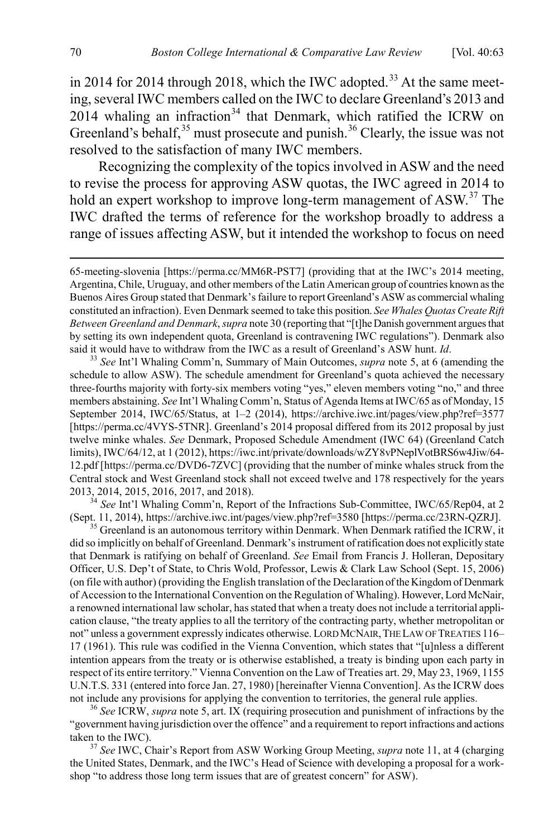in 2014 for 2014 through 2018, which the IWC adopted.<sup>[33](#page-8-0)</sup> At the same meeting, several IWC members called on the IWC to declare Greenland's 2013 and  $2014$  whaling an infraction<sup>[34](#page-8-1)</sup> that Denmark, which ratified the ICRW on Greenland's behalf,  $35$  must prosecute and punish.  $36$  Clearly, the issue was not resolved to the satisfaction of many IWC members.

<span id="page-8-5"></span>Recognizing the complexity of the topics involved in ASW and the need to revise the process for approving ASW quotas, the IWC agreed in 2014 to hold an expert workshop to improve long-term management of ASW.<sup>[37](#page-8-4)</sup> The IWC drafted the terms of reference for the workshop broadly to address a range of issues affecting ASW, but it intended the workshop to focus on need

<span id="page-8-0"></span><sup>33</sup> See Int'l Whaling Comm'n, Summary of Main Outcomes, *supra* not[e 5,](#page-2-6) at 6 (amending the schedule to allow ASW). The schedule amendment for Greenland's quota achieved the necessary three-fourths majority with forty-six members voting "yes," eleven members voting "no," and three members abstaining. *See* Int'l Whaling Comm'n, Status of Agenda Items at IWC/65 as of Monday, 15 September 2014, IWC/65/Status, at 1–2 (2014), https://archive.iwc.int/pages/view.php?ref=3577 [https://perma.cc/4VYS-5TNR]. Greenland's 2014 proposal differed from its 2012 proposal by just twelve minke whales. *See* Denmark, Proposed Schedule Amendment (IWC 64) (Greenland Catch limits), IWC/64/12, at 1 (2012), https://iwc.int/private/downloads/wZY8vPNeplVotBRS6w4Jiw/64- 12.pdf [https://perma.cc/DVD6-7ZVC] (providing that the number of minke whales struck from the Central stock and West Greenland stock shall not exceed twelve and 178 respectively for the years 2013, 2014, 2015, 2016, 2017, and 2018). <sup>34</sup> *See* Int'l Whaling Comm'n, Report of the Infractions Sub-Committee, IWC/65/Rep04, at 2

<span id="page-8-1"></span>(Sept. 11, 2014), https://archive.iwc.int/pages/view.php?ref=3580 [https://perma.cc/23RN-QZRJ]. <sup>35</sup> Greenland is an autonomous territory within Denmark. When Denmark ratified the ICRW, it

<span id="page-8-2"></span>did so implicitly on behalf of Greenland. Denmark's instrument of ratification does not explicitly state that Denmark is ratifying on behalf of Greenland. *See* Email from Francis J. Holleran, Depositary Officer, U.S. Dep't of State, to Chris Wold, Professor, Lewis & Clark Law School (Sept. 15, 2006) (on file with author) (providing the English translation of the Declaration of the Kingdom of Denmark of Accession to the International Convention on the Regulation of Whaling). However, Lord McNair, a renowned international law scholar, has stated that when a treaty does not include a territorial application clause, "the treaty applies to all the territory of the contracting party, whether metropolitan or not" unless a government expressly indicates otherwise. LORD MCNAIR, THE LAW OF TREATIES 116– 17 (1961). This rule was codified in the Vienna Convention, which states that "[u]nless a different intention appears from the treaty or is otherwise established, a treaty is binding upon each party in respect of its entire territory." Vienna Convention on the Law of Treaties art. 29, May 23, 1969, 1155 U.N.T.S. 331 (entered into force Jan. 27, 1980) [hereinafter Vienna Convention]. As the ICRW does not include any provisions for applying the convention to territories, the general rule applies. <sup>36</sup> *See* ICRW, *supra* not[e 5,](#page-2-6) art. IX (requiring prosecution and punishment of infractions by the

<span id="page-8-3"></span>"government having jurisdiction over the offence" and a requirement to report infractions and actions taken to the IWC). <sup>37</sup> *See* IWC, Chair's Report from ASW Working Group Meeting, *supra* not[e 11,](#page-3-8) at 4 (charging

<span id="page-8-4"></span>the United States, Denmark, and the IWC's Head of Science with developing a proposal for a workshop "to address those long term issues that are of greatest concern" for ASW).

 <sup>65-</sup>meeting-slovenia [https://perma.cc/MM6R-PST7] (providing that at the IWC's 2014 meeting, Argentina, Chile, Uruguay, and other members of the Latin American group of countries known as the Buenos Aires Group stated that Denmark's failure to report Greenland's ASW as commercial whaling constituted an infraction). Even Denmark seemed to take this position. *See Whales Quotas Create Rift Between Greenland and Denmark*, *supra* not[e 30](#page-6-10) (reporting that "[t]he Danish government argues that by setting its own independent quota, Greenland is contravening IWC regulations"). Denmark also said it would have to withdraw from the IWC as a result of Greenland's ASW hunt.  $Id$ .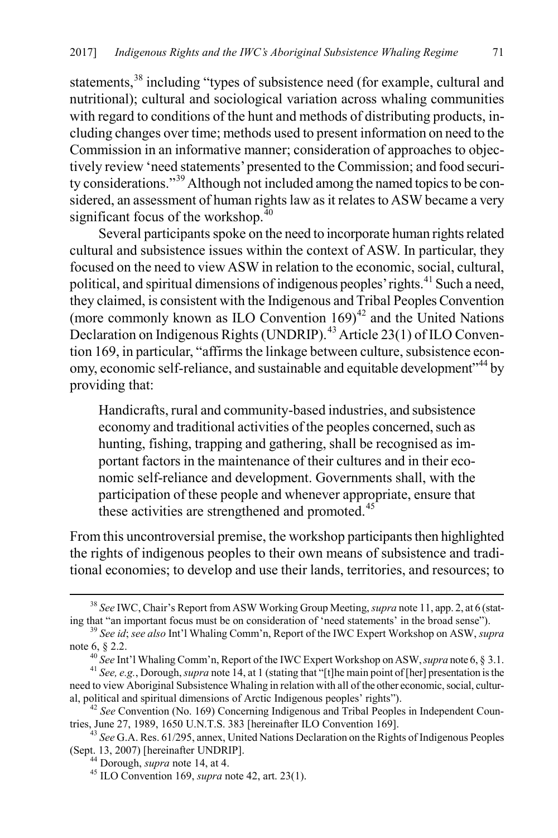statements,<sup>[38](#page-9-1)</sup> including "types of subsistence need (for example, cultural and nutritional); cultural and sociological variation across whaling communities with regard to conditions of the hunt and methods of distributing products, including changes over time; methods used to present information on need to the Commission in an informative manner; consideration of approaches to objectively review 'need statements' presented to the Commission; and food security considerations."[39](#page-9-2) Although not included among the named topics to be considered, an assessment of human rights law as it relates to ASW became a very significant focus of the workshop. $40$ 

Several participants spoke on the need to incorporate human rights related cultural and subsistence issues within the context of ASW. In particular, they focused on the need to view ASW in relation to the economic, social, cultural, political, and spiritual dimensions of indigenous peoples' rights.<sup>[41](#page-9-4)</sup> Such a need, they claimed, is consistent with the Indigenous and Tribal Peoples Convention (more commonly known as ILO Convention  $169)^{42}$  $169)^{42}$  $169)^{42}$  and the United Nations Declaration on Indigenous Rights (UNDRIP).[43](#page-9-6) Article 23(1) of ILO Convention 169, in particular, "affirms the linkage between culture, subsistence econ-omy, economic self-reliance, and sustainable and equitable development<sup>7[44](#page-9-7)</sup> by providing that:

<span id="page-9-9"></span><span id="page-9-0"></span>Handicrafts, rural and community-based industries, and subsistence economy and traditional activities of the peoples concerned, such as hunting, fishing, trapping and gathering, shall be recognised as important factors in the maintenance of their cultures and in their economic self-reliance and development. Governments shall, with the participation of these people and whenever appropriate, ensure that these activities are strengthened and promoted.<sup>[45](#page-9-8)</sup>

From this uncontroversial premise, the workshop participants then highlighted the rights of indigenous peoples to their own means of subsistence and traditional economies; to develop and use their lands, territories, and resources; to

<span id="page-9-1"></span> <sup>38</sup> *See* IWC, Chair's Report from ASW Working Group Meeting, *supra* not[e 11,](#page-3-8) app. 2, at 6 (stating that "an important focus must be on consideration of 'need statements' in the broad sense"). <sup>39</sup> *See id*; *see also* Int'l Whaling Comm'n, Report of the IWC Expert Workshop on ASW, *supra* 

<span id="page-9-2"></span>note [6,](#page-2-7) § 2.2.<br><sup>40</sup> See Int'l Whaling Comm'n, Report of the IWC Expert Workshop on ASW, *supra* not[e 6,](#page-2-7) § 3.1.<br><sup>41</sup> See, e.g., Dorough, *supra* not[e 14,](#page-3-9) at 1 (stating that "[t]he main point of [her] presentation is the

<span id="page-9-4"></span><span id="page-9-3"></span>need to view Aboriginal Subsistence Whaling in relation with all of the other economic, social, cultur-<br>al, political and spiritual dimensions of Arctic Indigenous peoples' rights'').

<span id="page-9-5"></span><sup>&</sup>lt;sup>42</sup> *See* Convention (No. 169) Concerning Indigenous and Tribal Peoples in Independent Countries, June 27, 1989, 1650 U.N.T.S. 383 [hereinafter ILO Convention 169].

<span id="page-9-8"></span><span id="page-9-7"></span><span id="page-9-6"></span><sup>43</sup> *See* G.A. Res. 61/295, annex, United Nations Declaration on the Rights of Indigenous Peoples

<sup>&</sup>lt;sup>44</sup> Dorough, *supra* not[e 14,](#page-3-9) at 4.  $\frac{45}{12}$  ILO Convention 169, *supra* note [42,](#page-9-0) art. 23(1).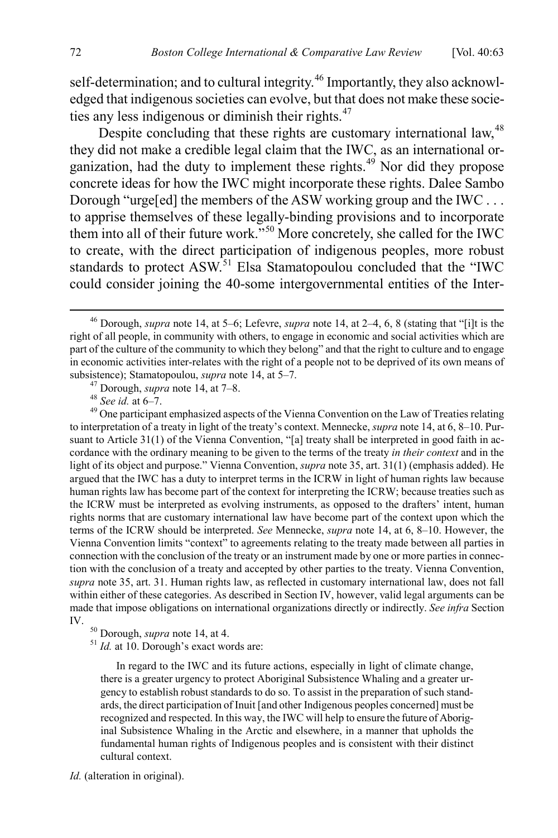self-determination; and to cultural integrity.<sup>[46](#page-10-0)</sup> Importantly, they also acknowledged that indigenous societies can evolve, but that does not make these socie-ties any less indigenous or diminish their rights.<sup>[47](#page-10-1)</sup>

Despite concluding that these rights are customary international law,<sup>[48](#page-10-2)</sup> they did not make a credible legal claim that the IWC, as an international organization, had the duty to implement these rights. $49$  Nor did they propose concrete ideas for how the IWC might incorporate these rights. Dalee Sambo Dorough "urge[ed] the members of the ASW working group and the IWC . . . to apprise themselves of these legally-binding provisions and to incorporate them into all of their future work."[50](#page-10-4) More concretely, she called for the IWC to create, with the direct participation of indigenous peoples, more robust standards to protect ASW.<sup>[51](#page-10-5)</sup> Elsa Stamatopoulou concluded that the "IWC could consider joining the 40-some intergovernmental entities of the Inter-

<span id="page-10-3"></span><span id="page-10-2"></span><span id="page-10-1"></span>to interpretation of a treaty in light of the treaty's context. Mennecke, *supra* not[e 14,](#page-3-9) at 6, 8–10. Pursuant to Article 31(1) of the Vienna Convention, "[a] treaty shall be interpreted in good faith in accordance with the ordinary meaning to be given to the terms of the treaty *in their context* and in the light of its object and purpose." Vienna Convention, *supra* not[e 35,](#page-8-5) art. 31(1) (emphasis added). He argued that the IWC has a duty to interpret terms in the ICRW in light of human rights law because human rights law has become part of the context for interpreting the ICRW; because treaties such as the ICRW must be interpreted as evolving instruments, as opposed to the drafters' intent, human rights norms that are customary international law have become part of the context upon which the terms of the ICRW should be interpreted. *See* Mennecke, *supra* note [14,](#page-3-9) at 6, 8–10. However, the Vienna Convention limits "context" to agreements relating to the treaty made between all parties in connection with the conclusion of the treaty or an instrument made by one or more parties in connection with the conclusion of a treaty and accepted by other parties to the treaty. Vienna Convention, *supra* not[e 35,](#page-8-5) art. 31. Human rights law, as reflected in customary international law, does not fall within either of these categories. As described in Section IV, however, valid legal arguments can be made that impose obligations on international organizations directly or indirectly. *See infra* Section IV. <sup>50</sup> Dorough, *supra* not[e 14,](#page-3-9) at 4. <sup>51</sup> *Id.* at 10. Dorough's exact words are:

In regard to the IWC and its future actions, especially in light of climate change, there is a greater urgency to protect Aboriginal Subsistence Whaling and a greater urgency to establish robust standards to do so. To assist in the preparation of such standards, the direct participation of Inuit [and other Indigenous peoples concerned] must be recognized and respected. In this way, the IWC will help to ensure the future of Aboriginal Subsistence Whaling in the Arctic and elsewhere, in a manner that upholds the fundamental human rights of Indigenous peoples and is consistent with their distinct cultural context.

*Id.* (alteration in original).

<span id="page-10-0"></span> <sup>46</sup> Dorough, *supra* note [14,](#page-3-9) at 5–6; Lefevre, *supra* note [14,](#page-3-9) at 2–4, 6, 8 (stating that "[i]t is the right of all people, in community with others, to engage in economic and social activities which are part of the culture of the community to which they belong" and that the right to culture and to engage in economic activities inter-relates with the right of a people not to be deprived of its own means of subsistence); Stamatopoulou, *supra* note [14,](#page-3-9) at 5–7.<br><sup>47</sup> Dorough, *supra* not[e 14,](#page-3-9) at 7–8.<br><sup>48</sup> *See id.* at 6–7.<br><sup>49</sup> One participant emphasized aspects of the Vienna Convention on the Law of Treaties relating

<span id="page-10-5"></span><span id="page-10-4"></span>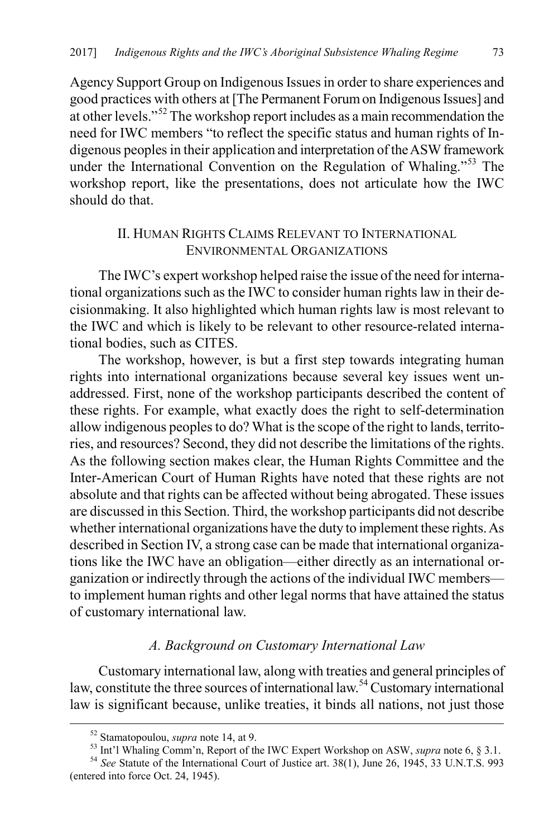Agency Support Group on Indigenous Issues in order to share experiences and good practices with others at [The Permanent Forum on Indigenous Issues] and at other levels."[52](#page-11-0) The workshop report includes as a main recommendation the need for IWC members "to reflect the specific status and human rights of Indigenous peoples in their application and interpretation of the ASW framework under the International Convention on the Regulation of Whaling.<sup>5[53](#page-11-1)</sup> The workshop report, like the presentations, does not articulate how the IWC should do that.

# II. HUMAN RIGHTS CLAIMS RELEVANT TO INTERNATIONAL ENVIRONMENTAL ORGANIZATIONS

The IWC's expert workshop helped raise the issue of the need for international organizations such as the IWC to consider human rights law in their decisionmaking. It also highlighted which human rights law is most relevant to the IWC and which is likely to be relevant to other resource-related international bodies, such as CITES.

The workshop, however, is but a first step towards integrating human rights into international organizations because several key issues went unaddressed. First, none of the workshop participants described the content of these rights. For example, what exactly does the right to self-determination allow indigenous peoples to do? What is the scope of the right to lands, territories, and resources? Second, they did not describe the limitations of the rights. As the following section makes clear, the Human Rights Committee and the Inter-American Court of Human Rights have noted that these rights are not absolute and that rights can be affected without being abrogated. These issues are discussed in this Section. Third, the workshop participants did not describe whether international organizations have the duty to implement these rights. As described in Section IV, a strong case can be made that international organizations like the IWC have an obligation—either directly as an international organization or indirectly through the actions of the individual IWC members to implement human rights and other legal norms that have attained the status of customary international law.

#### *A. Background on Customary International Law*

Customary international law, along with treaties and general principles of law, constitute the three sources of international law.<sup>[54](#page-11-2)</sup> Customary international law is significant because, unlike treaties, it binds all nations, not just those

<sup>&</sup>lt;sup>52</sup> Stamatopoulou, *supra* not[e 14,](#page-3-9) at 9.<br><sup>53</sup> Int'l Whaling Comm'n, Report of the IWC Expert Workshop on ASW, *supra* not[e 6,](#page-2-7) § 3.1.<br><sup>54</sup> *See* Statute of the International Court of Justice art. 38(1), June 26, 1945, 33

<span id="page-11-2"></span><span id="page-11-1"></span><span id="page-11-0"></span><sup>(</sup>entered into force Oct. 24, 1945).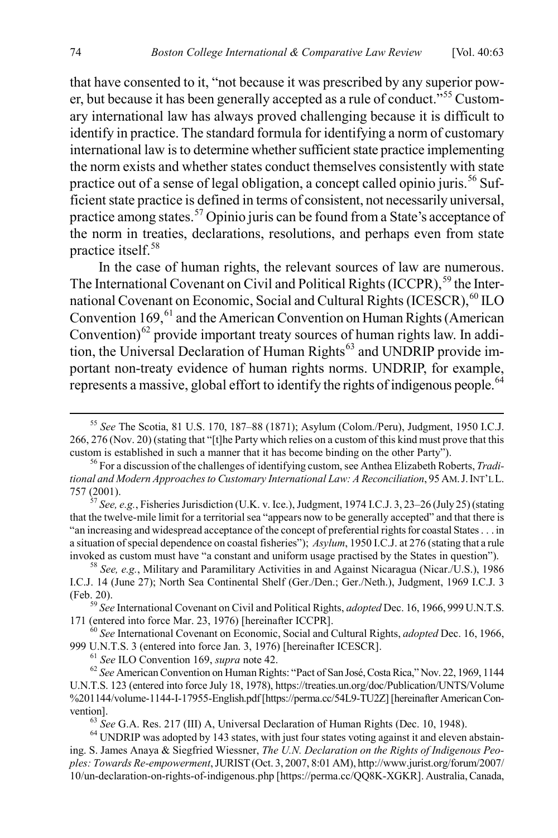that have consented to it, "not because it was prescribed by any superior power, but because it has been generally accepted as a rule of conduct.<sup> $55$ </sup> Customary international law has always proved challenging because it is difficult to identify in practice. The standard formula for identifying a norm of customary international law is to determine whether sufficient state practice implementing the norm exists and whether states conduct themselves consistently with state practice out of a sense of legal obligation, a concept called opinio juris.<sup>[56](#page-12-1)</sup> Sufficient state practice is defined in terms of consistent, not necessarily universal, practice among states.[57](#page-12-2) Opinio juris can be found from a State's acceptance of the norm in treaties, declarations, resolutions, and perhaps even from state practice itself. [58](#page-12-3)

<span id="page-12-13"></span><span id="page-12-12"></span><span id="page-12-11"></span>In the case of human rights, the relevant sources of law are numerous. The International Covenant on Civil and Political Rights  $(ICCPR)$ ,  $^{59}$  $^{59}$  $^{59}$  the Inter-national Covenant on Economic, Social and Cultural Rights (ICESCR), <sup>[60](#page-12-5)</sup> ILO Convention  $169<sub>1</sub><sup>61</sup>$  $169<sub>1</sub><sup>61</sup>$  $169<sub>1</sub><sup>61</sup>$  and the American Convention on Human Rights (American Convention) $^{62}$  $^{62}$  $^{62}$  provide important treaty sources of human rights law. In addi-tion, the Universal Declaration of Human Rights<sup>[63](#page-12-8)</sup> and UNDRIP provide important non-treaty evidence of human rights norms. UNDRIP, for example, represents a massive, global effort to identify the rights of indigenous people.<sup>[64](#page-12-9)</sup>

<span id="page-12-10"></span><span id="page-12-0"></span> <sup>55</sup> *See* The Scotia, 81 U.S. 170, 187–88 (1871); Asylum (Colom./Peru), Judgment, 1950 I.C.J. 266, 276 (Nov. 20) (stating that "[t]he Party which relies on a custom of this kind must prove that this custom is established in such a manner that it has become binding on the other Party"). <sup>56</sup> For a discussion of the challenges of identifying custom, see Anthea Elizabeth Roberts, *Tradi-*

<span id="page-12-1"></span>*tional and Modern Approaches to Customary International Law: A Reconciliation*, 95 AM.J.INT'L L. 757 (2001). <sup>57</sup> *See, e.g.*, Fisheries Jurisdiction (U.K. v. Ice.), Judgment, 1974 I.C.J. 3, 23–26 (July 25) (stating

<span id="page-12-2"></span>that the twelve-mile limit for a territorial sea "appears now to be generally accepted" and that there is "an increasing and widespread acceptance of the concept of preferential rights for coastal States . . . in a situation of special dependence on coastal fisheries"); *Asylum*, 1950 I.C.J. at 276 (stating that a rule invoked as custom must have "a constant and uniform usage practised by the States in question"). <sup>58</sup> *See, e.g.*, Military and Paramilitary Activities in and Against Nicaragua (Nicar./U.S.), 1986

<span id="page-12-3"></span>I.C.J. 14 (June 27); North Sea Continental Shelf (Ger./Den.; Ger./Neth.), Judgment, 1969 I.C.J. 3

<span id="page-12-4"></span><sup>(</sup>Feb. 20). <sup>59</sup> *See* International Covenant on Civil and Political Rights, *adopted* Dec. 16, 1966, 999 U.N.T.S.

<span id="page-12-5"></span><sup>&</sup>lt;sup>60</sup> See International Covenant on Economic, Social and Cultural Rights, *adopted* Dec. 16, 1966, 999 U.N.T.S. 3 (entered into force Jan. 3, 1976) [hereinafter ICESCR].

<span id="page-12-7"></span><span id="page-12-6"></span><sup>&</sup>lt;sup>61</sup> See ILO Convention 169, supra not[e 42.](#page-9-0)<br><sup>62</sup> See American Convention on Human Rights: "Pact of San José, Costa Rica," Nov. 22, 1969, 1144 U.N.T.S. 123 (entered into force July 18, 1978), https://treaties.un.org/doc/Publication/UNTS/Volume %201144/volume-1144-I-17955-English.pdf [https://perma.cc/54L9-TU2Z] [hereinafter American Convention].<br><sup>63</sup> *See* G.A. Res. 217 (III) A, Universal Declaration of Human Rights (Dec. 10, 1948).<br><sup>64</sup> UNDRIP was adopted by 143 states, with just four states voting against it and eleven abstain-

<span id="page-12-9"></span><span id="page-12-8"></span>ing. S. James Anaya & Siegfried Wiessner, *The U.N. Declaration on the Rights of Indigenous Peoples: Towards Re-empowerment*, JURIST(Oct. 3, 2007, 8:01 AM), http://www.jurist.org/forum/2007/ 10/un-declaration-on-rights-of-indigenous.php [https://perma.cc/QQ8K-XGKR]. Australia, Canada,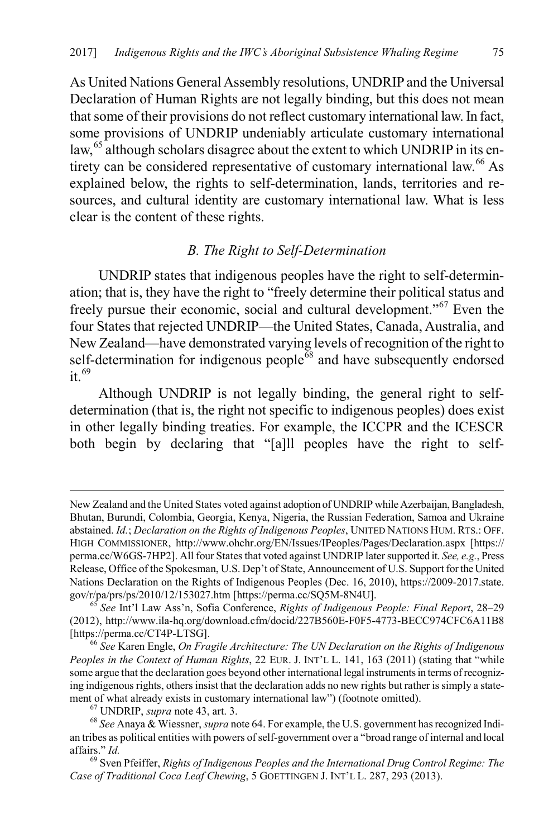<span id="page-13-5"></span>As United Nations General Assembly resolutions, UNDRIP and the Universal Declaration of Human Rights are not legally binding, but this does not mean that some of their provisions do not reflect customary international law. In fact, some provisions of UNDRIP undeniably articulate customary international law, $65$  although scholars disagree about the extent to which UNDRIP in its en-tirety can be considered representative of customary international law.<sup>[66](#page-13-1)</sup> As explained below, the rights to self-determination, lands, territories and resources, and cultural identity are customary international law. What is less clear is the content of these rights.

#### *B. The Right to Self-Determination*

UNDRIP states that indigenous peoples have the right to self-determination; that is, they have the right to "freely determine their political status and freely pursue their economic, social and cultural development."[67](#page-13-2) Even the four States that rejected UNDRIP—the United States, Canada, Australia, and New Zealand—have demonstrated varying levels of recognition of the right to self-determination for indigenous people $\overline{68}$  $\overline{68}$  $\overline{68}$  and have subsequently endorsed it.  $69$ 

Although UNDRIP is not legally binding, the general right to selfdetermination (that is, the right not specific to indigenous peoples) does exist in other legally binding treaties. For example, the ICCPR and the ICESCR both begin by declaring that "[a]ll peoples have the right to self-

New Zealand and the United States voted against adoption of UNDRIP while Azerbaijan, Bangladesh, Bhutan, Burundi, Colombia, Georgia, Kenya, Nigeria, the Russian Federation, Samoa and Ukraine abstained. *Id.*; *Declaration on the Rights of Indigenous Peoples*, UNITED NATIONS HUM. RTS.: OFF. HIGH COMMISSIONER, http://www.ohchr.org/EN/Issues/IPeoples/Pages/Declaration.aspx [https:// perma.cc/W6GS-7HP2]. All four States that voted against UNDRIP later supported it. *See, e.g.*, Press Release, Office of the Spokesman, U.S. Dep't of State, Announcement of U.S. Support for the United Nations Declaration on the Rights of Indigenous Peoples (Dec. 16, 2010), https://2009-2017.state. gov/r/pa/prs/ps/2010/12/153027.htm [https://perma.cc/SQ5M-8N4U]. <sup>65</sup> *See* Int'l Law Ass'n, Sofia Conference, *Rights of Indigenous People: Final Report*, 28–29

<span id="page-13-0"></span><sup>(2012),</sup> http://www.ila-hq.org/download.cfm/docid/227B560E-F0F5-4773-BECC974CFC6A11B8 [https://perma.cc/CT4P-LTSG]. <sup>66</sup> *See* Karen Engle, *On Fragile Architecture: The UN Declaration on the Rights of Indigenous* 

<span id="page-13-1"></span>*Peoples in the Context of Human Rights*, 22 EUR. J. INT'L L. 141, 163 (2011) (stating that "while some argue that the declaration goes beyond other international legal instruments in terms of recognizing indigenous rights, others insist that the declaration adds no new rights but rather is simply a statement of what already exists in customary international law") (footnote omitted).<br><sup>67</sup> UNDRIP, *supra* not[e 43,](#page-9-9) art. 3.<br><sup>68</sup> See Anaya & Wiessner, *supra* not[e 64.](#page-12-10) For example, the U.S. government has recognized Indi-

<span id="page-13-3"></span><span id="page-13-2"></span>an tribes as political entities with powers of self-government over a "broad range of internal and local affairs." *Id.* <sup>69</sup> Sven Pfeiffer, *Rights of Indigenous Peoples and the International Drug Control Regime: The* 

<span id="page-13-4"></span>*Case of Traditional Coca Leaf Chewing*, 5 GOETTINGEN J. INT'L L. 287, 293 (2013).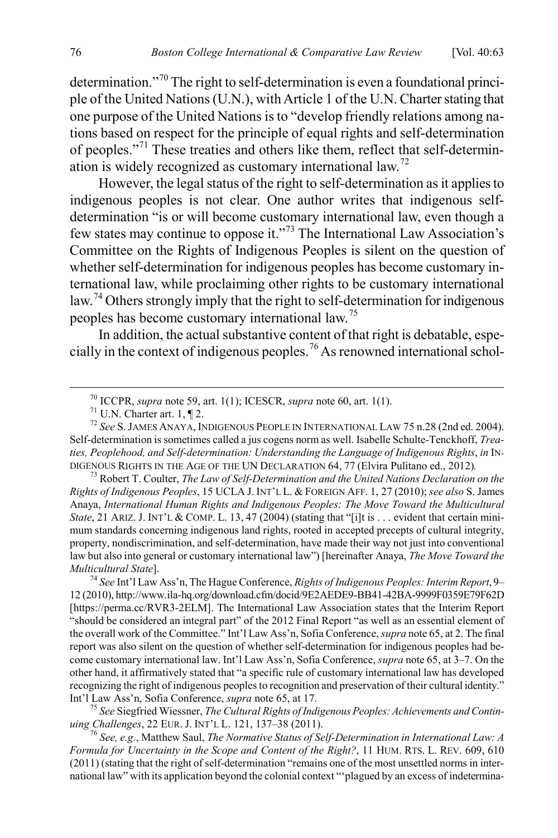determination."[70](#page-14-0) The right to self-determination is even a foundational principle of the United Nations (U.N.), with Article 1 of the U.N. Charter stating that one purpose of the United Nations is to "develop friendly relations among nations based on respect for the principle of equal rights and self-determination of peoples."[71](#page-14-1) These treaties and others like them, reflect that self-determination is widely recognized as customary international law.[72](#page-14-2)

<span id="page-14-9"></span><span id="page-14-7"></span>However, the legal status of the right to self-determination as it applies to indigenous peoples is not clear. One author writes that indigenous selfdetermination "is or will become customary international law, even though a few states may continue to oppose it."[73](#page-14-3) The International Law Association's Committee on the Rights of Indigenous Peoples is silent on the question of whether self-determination for indigenous peoples has become customary international law, while proclaiming other rights to be customary international law.<sup>[74](#page-14-4)</sup> Others strongly imply that the right to self-determination for indigenous peoples has become customary international law.[75](#page-14-5)

<span id="page-14-8"></span>In addition, the actual substantive content of that right is debatable, especially in the context of indigenous peoples.[76](#page-14-6) As renowned international schol-

<span id="page-14-5"></span>*uing Challenges*, 22 EUR. J. INT'L L. 121, 137–38 (2011). <sup>76</sup> *See, e.g.*, Matthew Saul, *The Normative Status of Self-Determination in International Law: A* 

<span id="page-14-6"></span>*Formula for Uncertainty in the Scope and Content of the Right?*, 11 HUM. RTS. L. REV. 609, 610 (2011) (stating that the right of self-determination "remains one of the most unsettled norms in international law" with its application beyond the colonial context "'plagued by an excess of indetermina-

<span id="page-14-10"></span>

<span id="page-14-2"></span><span id="page-14-1"></span><span id="page-14-0"></span><sup>&</sup>lt;sup>70</sup> ICCPR, *supra* not[e 59,](#page-12-11) art. 1(1); ICESCR, *supra* not[e 60,](#page-12-12) art. 1(1).<br><sup>71</sup> U.N. Charter art. 1, ¶ 2.<br><sup>72</sup> *See* S. JAMES ANAYA, INDIGENOUS PEOPLE IN INTERNATIONAL LAW 75 n.28 (2nd ed. 2004). Self-determination is sometimes called a jus cogens norm as well. Isabelle Schulte-Tenckhoff, *Treaties, Peoplehood, and Self-determination: Understanding the Language of Indigenous Rights*, *in* IN-DIGENOUS RIGHTS IN THE AGE OF THE UN DECLARATION 64, <sup>77</sup> (Elvira Pulitano ed., 2012)*.* <sup>73</sup> Robert T. Coulter, *The Law of Self-Determination and the United Nations Declaration on the* 

<span id="page-14-3"></span>*Rights of Indigenous Peoples*, 15 UCLA J. INT'L L. & FOREIGN AFF. 1, 27 (2010); *see also* S. James Anaya, *International Human Rights and Indigenous Peoples: The Move Toward the Multicultural State*, 21 ARIZ. J. INT'L & COMP. L. 13, 47 (2004) (stating that "[i]t is . . . evident that certain minimum standards concerning indigenous land rights, rooted in accepted precepts of cultural integrity, property, nondiscrimination, and self-determination, have made their way not just into conventional law but also into general or customary international law") [hereinafter Anaya, *The Move Toward the Multicultural State*]. 74 *See* Int'l Law Ass'n, The Hague Conference, *Rights of Indigenous Peoples: Interim Report*, 9–

<span id="page-14-4"></span><sup>12 (2010),</sup> http://www.ila-hq.org/download.cfm/docid/9E2AEDE9-BB41-42BA-9999F0359E79F62D [https://perma.cc/RVR3-2ELM]. The International Law Association states that the Interim Report "should be considered an integral part" of the 2012 Final Report "as well as an essential element of the overall work of the Committee." Int'l Law Ass'n, Sofia Conference, *supra* not[e 65,](#page-13-5) at 2. The final report was also silent on the question of whether self-determination for indigenous peoples had become customary international law. Int'l Law Ass'n, Sofia Conference, *supra* not[e 65,](#page-13-5) at 3–7. On the other hand, it affirmatively stated that "a specific rule of customary international law has developed recognizing the right of indigenous peoples to recognition and preservation of their cultural identity." Int'l Law Ass'n, Sofia Conference, *supra* note [65,](#page-13-5) at 17. <sup>75</sup> *See* Siegfried Wiessner, *The Cultural Rights of Indigenous Peoples: Achievements and Contin-*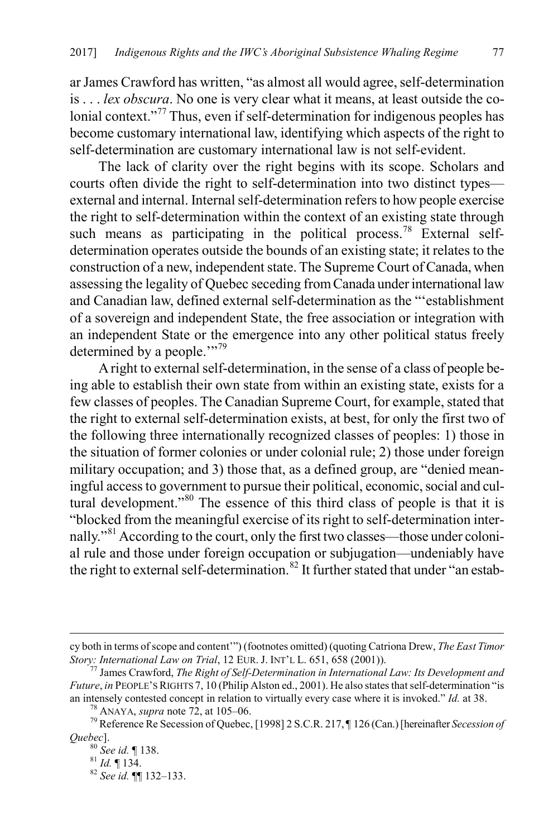<span id="page-15-6"></span>ar James Crawford has written, "as almost all would agree, self-determination is . . . *lex obscura*. No one is very clear what it means, at least outside the co-lonial context."<sup>[77](#page-15-0)</sup> Thus, even if self-determination for indigenous peoples has become customary international law, identifying which aspects of the right to self-determination are customary international law is not self-evident.

The lack of clarity over the right begins with its scope. Scholars and courts often divide the right to self-determination into two distinct types external and internal. Internal self-determination refers to how people exercise the right to self-determination within the context of an existing state through such means as participating in the political process.<sup>[78](#page-15-1)</sup> External selfdetermination operates outside the bounds of an existing state; it relates to the construction of a new, independent state. The Supreme Court of Canada, when assessing the legality of Quebec seceding from Canada under international law and Canadian law, defined external self-determination as the "'establishment of a sovereign and independent State, the free association or integration with an independent State or the emergence into any other political status freely determined by a people."<sup>[79](#page-15-2)</sup>

A right to external self-determination, in the sense of a class of people being able to establish their own state from within an existing state, exists for a few classes of peoples. The Canadian Supreme Court, for example, stated that the right to external self-determination exists, at best, for only the first two of the following three internationally recognized classes of peoples: 1) those in the situation of former colonies or under colonial rule; 2) those under foreign military occupation; and 3) those that, as a defined group, are "denied meaningful access to government to pursue their political, economic, social and cultural development."[80](#page-15-3) The essence of this third class of people is that it is "blocked from the meaningful exercise of its right to self-determination internally."[81](#page-15-4) According to the court, only the first two classes—those under colonial rule and those under foreign occupation or subjugation—undeniably have the right to external self-determination.<sup>[82](#page-15-5)</sup> It further stated that under "an estab-

cy both in terms of scope and content'") (footnotes omitted) (quoting Catriona Drew, *The East Timor Story: International Law on Trial*, 12 EUR. J. INT'L L. 651, 658 (2001)). 77 James Crawford, *The Right of Self-Determination in International Law: Its Development and* 

<span id="page-15-0"></span>*Future*, *in* PEOPLE'S RIGHTS 7, 10 (Philip Alston ed., 2001). He also states that self-determination "is an intensely contested concept in relation to virtually every case where it is invoked." *Id.* at 38.

<span id="page-15-4"></span><span id="page-15-3"></span><span id="page-15-2"></span><span id="page-15-1"></span><sup>&</sup>lt;sup>78</sup> ANAYA, *supra* note [72,](#page-14-7) at 105–06.<br><sup>79</sup> Reference Re Secession of Quebec, [1998] 2 S.C.R. 217, ¶ 126 (Can.) [hereinafter *Secession of Quebec*]. <sup>80</sup> *See id.* ¶ 138. <sup>81</sup> *Id.* ¶ 134. <sup>82</sup> *See id.* ¶¶ 132–133.

<span id="page-15-5"></span>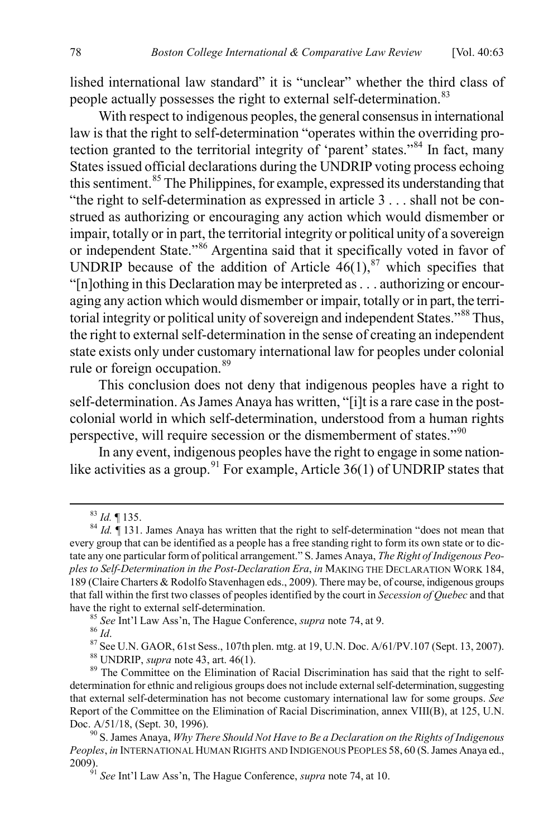lished international law standard" it is "unclear" whether the third class of people actually possesses the right to external self-determination.<sup>[83](#page-16-0)</sup>

With respect to indigenous peoples, the general consensus in international law is that the right to self-determination "operates within the overriding protection granted to the territorial integrity of 'parent' states."[84](#page-16-1) In fact, many States issued official declarations during the UNDRIP voting process echoing this sentiment.<sup>[85](#page-16-2)</sup> The Philippines, for example, expressed its understanding that "the right to self-determination as expressed in article 3 . . . shall not be construed as authorizing or encouraging any action which would dismember or impair, totally or in part, the territorial integrity or political unity of a sovereign or independent State."[86](#page-16-3) Argentina said that it specifically voted in favor of UNDRIP because of the addition of Article  $46(1)$ ,<sup>[87](#page-16-4)</sup> which specifies that "[n]othing in this Declaration may be interpreted as . . . authorizing or encouraging any action which would dismember or impair, totally or in part, the terri-torial integrity or political unity of sovereign and independent States."<sup>[88](#page-16-5)</sup> Thus, the right to external self-determination in the sense of creating an independent state exists only under customary international law for peoples under colonial rule or foreign occupation.<sup>[89](#page-16-6)</sup>

This conclusion does not deny that indigenous peoples have a right to self-determination. As James Anaya has written, "[i]t is a rare case in the postcolonial world in which self-determination, understood from a human rights perspective, will require secession or the dismemberment of states."<sup>[90](#page-16-7)</sup>

In any event, indigenous peoples have the right to engage in some nation-like activities as a group.<sup>[91](#page-16-8)</sup> For example, Article  $36(1)$  of UNDRIP states that

<sup>85</sup> *See* Int'l Law Ass'n, The Hague Conference, *supra* not[e 74,](#page-14-8) at 9.<br><sup>86</sup> *Id.*<br><sup>87</sup> See U.N. GAOR, 61st Sess., 107th plen. mtg. at 19, U.N. Doc. A/61/PV.107 (Sept. 13, 2007).<br><sup>88</sup> UNDRIP, *supra* not[e 43,](#page-9-9) art. 46(1).

<span id="page-16-1"></span><span id="page-16-0"></span><sup>83</sup> *Id.* ¶ 135. <sup>84</sup> *Id.* ¶ 131. James Anaya has written that the right to self-determination "does not mean that every group that can be identified as a people has a free standing right to form its own state or to dictate any one particular form of political arrangement." S. James Anaya, *The Right of Indigenous Peoples to Self-Determination in the Post-Declaration Era*, *in* MAKING THE DECLARATION WORK 184, 189 (Claire Charters & Rodolfo Stavenhagen eds., 2009). There may be, of course, indigenous groups that fall within the first two classes of peoples identified by the court in *Secession of Quebec* and that

<span id="page-16-6"></span><span id="page-16-5"></span><span id="page-16-4"></span><span id="page-16-3"></span><span id="page-16-2"></span>determination for ethnic and religious groups does not include external self-determination, suggesting that external self-determination has not become customary international law for some groups. *See*  Report of the Committee on the Elimination of Racial Discrimination, annex VIII(B), at 125, U.N. Doc. A/51/18, (Sept. 30, 1996).<br><sup>90</sup> S. James Anaya, *Why There Should Not Have to Be a Declaration on the Rights of Indigenous* 

<span id="page-16-8"></span><span id="page-16-7"></span>*Peoples*, *in* INTERNATIONAL HUMAN RIGHTS AND INDIGENOUS PEOPLES 58, 60 (S. James Anaya ed., 2009). <sup>91</sup> *See* Int'l Law Ass'n, The Hague Conference, *supra* note [74,](#page-14-8) at 10.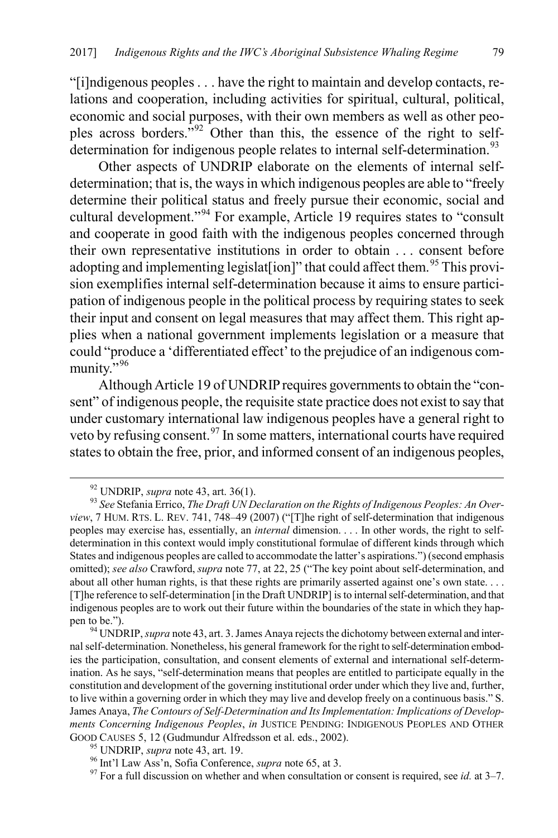"[i]ndigenous peoples . . . have the right to maintain and develop contacts, relations and cooperation, including activities for spiritual, cultural, political, economic and social purposes, with their own members as well as other peoples across borders."[92](#page-17-0) Other than this, the essence of the right to self-determination for indigenous people relates to internal self-determination.<sup>[93](#page-17-1)</sup>

<span id="page-17-6"></span>Other aspects of UNDRIP elaborate on the elements of internal selfdetermination; that is, the ways in which indigenous peoples are able to "freely determine their political status and freely pursue their economic, social and cultural development."[94](#page-17-2) For example, Article 19 requires states to "consult and cooperate in good faith with the indigenous peoples concerned through their own representative institutions in order to obtain . . . consent before adopting and implementing legislat[ion]" that could affect them.<sup>[95](#page-17-3)</sup> This provision exemplifies internal self-determination because it aims to ensure participation of indigenous people in the political process by requiring states to seek their input and consent on legal measures that may affect them. This right applies when a national government implements legislation or a measure that could "produce a 'differentiated effect' to the prejudice of an indigenous com-munity."<sup>[96](#page-17-4)</sup>

Although Article 19 of UNDRIP requires governments to obtain the "consent" of indigenous people, the requisite state practice does not exist to say that under customary international law indigenous peoples have a general right to veto by refusing consent.<sup>[97](#page-17-5)</sup> In some matters, international courts have required states to obtain the free, prior, and informed consent of an indigenous peoples,

<span id="page-17-7"></span>

<span id="page-17-1"></span><span id="page-17-0"></span><sup>&</sup>lt;sup>92</sup> UNDRIP, *supra* not[e 43,](#page-9-9) art. 36(1).<br><sup>93</sup> *See* Stefania Errico, *The Draft UN Declaration on the Rights of Indigenous Peoples: An Overview*, 7 HUM. RTS. L. REV. 741, 748–49 (2007) ("[T]he right of self-determination that indigenous peoples may exercise has, essentially, an *internal* dimension. . . . In other words, the right to selfdetermination in this context would imply constitutional formulae of different kinds through which States and indigenous peoples are called to accommodate the latter's aspirations.") (second emphasis omitted); *see also* Crawford, *supra* note [77,](#page-15-6) at 22, 25 ("The key point about self-determination, and about all other human rights, is that these rights are primarily asserted against one's own state.... [T]he reference to self-determination [in the Draft UNDRIP] is to internal self-determination, and that indigenous peoples are to work out their future within the boundaries of the state in which they happen to be."). <sup>94</sup> UNDRIP, *supra* not[e 43,](#page-9-9) art. 3. James Anaya rejects the dichotomy between external and inter-

<span id="page-17-2"></span>nal self-determination. Nonetheless, his general framework for the right to self-determination embodies the participation, consultation, and consent elements of external and international self-determination. As he says, "self-determination means that peoples are entitled to participate equally in the constitution and development of the governing institutional order under which they live and, further, to live within a governing order in which they may live and develop freely on a continuous basis." S. James Anaya, *The Contours of Self-Determination and Its Implementation: Implications of Developments Concerning Indigenous Peoples, in JUSTICE PENDING: INDIGENOUS PEOPLES AND OTHER GOOD CAUSES 5, 12 (Gudmundur Alfredsson et al. eds., 2002).* 

<span id="page-17-5"></span>

<span id="page-17-4"></span><span id="page-17-3"></span><sup>&</sup>lt;sup>95</sup> UNDRIP, *supra* not[e 43,](#page-9-9) art. 19.<br><sup>96</sup> Int'l Law Ass'n, Sofia Conference, *supra* note [65,](#page-13-5) at 3.<br><sup>97</sup> For a full discussion on whether and when consultation or consent is required, see *id.* at 3–7.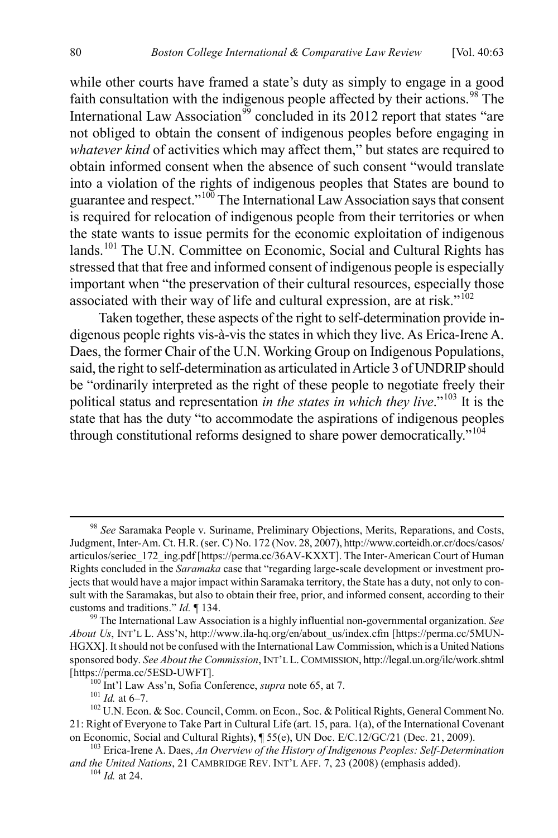while other courts have framed a state's duty as simply to engage in a good faith consultation with the indigenous people affected by their actions.<sup>[98](#page-18-0)</sup> The International Law Association<sup>[99](#page-18-1)</sup> concluded in its 2012 report that states "are not obliged to obtain the consent of indigenous peoples before engaging in *whatever kind* of activities which may affect them," but states are required to obtain informed consent when the absence of such consent "would translate into a violation of the rights of indigenous peoples that States are bound to guarantee and respect."[100](#page-18-2) The International Law Association says that consent is required for relocation of indigenous people from their territories or when the state wants to issue permits for the economic exploitation of indigenous lands.<sup>[101](#page-18-3)</sup> The U.N. Committee on Economic, Social and Cultural Rights has stressed that that free and informed consent of indigenous people is especially important when "the preservation of their cultural resources, especially those associated with their way of life and cultural expression, are at risk."<sup>[102](#page-18-4)</sup>

<span id="page-18-7"></span>Taken together, these aspects of the right to self-determination provide indigenous people rights vis-à-vis the states in which they live. As Erica-Irene A. Daes, the former Chair of the U.N. Working Group on Indigenous Populations, said, the right to self-determination as articulated in Article 3 of UNDRIP should be "ordinarily interpreted as the right of these people to negotiate freely their political status and representation *in the states in which they live*."[103](#page-18-5) It is the state that has the duty "to accommodate the aspirations of indigenous peoples through constitutional reforms designed to share power democratically.<sup>"[104](#page-18-6)</sup>

<span id="page-18-0"></span> <sup>98</sup> *See* Saramaka People v. Suriname, Preliminary Objections, Merits, Reparations, and Costs, Judgment, Inter-Am. Ct. H.R. (ser. C) No. 172 (Nov. 28, 2007), http://www.corteidh.or.cr/docs/casos/ articulos/seriec\_172\_ing.pdf [https://perma.cc/36AV-KXXT]. The Inter-American Court of Human Rights concluded in the *Saramaka* case that "regarding large-scale development or investment projects that would have a major impact within Saramaka territory, the State has a duty, not only to consult with the Saramakas, but also to obtain their free, prior, and informed consent, according to their customs and traditions." *Id.* ¶ 134. <sup>99</sup> The International Law Association is a highly influential non-governmental organization. *See* 

<span id="page-18-1"></span>*About Us*, INT'L L. ASS'N, http://www.ila-hq.org/en/about\_us/index.cfm [https://perma.cc/5MUN-HGXX]. It should not be confused with the International Law Commission, which is a United Nations sponsored body. *See About the Commission*, INT'L L.COMMISSION, http://legal.un.org/ilc/work.shtml [https://perma.cc/5ESD-UWFT]. <sup>100</sup> Int'l Law Ass'n, Sofia Conference, *supra* not[e 65,](#page-13-5) at 7. 101 *Id.* at 6–7. <sup>102</sup> U.N. Econ. & Soc. Council, Comm. on Econ., Soc. & Political Rights, General Comment No.

<span id="page-18-4"></span><span id="page-18-3"></span><span id="page-18-2"></span><sup>21:</sup> Right of Everyone to Take Part in Cultural Life (art. 15, para. 1(a), of the International Covenant on Economic, Social and Cultural Rights),  $\P 55(e)$ , UN Doc. E/C.12/GC/21 (Dec. 21, 2009).

<span id="page-18-6"></span><span id="page-18-5"></span><sup>&</sup>lt;sup>103</sup> Erica-Irene A. Daes, An Overview of the History of Indigenous Peoples: Self-Determination and the United Nations, 21 CAMBRIDGE REV. INT'L AFF. 7, 23 (2008) (emphasis added). <sup>104</sup> *Id.* at 24.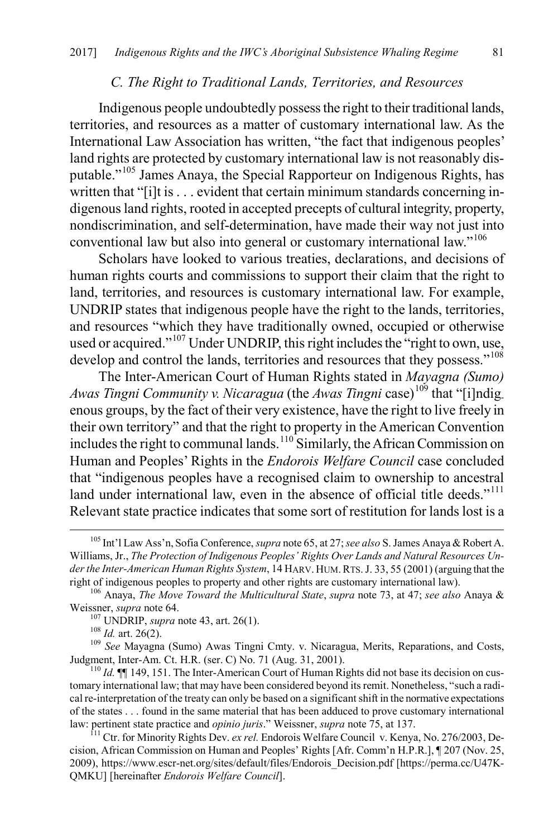#### *C. The Right to Traditional Lands, Territories, and Resources*

Indigenous people undoubtedly possess the right to their traditional lands, territories, and resources as a matter of customary international law. As the International Law Association has written, "the fact that indigenous peoples' land rights are protected by customary international law is not reasonably disputable."[105](#page-19-0) James Anaya, the Special Rapporteur on Indigenous Rights, has written that "[i]t is . . . evident that certain minimum standards concerning indigenous land rights, rooted in accepted precepts of cultural integrity, property, nondiscrimination, and self-determination, have made their way not just into conventional law but also into general or customary international law."[106](#page-19-1)

Scholars have looked to various treaties, declarations, and decisions of human rights courts and commissions to support their claim that the right to land, territories, and resources is customary international law. For example, UNDRIP states that indigenous people have the right to the lands, territories, and resources "which they have traditionally owned, occupied or otherwise used or acquired."<sup>[107](#page-19-2)</sup> Under UNDRIP, this right includes the "right to own, use, develop and control the lands, territories and resources that they possess."<sup>[108](#page-19-3)</sup>

The Inter-American Court of Human Rights stated in *Mayagna (Sumo) Awas Tingni Community v. Nicaragua* (the *Awas Tingni* case) [109](#page-19-4) that "[i]ndigenous groups, by the fact of their very existence, have the right to live freely in their own territory" and that the right to property in the American Convention includes the right to communal lands.<sup>[110](#page-19-5)</sup> Similarly, the African Commission on Human and Peoples' Rights in the *Endorois Welfare Council* case concluded that "indigenous peoples have a recognised claim to ownership to ancestral land under international law, even in the absence of official title deeds."<sup>[111](#page-19-6)</sup> Relevant state practice indicates that some sort of restitution for lands lost is a

<span id="page-19-0"></span> <sup>105</sup> Int'l Law Ass'n, Sofia Conference, *supra* not[e 65,](#page-13-5) at 27;*see also* S. James Anaya & Robert A. Williams, Jr., *The Protection of Indigenous Peoples' Rights Over Lands and Natural Resources Under the Inter-American Human Rights System*, 14 HARV. HUM. RTS. J. 33, 55 (2001) (arguing that the right of indigenous peoples to property and other rights are customary international law).

<span id="page-19-2"></span><span id="page-19-1"></span><sup>&</sup>lt;sup>106</sup> Anaya, *The Move Toward the Multicultural State, supra* note [73,](#page-14-9) at 47; *see also* Anaya & Weissner, *supra* not[e 64.](#page-12-10) <sup>107</sup> UNDRIP, *supra* not[e 43,](#page-9-9) art. 26(1). <sup>108</sup> *Id.* art. 26(2). <sup>108</sup> *Id.* art. 26(2). <sup>109</sup> *See* Mayagna (Sumo) Awas Tingni Cmty. v. Nicaragua, Merits, Reparations, and Costs,

<span id="page-19-4"></span><span id="page-19-3"></span>Judgment, Inter-Am. Ct. H.R. (ser. C) No. 71 (Aug. 31, 2001).<br><sup>110</sup> *Id.* **[1]** *Id.* **[1]** 149, 151. The Inter-American Court of Human Rights did not base its decision on cus-

<span id="page-19-5"></span>tomary international law; that may have been considered beyond its remit. Nonetheless, "such a radical re-interpretation of the treaty can only be based on a significant shift in the normative expectations of the states . . . found in the same material that has been adduced to prove customary international law: pertinent state practice and *opinio juris*." Weissner, *supra* note [75,](#page-14-10) at 137.<br><sup>111</sup> Ctr. for Minority Rights Dev. *ex rel.* Endorois Welfare Council v. Kenya, No. 276/2003, De-

<span id="page-19-6"></span>cision, African Commission on Human and Peoples' Rights [Afr. Comm'n H.P.R.], ¶ 207 (Nov. 25, 2009), https://www.escr-net.org/sites/default/files/Endorois\_Decision.pdf [https://perma.cc/U47K-QMKU] [hereinafter *Endorois Welfare Council*].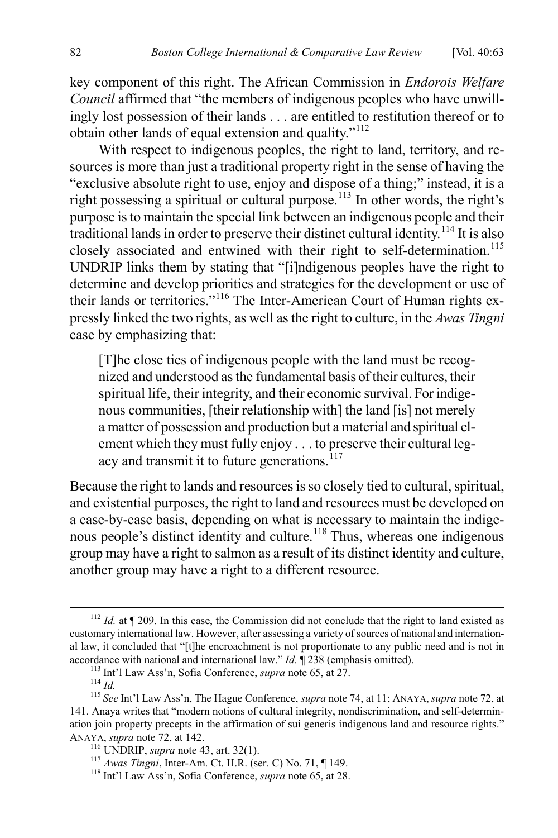key component of this right. The African Commission in *Endorois Welfare Council* affirmed that "the members of indigenous peoples who have unwillingly lost possession of their lands . . . are entitled to restitution thereof or to obtain other lands of equal extension and quality."<sup>[112](#page-20-0)</sup>

With respect to indigenous peoples, the right to land, territory, and resources is more than just a traditional property right in the sense of having the "exclusive absolute right to use, enjoy and dispose of a thing;" instead, it is a right possessing a spiritual or cultural purpose.<sup>[113](#page-20-1)</sup> In other words, the right's purpose is to maintain the special link between an indigenous people and their traditional lands in order to preserve their distinct cultural identity.[114](#page-20-2) It is also closely associated and entwined with their right to self-determination.<sup>[115](#page-20-3)</sup> UNDRIP links them by stating that "[i]ndigenous peoples have the right to determine and develop priorities and strategies for the development or use of their lands or territories."[116](#page-20-4) The Inter-American Court of Human rights expressly linked the two rights, as well as the right to culture, in the *Awas Tingni* case by emphasizing that:

[T]he close ties of indigenous people with the land must be recognized and understood as the fundamental basis of their cultures, their spiritual life, their integrity, and their economic survival. For indigenous communities, [their relationship with] the land [is] not merely a matter of possession and production but a material and spiritual element which they must fully enjoy . . . to preserve their cultural leg-acy and transmit it to future generations.<sup>[117](#page-20-5)</sup>

Because the right to lands and resources is so closely tied to cultural, spiritual, and existential purposes, the right to land and resources must be developed on a case-by-case basis, depending on what is necessary to maintain the indige-nous people's distinct identity and culture.<sup>[118](#page-20-6)</sup> Thus, whereas one indigenous group may have a right to salmon as a result of its distinct identity and culture, another group may have a right to a different resource.

<span id="page-20-0"></span><sup>&</sup>lt;sup>112</sup> *Id.* at ¶ 209. In this case, the Commission did not conclude that the right to land existed as customary international law. However, after assessing a variety of sources of national and international law, it concluded that "[t]he encroachment is not proportionate to any public need and is not in accordance with national and international law." *Id.*  $\P$  238 (emphasis omitted).<br><sup>113</sup> Int'l Law Ass'n, Sofia Conference, *supra* not[e 65,](#page-13-5) at 27.<br><sup>114</sup> *Id.*<br><sup>115</sup> *See* Int'l Law Ass'n, The Hague Conference, *supra* no

<span id="page-20-4"></span><span id="page-20-3"></span><span id="page-20-2"></span><span id="page-20-1"></span><sup>141.</sup> Anaya writes that "modern notions of cultural integrity, nondiscrimination, and self-determination join property precepts in the affirmation of sui generis indigenous land and resource rights."<br>ANAYA, *supra* note 72, at 142.

<span id="page-20-5"></span>

<sup>&</sup>lt;sup>116</sup> UNDRIP, *supra* not[e 43,](#page-9-9) art. 32(1).<br><sup>117</sup> *Awas Tingni*, Inter-Am. Ct. H.R. (ser. C) No. 71, ¶ 149.<br><sup>118</sup> Int'l Law Ass'n, Sofia Conference, *supra* not[e 65,](#page-13-5) at 28.

<span id="page-20-6"></span>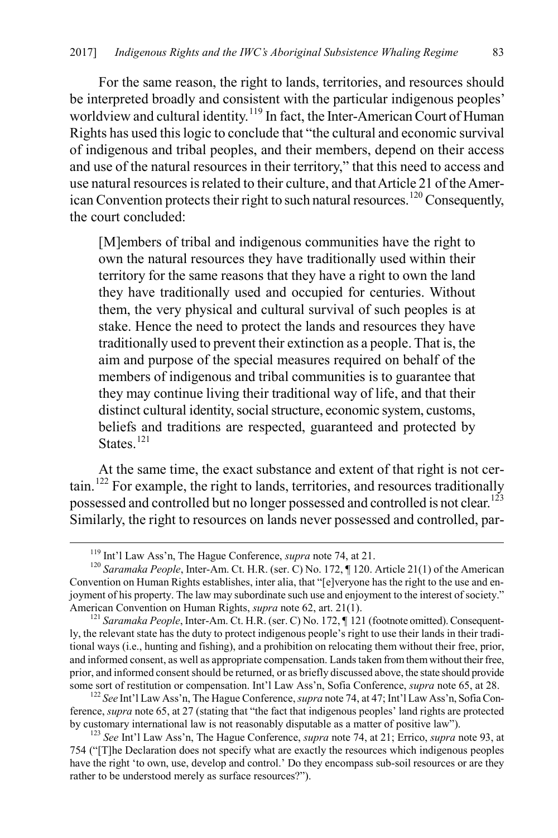For the same reason, the right to lands, territories, and resources should be interpreted broadly and consistent with the particular indigenous peoples' worldview and cultural identity.<sup>[119](#page-21-0)</sup> In fact, the Inter-American Court of Human Rights has used this logic to conclude that "the cultural and economic survival of indigenous and tribal peoples, and their members, depend on their access and use of the natural resources in their territory," that this need to access and use natural resources is related to their culture, and that Article 21 of the Amer-ican Convention protects their right to such natural resources.<sup>[120](#page-21-1)</sup> Consequently, the court concluded:

[M]embers of tribal and indigenous communities have the right to own the natural resources they have traditionally used within their territory for the same reasons that they have a right to own the land they have traditionally used and occupied for centuries. Without them, the very physical and cultural survival of such peoples is at stake. Hence the need to protect the lands and resources they have traditionally used to prevent their extinction as a people. That is, the aim and purpose of the special measures required on behalf of the members of indigenous and tribal communities is to guarantee that they may continue living their traditional way of life, and that their distinct cultural identity, social structure, economic system, customs, beliefs and traditions are respected, guaranteed and protected by States $121$ 

At the same time, the exact substance and extent of that right is not cer-tain.<sup>[122](#page-21-3)</sup> For example, the right to lands, territories, and resources traditionally possessed and controlled but no longer possessed and controlled is not clear.<sup>[123](#page-21-4)</sup> Similarly, the right to resources on lands never possessed and controlled, par-

<span id="page-21-3"></span>ference, *supra* not[e 65,](#page-13-5) at 27 (stating that "the fact that indigenous peoples' land rights are protected by customary international law is not reasonably disputable as a matter of positive law"). <sup>123</sup> *See* Int'l Law Ass'n, The Hague Conference, *supra* not[e 74,](#page-14-8) at 21; Errico, *supra* not[e 93,](#page-17-6) at

<span id="page-21-1"></span><span id="page-21-0"></span><sup>&</sup>lt;sup>119</sup> Int'l Law Ass'n, The Hague Conference, *supra* note [74,](#page-14-8) at 21.<br><sup>120</sup> *Saramaka People*, Inter-Am. Ct. H.R. (ser. C) No. 172, ¶ 120. Article 21(1) of the American Convention on Human Rights establishes, inter alia, that "[e]veryone has the right to the use and enjoyment of his property. The law may subordinate such use and enjoyment to the interest of society." American Convention on Human Rights, *supra* note [62,](#page-12-13) art. 21(1).<br><sup>121</sup> *Saramaka People*, Inter-Am. Ct. H.R. (ser. C) No. 172, ¶ 121 (footnote omitted). Consequent-

<span id="page-21-2"></span>ly, the relevant state has the duty to protect indigenous people's right to use their lands in their traditional ways (i.e., hunting and fishing), and a prohibition on relocating them without their free, prior, and informed consent, as well as appropriate compensation. Lands taken from them without their free, prior, and informed consent should be returned, or as briefly discussed above, the state should provide some sort of restitution or compensation. Int'l Law Ass'n, Sofia Conference, *supra* not[e 65,](#page-13-5) at 28. <sup>122</sup> *See* Int'l Law Ass'n, The Hague Conference, *supra* not[e 74,](#page-14-8) at 47; Int'l Law Ass'n, Sofia Con-

<span id="page-21-4"></span><sup>754 (&</sup>quot;[T]he Declaration does not specify what are exactly the resources which indigenous peoples have the right 'to own, use, develop and control.' Do they encompass sub-soil resources or are they rather to be understood merely as surface resources?").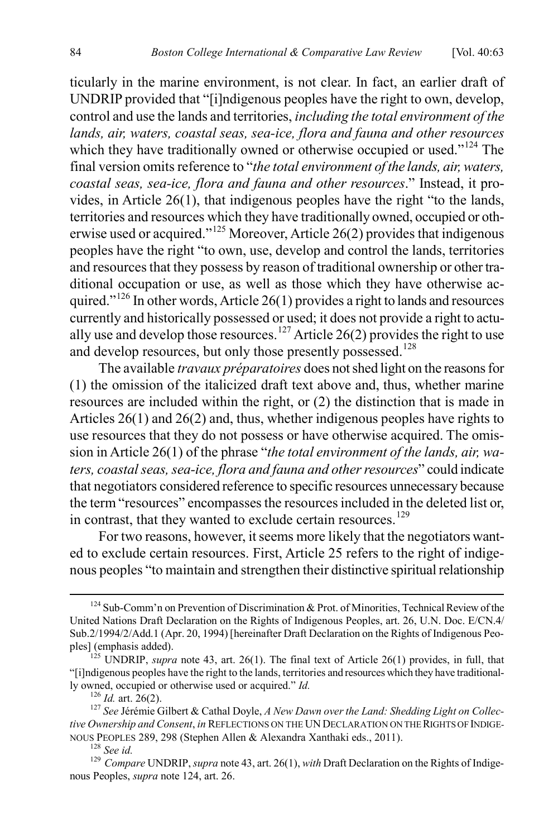<span id="page-22-0"></span>ticularly in the marine environment, is not clear. In fact, an earlier draft of UNDRIP provided that "[i]ndigenous peoples have the right to own, develop, control and use the lands and territories, *including the total environment of the lands, air, waters, coastal seas, sea-ice, flora and fauna and other resources* which they have traditionally owned or otherwise occupied or used."<sup>[124](#page-22-1)</sup> The final version omits reference to "*the total environment of the lands, air, waters, coastal seas, sea-ice, flora and fauna and other resources*." Instead, it provides, in Article 26(1), that indigenous peoples have the right "to the lands, territories and resources which they have traditionally owned, occupied or otherwise used or acquired."[125](#page-22-2) Moreover, Article 26(2) provides that indigenous peoples have the right "to own, use, develop and control the lands, territories and resources that they possess by reason of traditional ownership or other traditional occupation or use, as well as those which they have otherwise ac-quired."<sup>[126](#page-22-3)</sup> In other words, Article 26(1) provides a right to lands and resources currently and historically possessed or used; it does not provide a right to actu-ally use and develop those resources.<sup>[127](#page-22-4)</sup> Article 26(2) provides the right to use and develop resources, but only those presently possessed.<sup>[128](#page-22-5)</sup>

The available *travaux préparatoires* does not shed light on the reasons for (1) the omission of the italicized draft text above and, thus, whether marine resources are included within the right, or (2) the distinction that is made in Articles 26(1) and 26(2) and, thus, whether indigenous peoples have rights to use resources that they do not possess or have otherwise acquired. The omission in Article 26(1) of the phrase "*the total environment of the lands, air, waters, coastal seas, sea-ice, flora and fauna and other resources*" could indicate that negotiators considered reference to specific resources unnecessary because the term "resources" encompasses the resources included in the deleted list or, in contrast, that they wanted to exclude certain resources.<sup>[129](#page-22-6)</sup>

For two reasons, however, it seems more likely that the negotiators wanted to exclude certain resources. First, Article 25 refers to the right of indigenous peoples "to maintain and strengthen their distinctive spiritual relationship

<span id="page-22-1"></span> $124$  Sub-Comm'n on Prevention of Discrimination & Prot. of Minorities, Technical Review of the United Nations Draft Declaration on the Rights of Indigenous Peoples, art. 26, U.N. Doc. E/CN.4/ Sub.2/1994/2/Add.1 (Apr. 20, 1994) [hereinafter Draft Declaration on the Rights of Indigenous Peo-<br>ples] (emphasis added).

<span id="page-22-2"></span> $^{125}$  UNDRIP, *supra* note [43,](#page-9-9) art. 26(1). The final text of Article 26(1) provides, in full, that "[i]ndigenous peoples have the right to the lands, territories and resources which they have traditionally owned, occupied or otherwise used or acquired." *Id.* 126 *Id.* 126 *Id.* art. 26(2). <sup>127</sup> *See* Jérémie Gilbert & Cathal Doyle, *A New Dawn over the Land: Shedding Light on Collec-*

<span id="page-22-4"></span><span id="page-22-3"></span>*tive Ownership and Consent*, *in* REFLECTIONS ON THE UN DECLARATION ON THE RIGHTS OF INDIGENOUS PEOPLES 289, 298 (Stephen Allen & Alexandra Xanthaki eds., 2011).

<span id="page-22-6"></span><span id="page-22-5"></span><sup>&</sup>lt;sup>128</sup> See id.<br><sup>129</sup> Compare UNDRIP, *supra* not[e 43,](#page-9-9) art. 26(1), *with* Draft Declaration on the Rights of Indigenous Peoples, *supra* note [124,](#page-22-0) art. 26.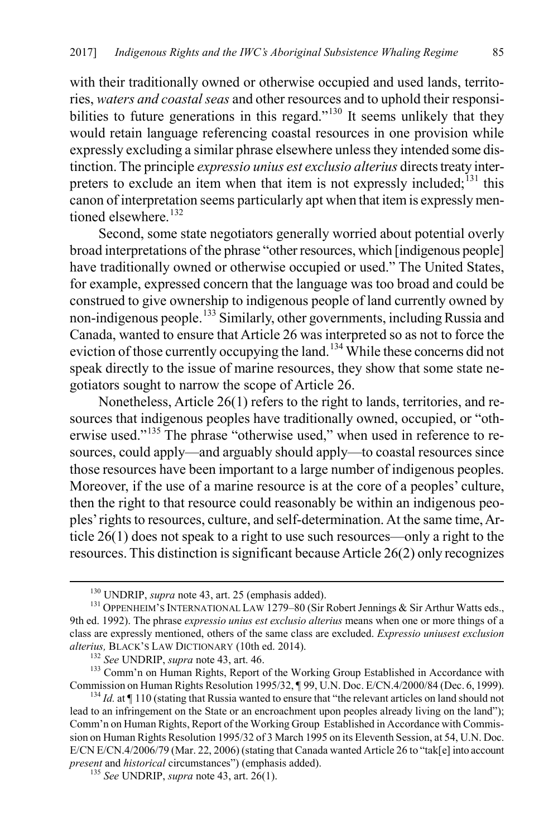with their traditionally owned or otherwise occupied and used lands, territories, *waters and coastal seas* and other resources and to uphold their responsi-bilities to future generations in this regard."<sup>[130](#page-23-0)</sup> It seems unlikely that they would retain language referencing coastal resources in one provision while expressly excluding a similar phrase elsewhere unless they intended some distinction. The principle *expressio unius est exclusio alterius* directs treaty interpreters to exclude an item when that item is not expressly included; $^{131}$  $^{131}$  $^{131}$  this canon of interpretation seems particularly apt when that item is expressly men-tioned elsewhere.<sup>[132](#page-23-2)</sup>

Second, some state negotiators generally worried about potential overly broad interpretations of the phrase "other resources, which [indigenous people] have traditionally owned or otherwise occupied or used." The United States, for example, expressed concern that the language was too broad and could be construed to give ownership to indigenous people of land currently owned by non-indigenous people.[133](#page-23-3) Similarly, other governments, including Russia and Canada, wanted to ensure that Article 26 was interpreted so as not to force the eviction of those currently occupying the land.<sup>[134](#page-23-4)</sup> While these concerns did not speak directly to the issue of marine resources, they show that some state negotiators sought to narrow the scope of Article 26.

Nonetheless, Article 26(1) refers to the right to lands, territories, and resources that indigenous peoples have traditionally owned, occupied, or "oth-erwise used."<sup>[135](#page-23-5)</sup> The phrase "otherwise used," when used in reference to resources, could apply—and arguably should apply—to coastal resources since those resources have been important to a large number of indigenous peoples. Moreover, if the use of a marine resource is at the core of a peoples' culture, then the right to that resource could reasonably be within an indigenous peoples' rights to resources, culture, and self-determination. At the same time, Article 26(1) does not speak to a right to use such resources—only a right to the resources. This distinction is significant because Article 26(2) only recognizes

<span id="page-23-3"></span><span id="page-23-2"></span><sup>132</sup> See UNDRIP, *supra* not[e 43,](#page-9-9) art. 46.<br><sup>133</sup> Comm'n on Human Rights, Report of the Working Group Established in Accordance with Commission on Human Rights Resolution 1995/32, ¶ 99, U.N. Doc. E/CN.4/2000/84 (Dec. 6, 1999). <sup>134</sup> *Id.* at ¶ 110 (stating that Russia wanted to ensure that "the relevant articles on land should not

<span id="page-23-1"></span><span id="page-23-0"></span><sup>&</sup>lt;sup>130</sup> UNDRIP, *supra* not[e 43,](#page-9-9) art. 25 (emphasis added).<br><sup>131</sup> OPPENHEIM'S INTERNATIONAL LAW 1279–80 (Sir Robert Jennings & Sir Arthur Watts eds., 9th ed. 1992). The phrase *expressio unius est exclusio alterius* means when one or more things of a class are expressly mentioned, others of the same class are excluded. *Expressio uniusest exclusion* 

<span id="page-23-4"></span>lead to an infringement on the State or an encroachment upon peoples already living on the land"); Comm'n on Human Rights, Report of the Working Group Established in Accordance with Commission on Human Rights Resolution 1995/32 of 3 March 1995 on its Eleventh Session, at 54, U.N. Doc. E/CN E/CN.4/2006/79 (Mar. 22, 2006) (stating that Canada wanted Article 26 to "tak[e] into account *present* and *historical* circumstances") (emphasis added). <sup>135</sup> *See* UNDRIP, *supra* not[e 43,](#page-9-9) art. 26(1).

<span id="page-23-5"></span>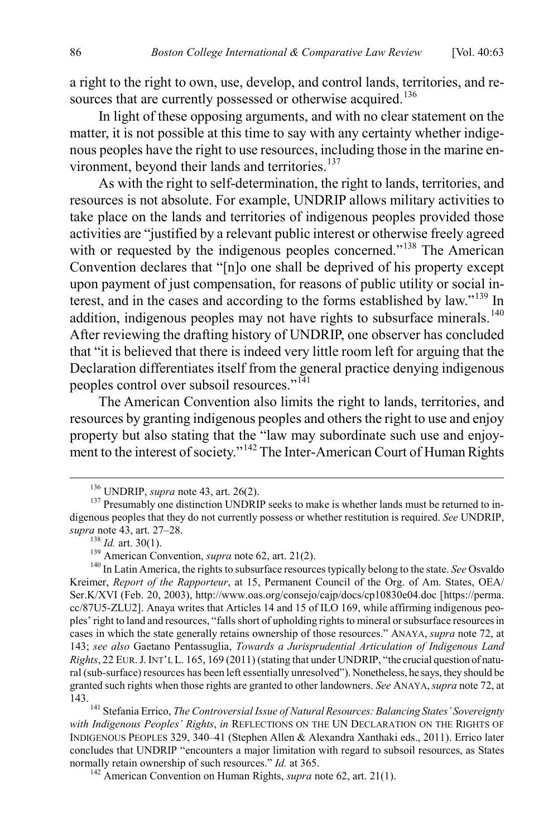a right to the right to own, use, develop, and control lands, territories, and re-sources that are currently possessed or otherwise acquired.<sup>[136](#page-24-0)</sup>

In light of these opposing arguments, and with no clear statement on the matter, it is not possible at this time to say with any certainty whether indigenous peoples have the right to use resources, including those in the marine en-vironment, beyond their lands and territories.<sup>[137](#page-24-1)</sup>

As with the right to self-determination, the right to lands, territories, and resources is not absolute. For example, UNDRIP allows military activities to take place on the lands and territories of indigenous peoples provided those activities are "justified by a relevant public interest or otherwise freely agreed with or requested by the indigenous peoples concerned."<sup>[138](#page-24-2)</sup> The American Convention declares that "[n]o one shall be deprived of his property except upon payment of just compensation, for reasons of public utility or social interest, and in the cases and according to the forms established by law."[139](#page-24-3) In addition, indigenous peoples may not have rights to subsurface minerals.<sup>[140](#page-24-4)</sup> After reviewing the drafting history of UNDRIP, one observer has concluded that "it is believed that there is indeed very little room left for arguing that the Declaration differentiates itself from the general practice denying indigenous peoples control over subsoil resources."<sup>[141](#page-24-5)</sup>

<span id="page-24-8"></span><span id="page-24-7"></span>The American Convention also limits the right to lands, territories, and resources by granting indigenous peoples and others the right to use and enjoy property but also stating that the "law may subordinate such use and enjoy-ment to the interest of society."<sup>[142](#page-24-6)</sup> The Inter-American Court of Human Rights

<span id="page-24-1"></span><span id="page-24-0"></span><sup>&</sup>lt;sup>136</sup> UNDRIP, *supra* not[e 43,](#page-9-9) art. 26(2).<br><sup>137</sup> Presumably one distinction UNDRIP seeks to make is whether lands must be returned to indigenous peoples that they do not currently possess or whether restitution is required. *See* UNDRIP, supra not[e 43,](#page-9-9) art. 27–28.<br><sup>138</sup> *Id.* art. 30(1).<br><sup>139</sup> American Convention, *supra* not[e 62,](#page-12-13) art. 21(2).<br><sup>140</sup> In Latin America, the rights to subsurface resources typically belong to the state. *See* Osvaldo

<span id="page-24-4"></span><span id="page-24-3"></span><span id="page-24-2"></span>Kreimer, *Report of the Rapporteur*, at 15, Permanent Council of the Org. of Am. States, OEA/ Ser.K/XVI (Feb. 20, 2003), http://www.oas.org/consejo/cajp/docs/cp10830e04.doc [https://perma. cc/87U5-ZLU2]. Anaya writes that Articles 14 and 15 of ILO 169, while affirming indigenous peoples' right to land and resources, "falls short of upholding rights to mineral or subsurface resources in cases in which the state generally retains ownership of those resources." ANAYA, *supra* not[e 72,](#page-14-7) at 143; *see also* Gaetano Pentassuglia, *Towards a Jurisprudential Articulation of Indigenous Land Rights*, 22 EUR. J. INT'L L. 165, 169 (2011) (stating that under UNDRIP, "the crucial question of natural (sub-surface) resources has been left essentially unresolved"). Nonetheless, he says, they should be granted such rights when those rights are granted to other landowners. *See* ANAYA,*supra* not[e 72,](#page-14-7) at

<span id="page-24-5"></span><sup>143.</sup> <sup>141</sup> Stefania Errico, *The Controversial Issue of Natural Resources: Balancing States' Sovereignty with Indigenous Peoples' Rights*, *in* REFLECTIONS ON THE UN DECLARATION ON THE RIGHTS OF INDIGENOUS PEOPLES 329, 340–41 (Stephen Allen & Alexandra Xanthaki eds., 2011). Errico later concludes that UNDRIP "encounters a major limitation with regard to subsoil resources, as States normally retain ownership of such resources." *Id.* at 365.<br><sup>142</sup> American Convention on Human Rights, *supra* not[e 62,](#page-12-13) art. 21(1).

<span id="page-24-6"></span>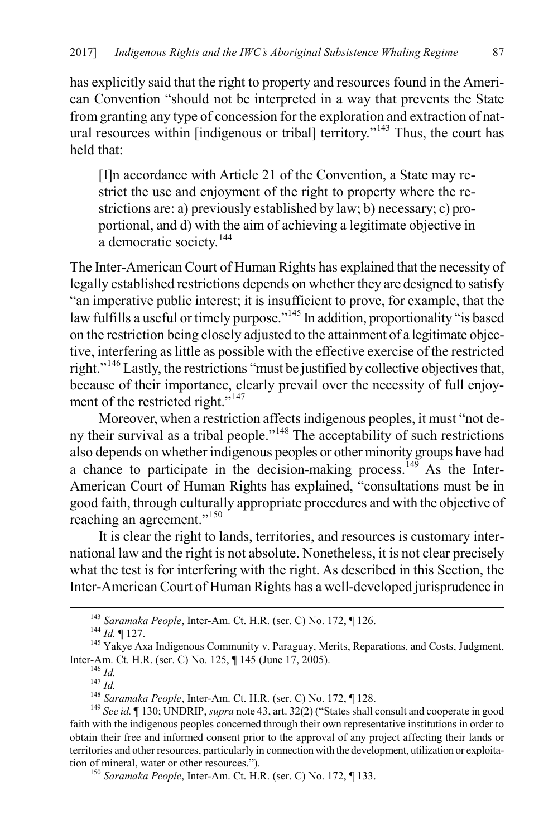has explicitly said that the right to property and resources found in the American Convention "should not be interpreted in a way that prevents the State from granting any type of concession for the exploration and extraction of natural resources within [indigenous or tribal] territory."[143](#page-25-0) Thus, the court has held that:

[I]n accordance with Article 21 of the Convention, a State may restrict the use and enjoyment of the right to property where the restrictions are: a) previously established by law; b) necessary; c) proportional, and d) with the aim of achieving a legitimate objective in a democratic society.<sup>[144](#page-25-1)</sup>

The Inter-American Court of Human Rights has explained that the necessity of legally established restrictions depends on whether they are designed to satisfy "an imperative public interest; it is insufficient to prove, for example, that the law fulfills a useful or timely purpose."<sup>[145](#page-25-2)</sup> In addition, proportionality "is based on the restriction being closely adjusted to the attainment of a legitimate objective, interfering as little as possible with the effective exercise of the restricted right."[146](#page-25-3) Lastly, the restrictions "must be justified by collective objectives that, because of their importance, clearly prevail over the necessity of full enjoy-ment of the restricted right."<sup>[147](#page-25-4)</sup>

Moreover, when a restriction affects indigenous peoples, it must "not de-ny their survival as a tribal people."<sup>[148](#page-25-5)</sup> The acceptability of such restrictions also depends on whether indigenous peoples or other minority groups have had a chance to participate in the decision-making process.<sup>[149](#page-25-6)</sup> As the Inter-American Court of Human Rights has explained, "consultations must be in good faith, through culturally appropriate procedures and with the objective of reaching an agreement."[150](#page-25-7)

It is clear the right to lands, territories, and resources is customary international law and the right is not absolute. Nonetheless, it is not clear precisely what the test is for interfering with the right. As described in this Section, the Inter-American Court of Human Rights has a well-developed jurisprudence in

<span id="page-25-2"></span><span id="page-25-1"></span><span id="page-25-0"></span><sup>&</sup>lt;sup>143</sup> *Saramaka People*, Inter-Am. Ct. H.R. (ser. C) No. 172, ¶ 126.<br><sup>144</sup> *Id.* ¶ 127. 145 Yakye Axa Indigenous Community v. Paraguay, Merits, Reparations, and Costs, Judgment, Inter-Am. Ct. H.R. (ser. C) No. 125,  $\P$  145 (June 17, 2005).<br><sup>146</sup> *Id.*<br><sup>147</sup> *Id.*<br><sup>148</sup> Saramaka People, Inter-Am. Ct. H.R. (ser. C) No. 172,  $\P$  128.<br><sup>149</sup> See id.  $\P$  130; UNDRIP, *supra* not[e 43,](#page-9-9) art. 32(2) ("States

<span id="page-25-7"></span><span id="page-25-6"></span><span id="page-25-5"></span><span id="page-25-4"></span><span id="page-25-3"></span>faith with the indigenous peoples concerned through their own representative institutions in order to obtain their free and informed consent prior to the approval of any project affecting their lands or territories and other resources, particularly in connection with the development, utilization or exploitation of mineral, water or other resources.").<br><sup>150</sup> *Saramaka People*, Inter-Am. Ct. H.R. (ser. C) No. 172, ¶ 133.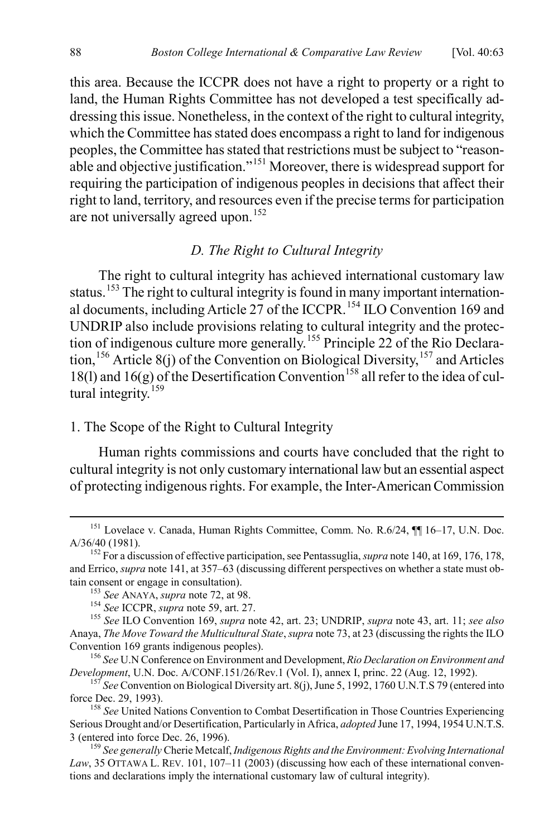this area. Because the ICCPR does not have a right to property or a right to land, the Human Rights Committee has not developed a test specifically addressing this issue. Nonetheless, in the context of the right to cultural integrity, which the Committee has stated does encompass a right to land for indigenous peoples, the Committee has stated that restrictions must be subject to "reasonable and objective justification."[151](#page-26-0) Moreover, there is widespread support for requiring the participation of indigenous peoples in decisions that affect their right to land, territory, and resources even if the precise terms for participation are not universally agreed upon.<sup>[152](#page-26-1)</sup>

# *D. The Right to Cultural Integrity*

The right to cultural integrity has achieved international customary law status.<sup>[153](#page-26-2)</sup> The right to cultural integrity is found in many important internation-al documents, including Article 27 of the ICCPR.<sup>[154](#page-26-3)</sup> ILO Convention 169 and UNDRIP also include provisions relating to cultural integrity and the protection of indigenous culture more generally.[155](#page-26-4) Principle 22 of the Rio Declara-tion, <sup>[156](#page-26-5)</sup> Article 8(j) of the Convention on Biological Diversity,  $157$  and Articles 18(1) and 16(g) of the Desertification Convention<sup>[158](#page-26-7)</sup> all refer to the idea of cul-tural integrity.<sup>[159](#page-26-8)</sup>

# 1. The Scope of the Right to Cultural Integrity

Human rights commissions and courts have concluded that the right to cultural integrity is not only customary international law but an essential aspect of protecting indigenous rights. For example, the Inter-American Commission

<span id="page-26-6"></span><sup>157</sup> *See* Convention on Biological Diversity art. 8(j), June 5, 1992, 1760 U.N.T.S 79 (entered into force Dec. 29, 1993).

<span id="page-26-7"></span><sup>158</sup> See United Nations Convention to Combat Desertification in Those Countries Experiencing Serious Drought and/or Desertification, Particularly in Africa, *adopted* June 17, 1994, 1954 U.N.T.S.

<span id="page-26-0"></span><sup>&</sup>lt;sup>151</sup> Lovelace v. Canada, Human Rights Committee, Comm. No. R.6/24, ¶¶ 16–17, U.N. Doc. A/36/40 (1981). 152 For a discussion of effective participation, see Pentassuglia, *supra* not[e 140,](#page-24-7) at 169, 176, 178,

<span id="page-26-1"></span>and Errico, *supra* not[e 141,](#page-24-8) at 357–63 (discussing different perspectives on whether a state must obtain consent or engage in consultation).

<span id="page-26-4"></span><span id="page-26-3"></span><span id="page-26-2"></span><sup>&</sup>lt;sup>153</sup> See ANAYA, *supra* not[e 72,](#page-14-7) at 98.<br><sup>154</sup> See ICCPR, *supra* not[e 59,](#page-12-11) art. 27.<br><sup>155</sup> See ILO Convention 169, *supra* note [42,](#page-9-0) art. 23; UNDRIP, *supra* not[e 43,](#page-9-9) art. 11; *see also* Anaya, *The Move Toward the Multicultural State*, *supra* not[e 73,](#page-14-9) at 23 (discussing the rights the ILO

<span id="page-26-5"></span><sup>&</sup>lt;sup>156</sup> *See* U.N Conference on Environment and Development, *Rio Declaration on Environment and Development*, U.N. Doc. A/CONF.151/26/Rev.1 (Vol. I), annex I, princ. 22 (Aug. 12, 1992).

<span id="page-26-8"></span><sup>&</sup>lt;sup>159</sup> See generally Cherie Metcalf, *Indigenous Rights and the Environment: Evolving International Law*, 35 OTTAWA L. REV. 101, 107–11 (2003) (discussing how each of these international conventions and declarations imply the international customary law of cultural integrity).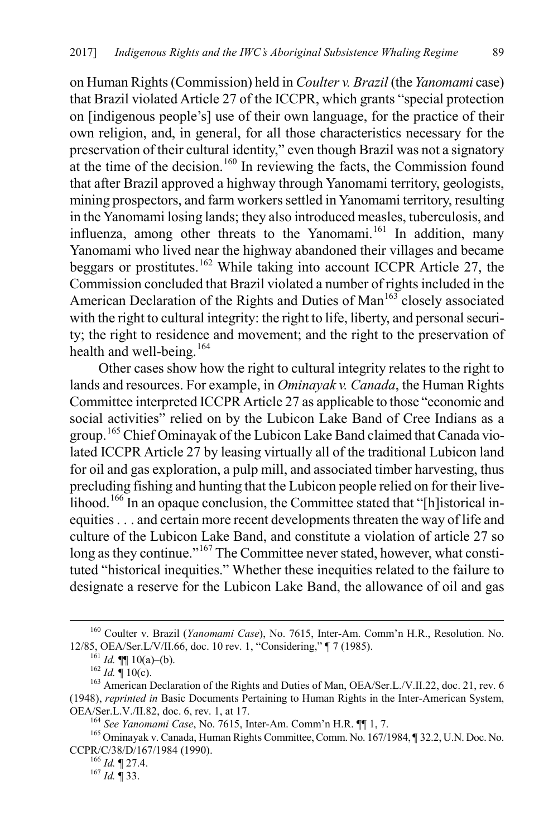on Human Rights (Commission) held in *Coulter v. Brazil* (the *Yanomami* case) that Brazil violated Article 27 of the ICCPR, which grants "special protection on [indigenous people's] use of their own language, for the practice of their own religion, and, in general, for all those characteristics necessary for the preservation of their cultural identity," even though Brazil was not a signatory at the time of the decision.<sup>[160](#page-27-0)</sup> In reviewing the facts, the Commission found that after Brazil approved a highway through Yanomami territory, geologists, mining prospectors, and farm workers settled in Yanomami territory, resulting in the Yanomami losing lands; they also introduced measles, tuberculosis, and influenza, among other threats to the Yanomami.<sup>[161](#page-27-1)</sup> In addition, many Yanomami who lived near the highway abandoned their villages and became beggars or prostitutes.<sup>[162](#page-27-2)</sup> While taking into account ICCPR Article 27, the Commission concluded that Brazil violated a number of rights included in the American Declaration of the Rights and Duties of Man<sup>[163](#page-27-3)</sup> closely associated with the right to cultural integrity: the right to life, liberty, and personal security; the right to residence and movement; and the right to the preservation of health and well-being.<sup>[164](#page-27-4)</sup>

Other cases show how the right to cultural integrity relates to the right to lands and resources. For example, in *Ominayak v. Canada*, the Human Rights Committee interpreted ICCPR Article 27 as applicable to those "economic and social activities" relied on by the Lubicon Lake Band of Cree Indians as a group.[165](#page-27-5) Chief Ominayak of the Lubicon Lake Band claimed that Canada violated ICCPR Article 27 by leasing virtually all of the traditional Lubicon land for oil and gas exploration, a pulp mill, and associated timber harvesting, thus precluding fishing and hunting that the Lubicon people relied on for their live-lihood.<sup>[166](#page-27-6)</sup> In an opaque conclusion, the Committee stated that "[h]istorical inequities . . . and certain more recent developments threaten the way of life and culture of the Lubicon Lake Band, and constitute a violation of article 27 so long as they continue."<sup>167</sup> The Committee never stated, however, what constituted "historical inequities." Whether these inequities related to the failure to designate a reserve for the Lubicon Lake Band, the allowance of oil and gas

<span id="page-27-0"></span><sup>&</sup>lt;sup>160</sup> Coulter v. Brazil (*Yanomami Case*), No. 7615, Inter-Am. Comm'n H.R., Resolution. No. 12/85, OEA/Ser.L/V/II.66, doc. 10 rev. 1, "Considering."  $\P$  7 (1985).

<span id="page-27-3"></span><span id="page-27-2"></span><span id="page-27-1"></span><sup>&</sup>lt;sup>161</sup> *Id.* **¶** 10(a)–(b).<br><sup>162</sup> *Id.* ¶ 10(c).<br><sup>163</sup> American Declaration of the Rights and Duties of Man, OEA/Ser.L./V.II.22, doc. 21, rev. 6 (1948), *reprinted in* Basic Documents Pertaining to Human Rights in the Inter-American System,

<span id="page-27-6"></span><span id="page-27-5"></span><span id="page-27-4"></span>OEA/Ser.L.V./II.82, doc. 6, rev. 1, at 17.<br><sup>164</sup> *See Yanomami Case*, No. 7615, Inter-Am. Comm'n H.R. ¶¶ 1, 7.<br><sup>165</sup> Ominayak v. Canada, Human Rights Committee, Comm. No. 167/1984, ¶ 32.2, U.N. Doc. No. CCPR/C/38/D/167/1984 (1990). 166 *Id.* ¶ 27.4. <sup>167</sup> *Id.* ¶ 33.

<span id="page-27-7"></span>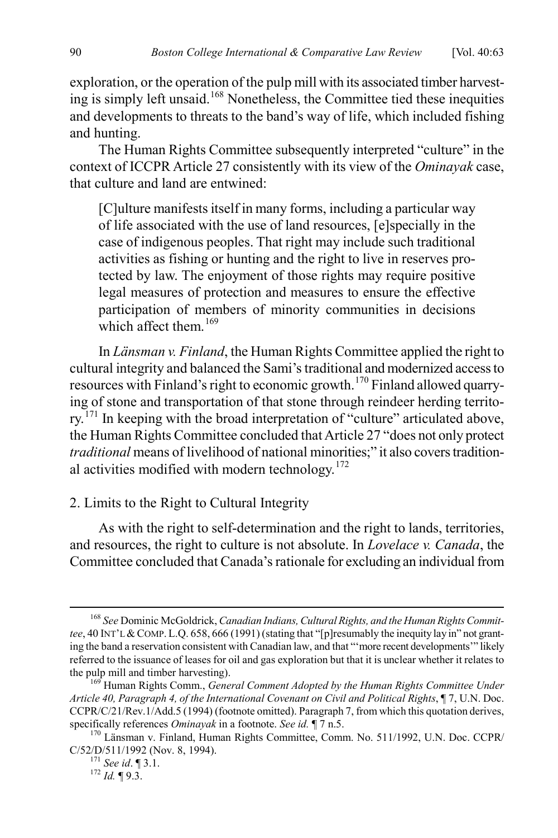exploration, or the operation of the pulp mill with its associated timber harvesting is simply left unsaid.[168](#page-28-0) Nonetheless, the Committee tied these inequities and developments to threats to the band's way of life, which included fishing and hunting.

The Human Rights Committee subsequently interpreted "culture" in the context of ICCPR Article 27 consistently with its view of the *Ominayak* case, that culture and land are entwined:

[C]ulture manifests itself in many forms, including a particular way of life associated with the use of land resources, [e]specially in the case of indigenous peoples. That right may include such traditional activities as fishing or hunting and the right to live in reserves protected by law. The enjoyment of those rights may require positive legal measures of protection and measures to ensure the effective participation of members of minority communities in decisions which affect them  $^{169}$  $^{169}$  $^{169}$ 

In *Länsman v. Finland*, the Human Rights Committee applied the right to cultural integrity and balanced the Sami's traditional and modernized access to resources with Finland's right to economic growth.[170](#page-28-2) Finland allowed quarrying of stone and transportation of that stone through reindeer herding territo-rv.<sup>[171](#page-28-3)</sup> In keeping with the broad interpretation of "culture" articulated above, the Human Rights Committee concluded that Article 27 "does not only protect *traditional* means of livelihood of national minorities;" it also covers traditional activities modified with modern technology. $172$ 

#### 2. Limits to the Right to Cultural Integrity

As with the right to self-determination and the right to lands, territories, and resources, the right to culture is not absolute. In *Lovelace v. Canada*, the Committee concluded that Canada's rationale for excluding an individual from

<span id="page-28-0"></span> <sup>168</sup> *See* Dominic McGoldrick, *Canadian Indians, Cultural Rights, and the Human Rights Committee*, 40 INT'L &COMP. L.Q. 658, 666 (1991) (stating that "[p]resumably the inequity lay in" not granting the band a reservation consistent with Canadian law, and that "'more recent developments'" likely referred to the issuance of leases for oil and gas exploration but that it is unclear whether it relates to

<span id="page-28-1"></span>the pulp mill and timber harvesting).<br><sup>169</sup> Human Rights Comm., *General Comment Adopted by the Human Rights Committee Under Article 40, Paragraph 4, of the International Covenant on Civil and Political Rights*, ¶ 7, U.N. Doc. CCPR/C/21/Rev.1/Add.5 (1994) (footnote omitted). Paragraph 7, from which this quotation derives,

<span id="page-28-4"></span><span id="page-28-3"></span><span id="page-28-2"></span>specifically references *Ominayak* in a footnote. *See id.* ¶ 7 n.5. 170 Länsman v. Finland, Human Rights Committee, Comm. No. 511/1992, U.N. Doc. CCPR/ C/52/D/511/1992 (Nov. 8, 1994). <sup>171</sup> *See id*. ¶ 3.1. <sup>172</sup> *Id.* ¶ 9.3.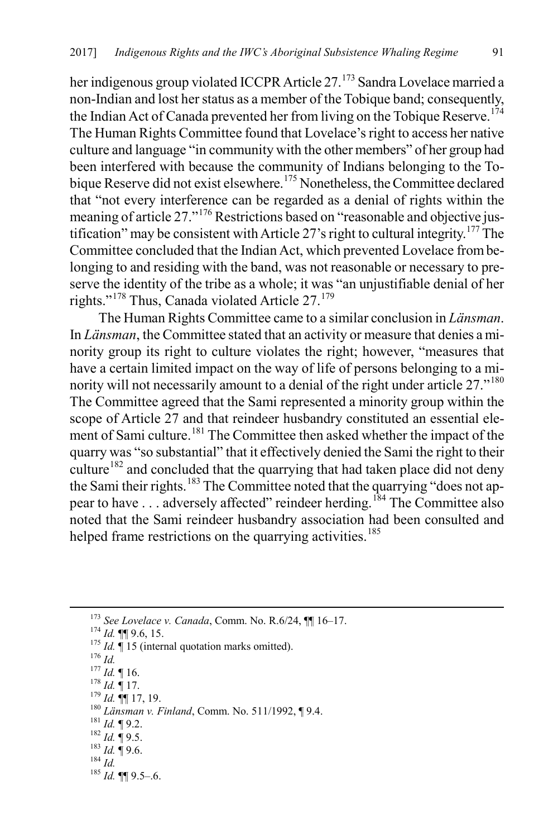her indigenous group violated ICCPR Article 27.<sup>[173](#page-29-0)</sup> Sandra Lovelace married a non-Indian and lost her status as a member of the Tobique band; consequently, the Indian Act of Canada prevented her from living on the Tobique Reserve.<sup>[174](#page-29-1)</sup> The Human Rights Committee found that Lovelace's right to access her native culture and language "in community with the other members" of her group had been interfered with because the community of Indians belonging to the To-bique Reserve did not exist elsewhere.<sup>[175](#page-29-2)</sup> Nonetheless, the Committee declared that "not every interference can be regarded as a denial of rights within the meaning of article 27."[176](#page-29-3) Restrictions based on "reasonable and objective jus-tification" may be consistent with Article 27's right to cultural integrity.<sup>[177](#page-29-4)</sup> The Committee concluded that the Indian Act, which prevented Lovelace from belonging to and residing with the band, was not reasonable or necessary to preserve the identity of the tribe as a whole; it was "an unjustifiable denial of her rights."[178](#page-29-5) Thus, Canada violated Article 27.[179](#page-29-6)

The Human Rights Committee came to a similar conclusion in *Länsman*. In *Länsman*, the Committee stated that an activity or measure that denies a minority group its right to culture violates the right; however, "measures that have a certain limited impact on the way of life of persons belonging to a mi-nority will not necessarily amount to a denial of the right under article 27."<sup>[180](#page-29-7)</sup> The Committee agreed that the Sami represented a minority group within the scope of Article 27 and that reindeer husbandry constituted an essential ele-ment of Sami culture.<sup>[181](#page-29-8)</sup> The Committee then asked whether the impact of the quarry was "so substantial" that it effectively denied the Sami the right to their culture<sup>[182](#page-29-9)</sup> and concluded that the quarrying that had taken place did not deny the Sami their rights.<sup>[183](#page-29-10)</sup> The Committee noted that the quarrying "does not appear to have . . . adversely affected" reindeer herding.[184](#page-29-11) The Committee also noted that the Sami reindeer husbandry association had been consulted and helped frame restrictions on the quarrying activities.<sup>[185](#page-29-12)</sup>

<span id="page-29-13"></span>

- <span id="page-29-11"></span>
- <span id="page-29-12"></span>

<span id="page-29-3"></span><span id="page-29-2"></span><span id="page-29-1"></span><span id="page-29-0"></span><sup>&</sup>lt;sup>173</sup> See Lovelace v. Canada, Comm. No. R.6/24,  $\P\P$  16–17.<br><sup>174</sup> Id.  $\P$  9.6, 15.<br><sup>175</sup> Id.  $\P$  15 (internal quotation marks omitted).<br><sup>176</sup> Id. <sup>17</sup> Id.  $\P$  16.<br><sup>177</sup> Id.  $\P$  17.<br><sup>19</sup> Id.  $\P$  17.<br><sup>19</sup> Id.  $\P$  17.<br><sup>19</sup> I

<span id="page-29-4"></span>

<span id="page-29-5"></span>

<span id="page-29-8"></span><span id="page-29-7"></span><span id="page-29-6"></span>

<span id="page-29-10"></span><span id="page-29-9"></span>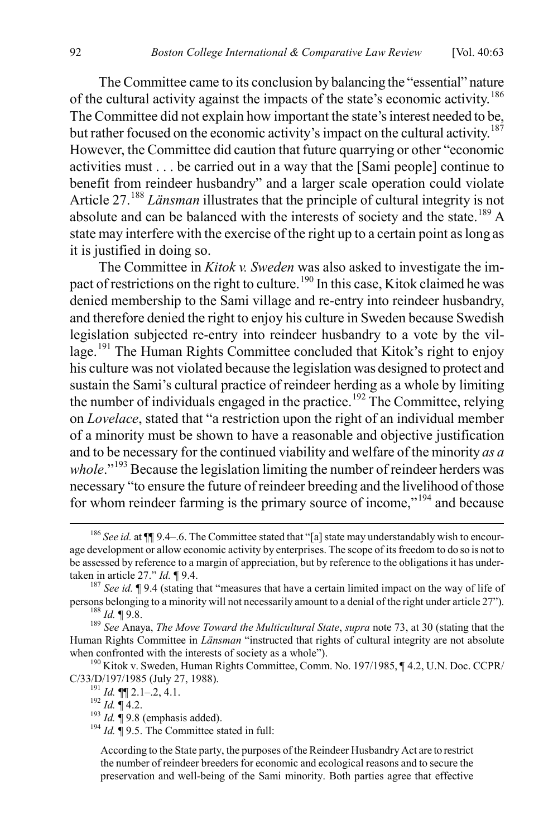The Committee came to its conclusion by balancing the "essential" nature of the cultural activity against the impacts of the state's economic activity.[186](#page-30-0) The Committee did not explain how important the state's interest needed to be, but rather focused on the economic activity's impact on the cultural activity.<sup>[187](#page-30-1)</sup> However, the Committee did caution that future quarrying or other "economic activities must . . . be carried out in a way that the [Sami people] continue to benefit from reindeer husbandry" and a larger scale operation could violate Article 27.[188](#page-30-2) *Länsman* illustrates that the principle of cultural integrity is not absolute and can be balanced with the interests of society and the state.<sup>[189](#page-30-3)</sup> A state may interfere with the exercise of the right up to a certain point as long as it is justified in doing so.

The Committee in *Kitok v. Sweden* was also asked to investigate the im-pact of restrictions on the right to culture.<sup>[190](#page-30-4)</sup> In this case, Kitok claimed he was denied membership to the Sami village and re-entry into reindeer husbandry, and therefore denied the right to enjoy his culture in Sweden because Swedish legislation subjected re-entry into reindeer husbandry to a vote by the vil-lage.<sup>[191](#page-30-5)</sup> The Human Rights Committee concluded that Kitok's right to enjoy his culture was not violated because the legislation was designed to protect and sustain the Sami's cultural practice of reindeer herding as a whole by limiting the number of individuals engaged in the practice.<sup>[192](#page-30-6)</sup> The Committee, relying on *Lovelace*, stated that "a restriction upon the right of an individual member of a minority must be shown to have a reasonable and objective justification and to be necessary for the continued viability and welfare of the minority *as a whole*."<sup>[193](#page-30-7)</sup> Because the legislation limiting the number of reindeer herders was necessary "to ensure the future of reindeer breeding and the livelihood of those for whom reindeer farming is the primary source of income,"<sup>[194](#page-30-8)</sup> and because

<span id="page-30-0"></span><sup>&</sup>lt;sup>186</sup> See id. at  $\P$  9.4–.6. The Committee stated that "[a] state may understandably wish to encourage development or allow economic activity by enterprises. The scope of its freedom to do so is not to be assessed by reference to a margin of appreciation, but by reference to the obligations it has under-

<span id="page-30-1"></span>taken in article 27." *Id.* ¶ 9.4.<br><sup>187</sup> *See id.* ¶ 9.4 (stating that "measures that have a certain limited impact on the way of life of persons belonging to a minority will not necessarily amount to a denial of the right

<span id="page-30-3"></span><span id="page-30-2"></span><sup>&</sup>lt;sup>188</sup> Id.  $\P$  9.8.<br><sup>189</sup> See Anaya, *The Move Toward the Multicultural State*, *supra* not[e 73,](#page-14-9) at 30 (stating that the Human Rights Committee in *Länsman* "instructed that rights of cultural integrity are not absolute

<span id="page-30-6"></span><span id="page-30-5"></span><span id="page-30-4"></span>when confronted with the interests of society as a whole").<br><sup>190</sup> Kitok v. Sweden, Human Rights Committee, Comm. No. 197/1985, ¶ 4.2, U.N. Doc. CCPR/<br>C/33/D/197/1985 (July 27, 1988).

<span id="page-30-8"></span><span id="page-30-7"></span>

<sup>&</sup>lt;sup>191</sup> *Id.* ¶¶ 2.1–.2, 4.1.<br><sup>192</sup> *Id.* ¶ 4.2.<br><sup>193</sup> *Id.* ¶ 9.8 (emphasis added). <sup>194</sup> *Id.* ¶ 9.5. The Committee stated in full:

According to the State party, the purposes of the Reindeer Husbandry Act are to restrict the number of reindeer breeders for economic and ecological reasons and to secure the preservation and well-being of the Sami minority. Both parties agree that effective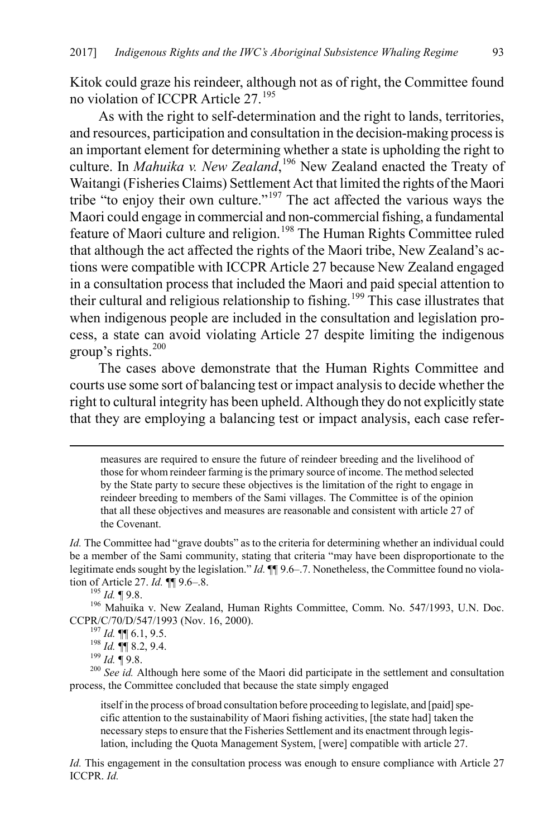Kitok could graze his reindeer, although not as of right, the Committee found no violation of ICCPR Article 27.[195](#page-31-0)

<span id="page-31-6"></span>As with the right to self-determination and the right to lands, territories, and resources, participation and consultation in the decision-making process is an important element for determining whether a state is upholding the right to culture. In *Mahuika v. New Zealand*, [196](#page-31-1) New Zealand enacted the Treaty of Waitangi (Fisheries Claims) Settlement Act that limited the rights of the Maori tribe "to enjoy their own culture."[197](#page-31-2) The act affected the various ways the Maori could engage in commercial and non-commercial fishing, a fundamental feature of Maori culture and religion.<sup>[198](#page-31-3)</sup> The Human Rights Committee ruled that although the act affected the rights of the Maori tribe, New Zealand's actions were compatible with ICCPR Article 27 because New Zealand engaged in a consultation process that included the Maori and paid special attention to their cultural and religious relationship to fishing.<sup>[199](#page-31-4)</sup> This case illustrates that when indigenous people are included in the consultation and legislation process, a state can avoid violating Article 27 despite limiting the indigenous group's rights.[200](#page-31-5)

<span id="page-31-7"></span>The cases above demonstrate that the Human Rights Committee and courts use some sort of balancing test or impact analysis to decide whether the right to cultural integrity has been upheld. Although they do not explicitly state that they are employing a balancing test or impact analysis, each case refer-

 measures are required to ensure the future of reindeer breeding and the livelihood of those for whom reindeer farming is the primary source of income. The method selected by the State party to secure these objectives is the limitation of the right to engage in reindeer breeding to members of the Sami villages. The Committee is of the opinion that all these objectives and measures are reasonable and consistent with article 27 of the Covenant.

*Id.* The Committee had "grave doubts" as to the criteria for determining whether an individual could be a member of the Sami community, stating that criteria "may have been disproportionate to the legitimate ends sought by the legislation." *Id.*  $\P\P$  9.6–.7. Nonetheless, the Committee found no violation of Article 27. *Id.*  $\P$  9.6–.8.

<span id="page-31-0"></span><sup>195</sup> *Id.* ¶ 9.8. <sup>27</sup><br><sup>196</sup> Mahuika v. New Zealand, Human Rights Committee, Comm. No. 547/1993, U.N. Doc.

<span id="page-31-5"></span><span id="page-31-4"></span><span id="page-31-3"></span><span id="page-31-2"></span><span id="page-31-1"></span>CCPR/C/70/D/547/1993 (Nov. 16, 2000).<br><sup>197</sup> *Id.* **¶** 6.1, 9.5.<br><sup>198</sup> *Id.* **¶** 8.2, 9.4.<br><sup>199</sup> *Id.* ¶ 9.8.<br><sup>200</sup> *See id.* Although here some of the Maori did participate in the settlement and consultation process, the Committee concluded that because the state simply engaged

itself in the process of broad consultation before proceeding to legislate, and [paid] specific attention to the sustainability of Maori fishing activities, [the state had] taken the necessary steps to ensure that the Fisheries Settlement and its enactment through legislation, including the Quota Management System, [were] compatible with article 27.

*Id.* This engagement in the consultation process was enough to ensure compliance with Article 27 ICCPR. *Id.*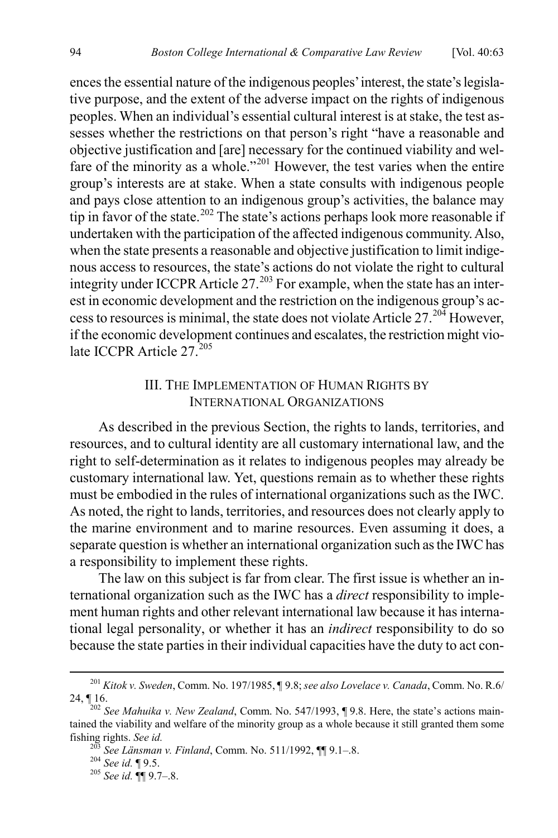ences the essential nature of the indigenous peoples' interest, the state's legislative purpose, and the extent of the adverse impact on the rights of indigenous peoples. When an individual's essential cultural interest is at stake, the test assesses whether the restrictions on that person's right "have a reasonable and objective justification and [are] necessary for the continued viability and wel-fare of the minority as a whole."<sup>[201](#page-32-0)</sup> However, the test varies when the entire group's interests are at stake. When a state consults with indigenous people and pays close attention to an indigenous group's activities, the balance may tip in favor of the state.<sup>[202](#page-32-1)</sup> The state's actions perhaps look more reasonable if undertaken with the participation of the affected indigenous community. Also, when the state presents a reasonable and objective justification to limit indigenous access to resources, the state's actions do not violate the right to cultural integrity under ICCPR Article  $27^{203}$  $27^{203}$  $27^{203}$  For example, when the state has an interest in economic development and the restriction on the indigenous group's access to resources is minimal, the state does not violate Article  $27.204$  $27.204$  However, if the economic development continues and escalates, the restriction might vio-late ICCPR Article 27<sup>[205](#page-32-4)</sup>

## III. THE IMPLEMENTATION OF HUMAN RIGHTS BY INTERNATIONAL ORGANIZATIONS

As described in the previous Section, the rights to lands, territories, and resources, and to cultural identity are all customary international law, and the right to self-determination as it relates to indigenous peoples may already be customary international law. Yet, questions remain as to whether these rights must be embodied in the rules of international organizations such as the IWC. As noted, the right to lands, territories, and resources does not clearly apply to the marine environment and to marine resources. Even assuming it does, a separate question is whether an international organization such as the IWC has a responsibility to implement these rights.

The law on this subject is far from clear. The first issue is whether an international organization such as the IWC has a *direct* responsibility to implement human rights and other relevant international law because it has international legal personality, or whether it has an *indirect* responsibility to do so because the state parties in their individual capacities have the duty to act con-

<span id="page-32-0"></span> <sup>201</sup> *Kitok v. Sweden*, Comm. No. 197/1985, ¶ 9.8; *see also Lovelace v. Canada*, Comm. No. R.6/  $24, \P 16.$ 

<span id="page-32-1"></span><sup>202</sup> *See Mahuika v. New Zealand*, Comm. No. 547/1993, ¶ 9.8. Here, the state's actions maintained the viability and welfare of the minority group as a whole because it still granted them some

<span id="page-32-4"></span><span id="page-32-3"></span><span id="page-32-2"></span>fishing rights. *See id.* <sup>203</sup> *See Länsman v. Finland*, Comm. No. 511/1992, ¶¶ 9.1–.8. <sup>204</sup> *See id.* ¶ 9.5. <sup>205</sup> *See id.* ¶¶ 9.7–.8.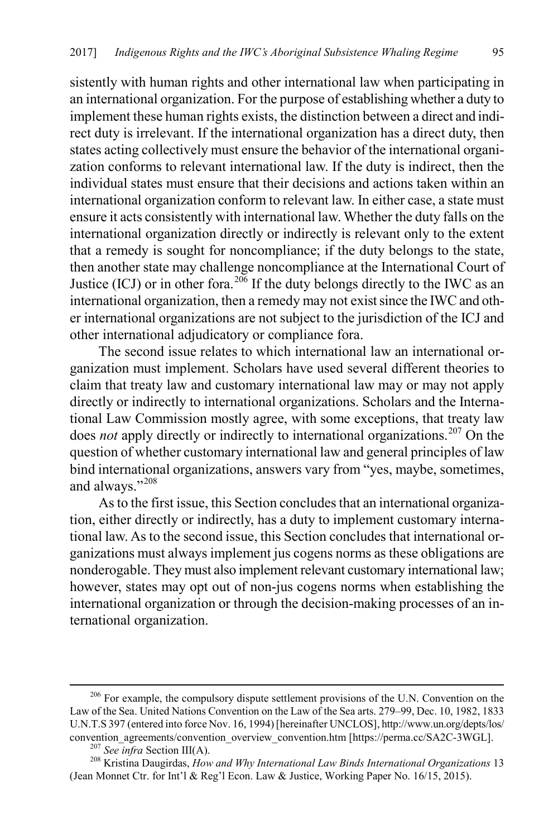sistently with human rights and other international law when participating in an international organization. For the purpose of establishing whether a duty to implement these human rights exists, the distinction between a direct and indirect duty is irrelevant. If the international organization has a direct duty, then states acting collectively must ensure the behavior of the international organization conforms to relevant international law. If the duty is indirect, then the individual states must ensure that their decisions and actions taken within an international organization conform to relevant law. In either case, a state must ensure it acts consistently with international law. Whether the duty falls on the international organization directly or indirectly is relevant only to the extent that a remedy is sought for noncompliance; if the duty belongs to the state, then another state may challenge noncompliance at the International Court of Justice (ICJ) or in other fora.<sup>[206](#page-33-0)</sup> If the duty belongs directly to the IWC as an international organization, then a remedy may not exist since the IWC and other international organizations are not subject to the jurisdiction of the ICJ and other international adjudicatory or compliance fora.

<span id="page-33-4"></span>The second issue relates to which international law an international organization must implement. Scholars have used several different theories to claim that treaty law and customary international law may or may not apply directly or indirectly to international organizations. Scholars and the International Law Commission mostly agree, with some exceptions, that treaty law does *not* apply directly or indirectly to international organizations.<sup>[207](#page-33-1)</sup> On the question of whether customary international law and general principles of law bind international organizations, answers vary from "yes, maybe, sometimes, and always."<sup>[208](#page-33-2)</sup>

<span id="page-33-3"></span>As to the first issue, this Section concludes that an international organization, either directly or indirectly, has a duty to implement customary international law. As to the second issue, this Section concludes that international organizations must always implement jus cogens norms as these obligations are nonderogable. They must also implement relevant customary international law; however, states may opt out of non-jus cogens norms when establishing the international organization or through the decision-making processes of an international organization.

<span id="page-33-0"></span><sup>&</sup>lt;sup>206</sup> For example, the compulsory dispute settlement provisions of the U.N. Convention on the Law of the Sea. United Nations Convention on the Law of the Sea arts. 279–99, Dec. 10, 1982, 1833 U.N.T.S 397 (entered into force Nov. 16, 1994) [hereinafter UNCLOS], http://www.un.org/depts/los/

<span id="page-33-2"></span><span id="page-33-1"></span><sup>&</sup>lt;sup>207</sup> See infra Section III(A).<br><sup>208</sup> Kristina Daugirdas, *How and Why International Law Binds International Organizations* 13 (Jean Monnet Ctr. for Int'l & Reg'l Econ. Law & Justice, Working Paper No. 16/15, 2015).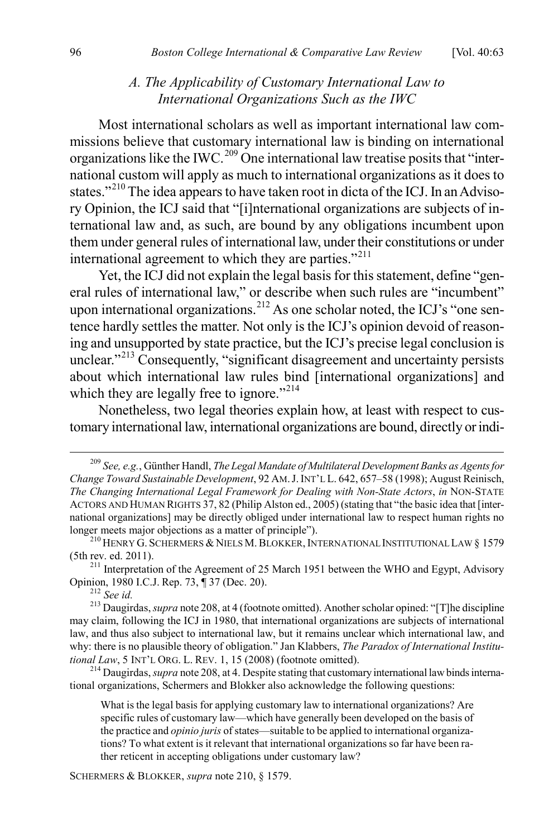## <span id="page-34-7"></span>*A. The Applicability of Customary International Law to International Organizations Such as the IWC*

<span id="page-34-0"></span>Most international scholars as well as important international law commissions believe that customary international law is binding on international organizations like the IWC.<sup>[209](#page-34-1)</sup> One international law treatise posits that "international custom will apply as much to international organizations as it does to states."<sup>[210](#page-34-2)</sup> The idea appears to have taken root in dicta of the ICJ. In an Advisory Opinion, the ICJ said that "[i]nternational organizations are subjects of international law and, as such, are bound by any obligations incumbent upon them under general rules of international law, under their constitutions or under international agreement to which they are parties."<sup>[211](#page-34-3)</sup>

Yet, the ICJ did not explain the legal basis for this statement, define "general rules of international law," or describe when such rules are "incumbent" upon international organizations.<sup>[212](#page-34-4)</sup> As one scholar noted, the ICJ's "one sentence hardly settles the matter. Not only is the ICJ's opinion devoid of reasoning and unsupported by state practice, but the ICJ's precise legal conclusion is unclear."<sup>[213](#page-34-5)</sup> Consequently, "significant disagreement and uncertainty persists about which international law rules bind [international organizations] and which they are legally free to ignore."<sup>[214](#page-34-6)</sup>

Nonetheless, two legal theories explain how, at least with respect to customary international law, international organizations are bound, directly or indi-

<span id="page-34-3"></span><sup>211</sup> Interpretation of the Agreement of 25 March 1951 between the WHO and Egypt, Advisory Opinion, 1980 I.C.J. Rep. 73,  $\sqrt{ }$  37 (Dec. 20).

<span id="page-34-6"></span><sup>214</sup> Daugirdas, *supra* not[e 208,](#page-33-3) at 4. Despite stating that customary international law binds international organizations, Schermers and Blokker also acknowledge the following questions:

What is the legal basis for applying customary law to international organizations? Are specific rules of customary law—which have generally been developed on the basis of the practice and *opinio juris* of states—suitable to be applied to international organizations? To what extent is it relevant that international organizations so far have been rather reticent in accepting obligations under customary law?

SCHERMERS & BLOKKER, *supra* not[e 210,](#page-34-0) § 1579.

<span id="page-34-1"></span> <sup>209</sup> *See, e.g.*, Günther Handl, *The Legal Mandate of Multilateral Development Banks as Agents for Change Toward Sustainable Development*, 92 AM.J.INT'L L. 642, 657–58 (1998); August Reinisch, *The Changing International Legal Framework for Dealing with Non-State Actors*, *in* NON-STATE ACTORS AND HUMAN RIGHTS 37, 82 (Philip Alston ed., 2005) (stating that "the basic idea that [international organizations] may be directly obliged under international law to respect human rights no longer meets major objections as a matter of principle").

<span id="page-34-2"></span><sup>&</sup>lt;sup>210</sup> HENRY G. SCHERMERS & NIELS M. BLOKKER, INTERNATIONAL INSTITUTIONAL LAW § 1579 (5th rev. ed. 2011).

<span id="page-34-5"></span><span id="page-34-4"></span><sup>&</sup>lt;sup>212</sup> See id.<br><sup>213</sup> Daugirdas, *supra* not[e 208,](#page-33-3) at 4 (footnote omitted). Another scholar opined: "[T]he discipline may claim, following the ICJ in 1980, that international organizations are subjects of international law, and thus also subject to international law, but it remains unclear which international law, and why: there is no plausible theory of obligation." Jan Klabbers, *The Paradox of International Institutional Law*, 5 INT'L ORG. L. REV. 1, 15 (2008) (footnote omitted).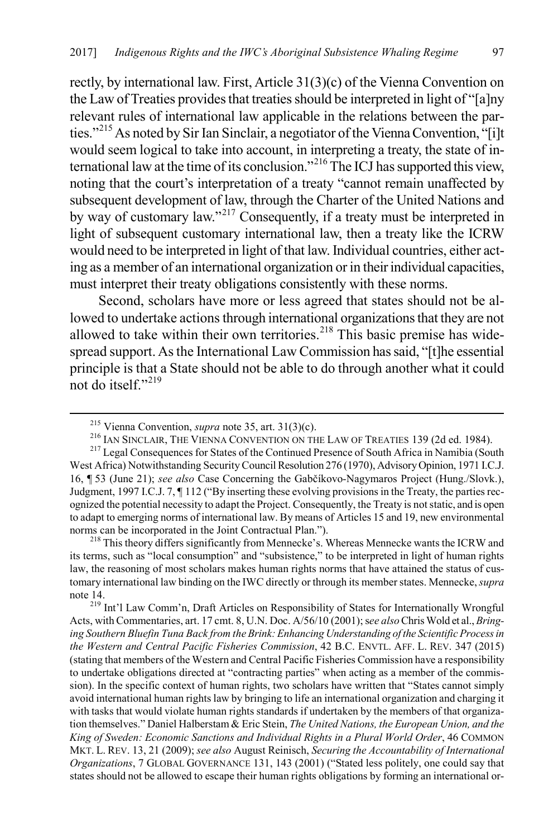rectly, by international law. First, Article 31(3)(c) of the Vienna Convention on the Law of Treaties provides that treaties should be interpreted in light of "[a]ny relevant rules of international law applicable in the relations between the par-ties."<sup>[215](#page-35-0)</sup> As noted by Sir Ian Sinclair, a negotiator of the Vienna Convention, "[i]t would seem logical to take into account, in interpreting a treaty, the state of international law at the time of its conclusion."[216](#page-35-1) The ICJ has supported this view, noting that the court's interpretation of a treaty "cannot remain unaffected by subsequent development of law, through the Charter of the United Nations and by way of customary law."[217](#page-35-2) Consequently, if a treaty must be interpreted in light of subsequent customary international law, then a treaty like the ICRW would need to be interpreted in light of that law. Individual countries, either acting as a member of an international organization or in their individual capacities, must interpret their treaty obligations consistently with these norms.

Second, scholars have more or less agreed that states should not be allowed to undertake actions through international organizations that they are not allowed to take within their own territories.<sup>[218](#page-35-3)</sup> This basic premise has widespread support. As the International Law Commission has said, "[t]he essential principle is that a State should not be able to do through another what it could not do itself."<sup>[219](#page-35-4)</sup>

<span id="page-35-3"></span>its terms, such as "local consumption" and "subsistence," to be interpreted in light of human rights law, the reasoning of most scholars makes human rights norms that have attained the status of customary international law binding on the IWC directly or through its member states. Mennecke, *supra*  note 14. <sup>219</sup> Int'l Law Comm'n, Draft Articles on Responsibility of States for Internationally Wrongful

<span id="page-35-4"></span>Acts, with Commentaries, art. 17 cmt. 8, U.N. Doc. A/56/10 (2001); s*ee also* Chris Wold et al., *Bringing Southern Bluefin Tuna Back from the Brink: Enhancing Understanding of the Scientific Process in the Western and Central Pacific Fisheries Commission*, 42 B.C. ENVTL. AFF. L. REV. 347 (2015) (stating that members of the Western and Central Pacific Fisheries Commission have a responsibility to undertake obligations directed at "contracting parties" when acting as a member of the commission). In the specific context of human rights, two scholars have written that "States cannot simply avoid international human rights law by bringing to life an international organization and charging it with tasks that would violate human rights standards if undertaken by the members of that organization themselves." Daniel Halberstam & Eric Stein, *The United Nations, the European Union, and the King of Sweden: Economic Sanctions and Individual Rights in a Plural World Order*, 46 COMMON MKT. L. REV. 13, 21 (2009); *see also* August Reinisch, *Securing the Accountability of International Organizations*, 7 GLOBAL GOVERNANCE 131, 143 (2001) ("Stated less politely, one could say that states should not be allowed to escape their human rights obligations by forming an international or-

<span id="page-35-2"></span><span id="page-35-1"></span><span id="page-35-0"></span><sup>&</sup>lt;sup>215</sup> Vienna Convention, *supra* not[e 35,](#page-8-5) art. 31(3)(c).<br><sup>216</sup> IAN SINCLAIR, THE VIENNA CONVENTION ON THE LAW OF TREATIES 139 (2d ed. 1984).<br><sup>217</sup> Legal Consequences for States of the Continued Presence of South Africa in West Africa) Notwithstanding Security Council Resolution 276 (1970), Advisory Opinion, 1971 I.C.J. 16, ¶ 53 (June 21); *see also* Case Concerning the Gabčíkovo-Nagymaros Project (Hung./Slovk.), Judgment, 1997 I.C.J. 7, ¶ 112 ("By inserting these evolving provisions in the Treaty, the parties recognized the potential necessity to adapt the Project. Consequently, the Treaty is not static, and is open to adapt to emerging norms of international law. By means of Articles 15 and 19, new environmental norms can be incorporated in the Joint Contractual Plan.").<br><sup>218</sup> This theory differs significantly from Mennecke's. Whereas Mennecke wants the ICRW and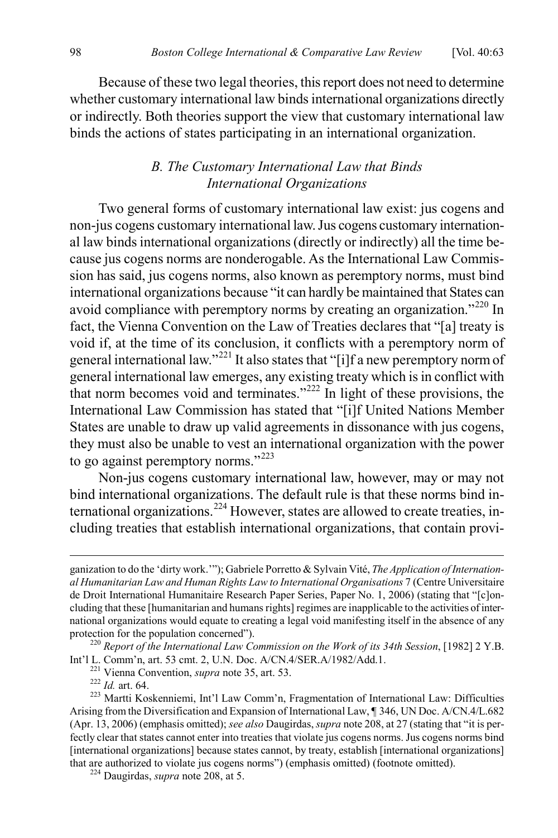Because of these two legal theories, this report does not need to determine whether customary international law binds international organizations directly or indirectly. Both theories support the view that customary international law binds the actions of states participating in an international organization.

# <span id="page-36-6"></span>*B. The Customary International Law that Binds International Organizations*

Two general forms of customary international law exist: jus cogens and non-jus cogens customary international law. Jus cogens customary international law binds international organizations (directly or indirectly) all the time because jus cogens norms are nonderogable. As the International Law Commission has said, jus cogens norms, also known as peremptory norms, must bind international organizations because "it can hardly be maintained that States can avoid compliance with peremptory norms by creating an organization."<sup>[220](#page-36-0)</sup> In fact, the Vienna Convention on the Law of Treaties declares that "[a] treaty is void if, at the time of its conclusion, it conflicts with a peremptory norm of general international law."[221](#page-36-1) It also states that "[i]f a new peremptory norm of general international law emerges, any existing treaty which is in conflict with that norm becomes void and terminates." $222$  In light of these provisions, the International Law Commission has stated that "[i]f United Nations Member States are unable to draw up valid agreements in dissonance with jus cogens, they must also be unable to vest an international organization with the power to go against peremptory norms."<sup>[223](#page-36-3)</sup>

<span id="page-36-5"></span>Non-jus cogens customary international law, however, may or may not bind international organizations. The default rule is that these norms bind in-ternational organizations.<sup>[224](#page-36-4)</sup> However, states are allowed to create treaties, including treaties that establish international organizations, that contain provi-

ganization to do the 'dirty work.'"); Gabriele Porretto & Sylvain Vité, *The Application ofInternational Humanitarian Law and Human Rights Law to International Organisations* 7 (Centre Universitaire de Droit International Humanitaire Research Paper Series, Paper No. 1, 2006) (stating that "[c]oncluding that these [humanitarian and humans rights] regimes are inapplicable to the activities of international organizations would equate to creating a legal void manifesting itself in the absence of any

<span id="page-36-0"></span>protection for the population concerned").<br><sup>220</sup> *Report of the International Law Commission on the Work of its 34th Session*, [1982] 2 Y.B.<br>Int'l L. Comm'n, art. 53 cmt. 2, U.N. Doc. A/CN.4/SER.A/1982/Add.1.

<span id="page-36-3"></span><span id="page-36-2"></span><span id="page-36-1"></span><sup>&</sup>lt;sup>221</sup> Vienna Convention, *supra* not[e 35,](#page-8-5) art. 53.<br><sup>222</sup> *Id.* art. 64.<br><sup>223</sup> Martti Koskenniemi, Int'l Law Comm'n, Fragmentation of International Law: Difficulties Arising from the Diversification and Expansion of International Law, ¶ 346, UN Doc. A/CN.4/L.682 (Apr. 13, 2006) (emphasis omitted); *see also* Daugirdas, *supra* not[e 208,](#page-33-3) at 27 (stating that "it is perfectly clear that states cannot enter into treaties that violate jus cogens norms. Jus cogens norms bind [international organizations] because states cannot, by treaty, establish [international organizations] that are authorized to violate jus cogens norms") (emphasis omitted) (footnote omitted). <sup>224</sup> Daugirdas, *supra* not[e 208,](#page-33-3) at 5.

<span id="page-36-4"></span>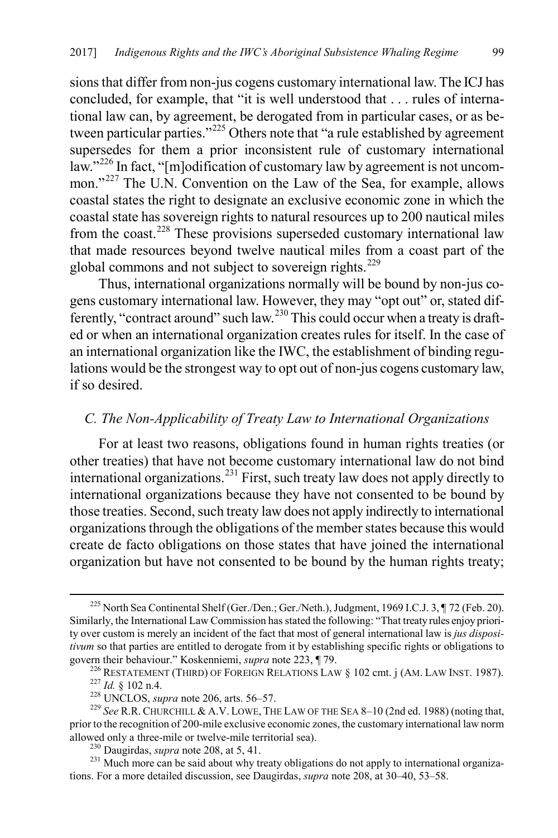sions that differ from non-jus cogens customary international law. The ICJ has concluded, for example, that "it is well understood that . . . rules of international law can, by agreement, be derogated from in particular cases, or as between particular parties."[225](#page-37-0) Others note that "a rule established by agreement supersedes for them a prior inconsistent rule of customary international law."<sup>[226](#page-37-1)</sup> In fact, "[m]odification of customary law by agreement is not uncom-mon."<sup>[227](#page-37-2)</sup> The U.N. Convention on the Law of the Sea, for example, allows coastal states the right to designate an exclusive economic zone in which the coastal state has sovereign rights to natural resources up to 200 nautical miles from the coast.<sup>[228](#page-37-3)</sup> These provisions superseded customary international law that made resources beyond twelve nautical miles from a coast part of the global commons and not subject to sovereign rights.<sup>[229](#page-37-4)</sup>

Thus, international organizations normally will be bound by non-jus cogens customary international law. However, they may "opt out" or, stated dif-ferently, "contract around" such law.<sup>[230](#page-37-5)</sup> This could occur when a treaty is drafted or when an international organization creates rules for itself. In the case of an international organization like the IWC, the establishment of binding regulations would be the strongest way to opt out of non-jus cogens customary law, if so desired.

#### *C. The Non-Applicability of Treaty Law to International Organizations*

For at least two reasons, obligations found in human rights treaties (or other treaties) that have not become customary international law do not bind international organizations.<sup>[231](#page-37-6)</sup> First, such treaty law does not apply directly to international organizations because they have not consented to be bound by those treaties. Second, such treaty law does not apply indirectly to international organizations through the obligations of the member states because this would create de facto obligations on those states that have joined the international organization but have not consented to be bound by the human rights treaty;

<span id="page-37-0"></span> <sup>225</sup> North Sea Continental Shelf (Ger./Den.; Ger./Neth.), Judgment, 1969 I.C.J. 3, ¶ 72 (Feb. 20). Similarly, the International Law Commission has stated the following: "That treaty rules enjoy priority over custom is merely an incident of the fact that most of general international law is *jus dispositivum* so that parties are entitled to derogate from it by establishing specific rights or obligations to

<span id="page-37-2"></span><span id="page-37-1"></span>govern their behaviour." Koskenniemi, *supra* not[e 223,](#page-36-5) ¶ 79.<br>
<sup>226</sup> RESTATEMENT (THIRD) OF FOREIGN RELATIONS LAW § 102 cmt. j (AM. LAW INST. 1987).<br>
<sup>227</sup> *Id.* § 102 n.4.<br>
<sup>228</sup> UNCLOS, *supra* not[e 206,](#page-33-4) arts. 56–57.<br>
<sup></sup>

<span id="page-37-4"></span><span id="page-37-3"></span>prior to the recognition of 200-mile exclusive economic zones, the customary international law norm allowed only a three-mile or twelve-mile territorial sea).<br><sup>230</sup> Daugirdas, *supra* not[e 208,](#page-33-3) at 5, 41.<br><sup>231</sup> Much more can be said about why treaty obligations do not apply to international organiza-

<span id="page-37-6"></span><span id="page-37-5"></span>tions. For a more detailed discussion, see Daugirdas, *supra* not[e 208,](#page-33-3) at 30–40, 53–58.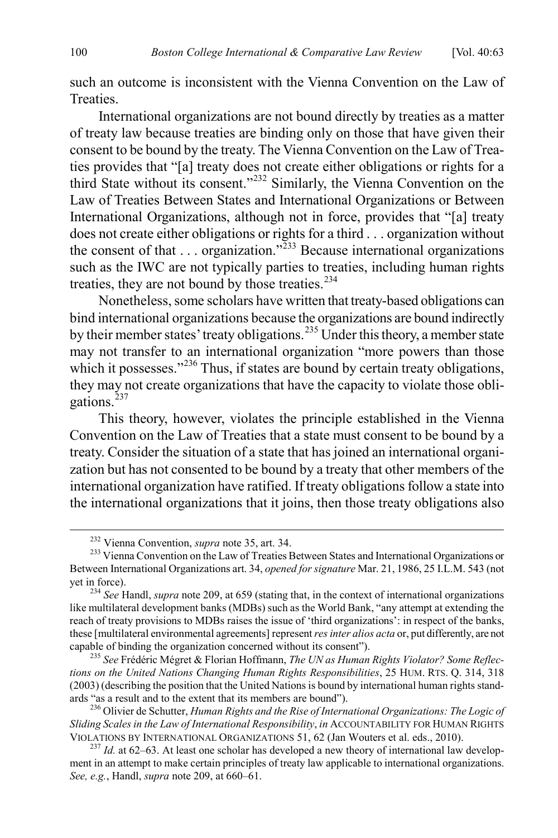such an outcome is inconsistent with the Vienna Convention on the Law of Treaties.

International organizations are not bound directly by treaties as a matter of treaty law because treaties are binding only on those that have given their consent to be bound by the treaty. The Vienna Convention on the Law of Treaties provides that "[a] treaty does not create either obligations or rights for a third State without its consent."[232](#page-38-0) Similarly, the Vienna Convention on the Law of Treaties Between States and International Organizations or Between International Organizations, although not in force, provides that "[a] treaty does not create either obligations or rights for a third . . . organization without the consent of that  $\ldots$  organization.<sup>7[233](#page-38-1)</sup> Because international organizations such as the IWC are not typically parties to treaties, including human rights treaties, they are not bound by those treaties.<sup>[234](#page-38-2)</sup>

Nonetheless, some scholars have written that treaty-based obligations can bind international organizations because the organizations are bound indirectly by their member states' treaty obligations.<sup>[235](#page-38-3)</sup> Under this theory, a member state may not transfer to an international organization "more powers than those which it possesses."<sup>[236](#page-38-4)</sup> Thus, if states are bound by certain treaty obligations, they may not create organizations that have the capacity to violate those obligations. $^{237}$  $^{237}$  $^{237}$ 

This theory, however, violates the principle established in the Vienna Convention on the Law of Treaties that a state must consent to be bound by a treaty. Consider the situation of a state that has joined an international organization but has not consented to be bound by a treaty that other members of the international organization have ratified. If treaty obligations follow a state into the international organizations that it joins, then those treaty obligations also

<span id="page-38-1"></span><span id="page-38-0"></span><sup>&</sup>lt;sup>232</sup> Vienna Convention, *supra* not[e 35,](#page-8-5) art. 34.<br><sup>233</sup> Vienna Convention on the Law of Treaties Between States and International Organizations or Between International Organizations art. 34, *opened for signature* Mar. 21, 1986, 25 I.L.M. 543 (not

<span id="page-38-2"></span> $^{234}$  *See* Handl, *supra* not[e 209,](#page-34-7) at 659 (stating that, in the context of international organizations like multilateral development banks (MDBs) such as the World Bank, "any attempt at extending the reach of treaty provisions to MDBs raises the issue of 'third organizations': in respect of the banks, these [multilateral environmental agreements] represent *res inter alios acta* or, put differently, are not capable of binding the organization concerned without its consent").

<span id="page-38-3"></span><sup>&</sup>lt;sup>235</sup> See Frédéric Mégret & Florian Hoffmann, *The UN as Human Rights Violator? Some Reflections on the United Nations Changing Human Rights Responsibilities*, 25 HUM. RTS. Q. 314, 318 (2003) (describing the position that the United Nations is bound by international human rights stand-

<span id="page-38-4"></span><sup>&</sup>lt;sup>236</sup> Olivier de Schutter, *Human Rights and the Rise of International Organizations: The Logic of Sliding Scales in the Law of International Responsibility, in ACCOUNTABILITY FOR HUMAN RIGHTS* VIOLATIONS BY INTERNATIONAL ORGANIZATIONS 51, 62 (Jan Wouters et al. eds., 2010).

<span id="page-38-5"></span> $^{237}$  *Id.* at 62–63. At least one scholar has developed a new theory of international law development in an attempt to make certain principles of treaty law applicable to international organizations. *See, e.g.*, Handl, *supra* note [209,](#page-34-7) at 660–61.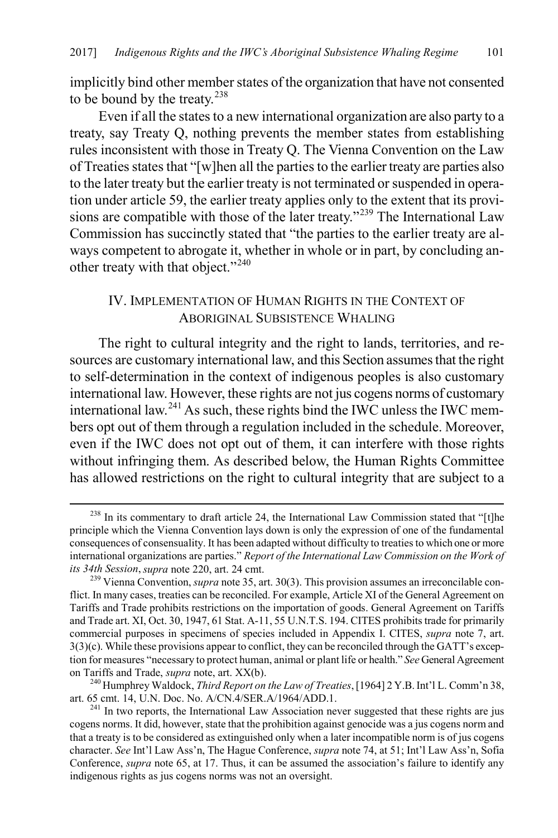implicitly bind other member states of the organization that have not consented to be bound by the treaty.<sup>[238](#page-39-0)</sup>

Even if all the states to a new international organization are also party to a treaty, say Treaty Q, nothing prevents the member states from establishing rules inconsistent with those in Treaty Q. The Vienna Convention on the Law of Treaties states that "[w]hen all the parties to the earlier treaty are parties also to the later treaty but the earlier treaty is not terminated or suspended in operation under article 59, the earlier treaty applies only to the extent that its provi-sions are compatible with those of the later treaty."<sup>[239](#page-39-1)</sup> The International Law Commission has succinctly stated that "the parties to the earlier treaty are always competent to abrogate it, whether in whole or in part, by concluding an-other treaty with that object."<sup>[240](#page-39-2)</sup>

#### IV. IMPLEMENTATION OF HUMAN RIGHTS IN THE CONTEXT OF ABORIGINAL SUBSISTENCE WHALING

The right to cultural integrity and the right to lands, territories, and resources are customary international law, and this Section assumes that the right to self-determination in the context of indigenous peoples is also customary international law. However, these rights are not jus cogens norms of customary international law.[241](#page-39-3) As such, these rights bind the IWC unless the IWC members opt out of them through a regulation included in the schedule. Moreover, even if the IWC does not opt out of them, it can interfere with those rights without infringing them. As described below, the Human Rights Committee has allowed restrictions on the right to cultural integrity that are subject to a

<span id="page-39-2"></span>on Tariffs and Trade, *supra* note, art. XX(b).<br><sup>240</sup> Humphrey Waldock, *Third Report on the Law of Treaties*, [1964] 2 Y.B. Int'l L. Comm'n 38, art. 65 cmt. 14, U.N. Doc. No. A/CN.4/SER.A/1964/ADD.1.

<span id="page-39-0"></span> $238$  In its commentary to draft article 24, the International Law Commission stated that "[t]he principle which the Vienna Convention lays down is only the expression of one of the fundamental consequences of consensuality. It has been adapted without difficulty to treaties to which one or more international organizations are parties." *Report of the International Law Commission on the Work of its 34th Session, supra* note [220,](#page-36-6) art. 24 cmt.<br><sup>239</sup> Vienna Convention, *supra* not[e 35,](#page-8-5) art. 30(3). This provision assumes an irreconcilable con-

<span id="page-39-1"></span>flict. In many cases, treaties can be reconciled. For example, Article XI of the General Agreement on Tariffs and Trade prohibits restrictions on the importation of goods. General Agreement on Tariffs and Trade art. XI, Oct. 30, 1947, 61 Stat. A-11, 55 U.N.T.S. 194. CITES prohibits trade for primarily commercial purposes in specimens of species included in Appendix I. CITES, *supra* note [7,](#page-2-8) art. 3(3)(c). While these provisions appear to conflict, they can be reconciled through the GATT's exception for measures "necessary to protect human, animal or plant life or health." *See* General Agreement

<span id="page-39-3"></span><sup>&</sup>lt;sup>241</sup> In two reports, the International Law Association never suggested that these rights are jus cogens norms. It did, however, state that the prohibition against genocide was a jus cogens norm and that a treaty is to be considered as extinguished only when a later incompatible norm is of jus cogens character. *See* Int'l Law Ass'n, The Hague Conference, *supra* not[e 74,](#page-14-8) at 51; Int'l Law Ass'n, Sofia Conference, *supra* not[e 65,](#page-13-5) at 17. Thus, it can be assumed the association's failure to identify any indigenous rights as jus cogens norms was not an oversight.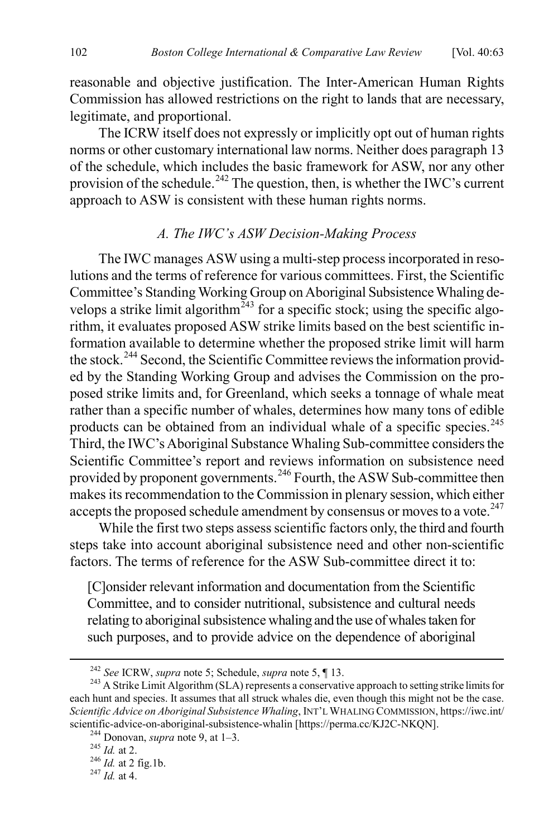reasonable and objective justification. The Inter-American Human Rights Commission has allowed restrictions on the right to lands that are necessary, legitimate, and proportional.

The ICRW itself does not expressly or implicitly opt out of human rights norms or other customary international law norms. Neither does paragraph 13 of the schedule, which includes the basic framework for ASW, nor any other provision of the schedule.<sup>[242](#page-40-0)</sup> The question, then, is whether the IWC's current approach to ASW is consistent with these human rights norms.

#### *A. The IWC's ASW Decision-Making Process*

The IWC manages ASW using a multi-step process incorporated in resolutions and the terms of reference for various committees. First, the Scientific Committee's Standing Working Group on Aboriginal Subsistence Whaling develops a strike limit algorithm<sup> $243$ </sup> for a specific stock; using the specific algorithm, it evaluates proposed ASW strike limits based on the best scientific information available to determine whether the proposed strike limit will harm the stock.<sup>[244](#page-40-2)</sup> Second, the Scientific Committee reviews the information provided by the Standing Working Group and advises the Commission on the proposed strike limits and, for Greenland, which seeks a tonnage of whale meat rather than a specific number of whales, determines how many tons of edible products can be obtained from an individual whale of a specific species.<sup>[245](#page-40-3)</sup> Third, the IWC's Aboriginal Substance Whaling Sub-committee considers the Scientific Committee's report and reviews information on subsistence need provided by proponent governments.<sup>[246](#page-40-4)</sup> Fourth, the ASW Sub-committee then makes its recommendation to the Commission in plenary session, which either accepts the proposed schedule amendment by consensus or moves to a vote.<sup>[247](#page-40-5)</sup>

While the first two steps assess scientific factors only, the third and fourth steps take into account aboriginal subsistence need and other non-scientific factors. The terms of reference for the ASW Sub-committee direct it to:

[C]onsider relevant information and documentation from the Scientific Committee, and to consider nutritional, subsistence and cultural needs relating to aboriginal subsistence whaling and the use of whales taken for such purposes, and to provide advice on the dependence of aboriginal

<span id="page-40-1"></span><span id="page-40-0"></span><sup>242</sup> *See* ICRW, *supra* note [5;](#page-2-6) Schedule, *supra* not[e 5,](#page-2-6) ¶ 13. <sup>243</sup> A Strike Limit Algorithm (SLA) represents a conservative approach to setting strike limits for each hunt and species. It assumes that all struck whales die, even though this might not be the case. *Scientific Advice on Aboriginal Subsistence Whaling*, INT'L WHALING COMMISSION, https://iwc.int/ scientific-advice-on-aboriginal-subsistence-whalin [https://perma.cc/KJ2C-NKQN].<br><sup>244</sup> Donovan, *supra* note [9,](#page-3-10) at 1–3.<br><sup>245</sup> *Id.* at 2. <sup>246</sup> *Id.* at 2 fig.1b. <sup>247</sup> *Id.* at 4.

<span id="page-40-2"></span>

<span id="page-40-3"></span>

<span id="page-40-5"></span><span id="page-40-4"></span>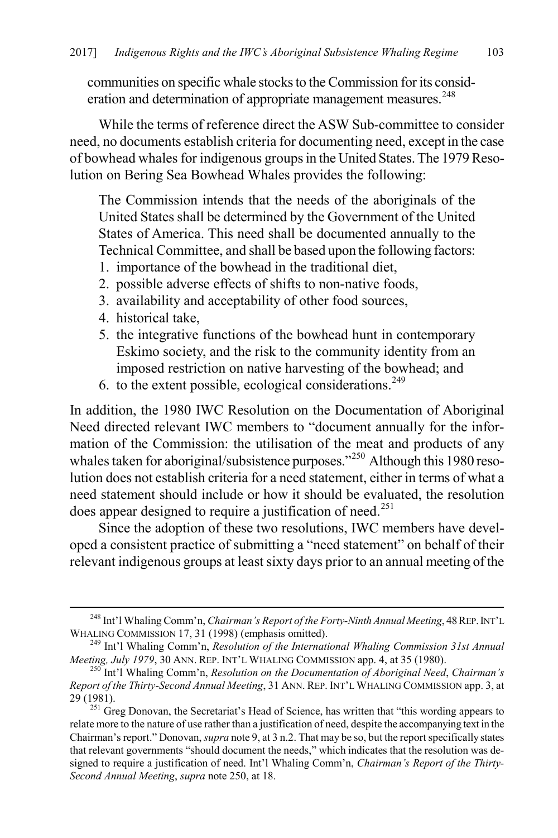communities on specific whale stocks to the Commission for its consid-eration and determination of appropriate management measures.<sup>[248](#page-41-1)</sup>

While the terms of reference direct the ASW Sub-committee to consider need, no documents establish criteria for documenting need, except in the case of bowhead whales for indigenous groups in the United States. The 1979 Resolution on Bering Sea Bowhead Whales provides the following:

The Commission intends that the needs of the aboriginals of the United States shall be determined by the Government of the United States of America. This need shall be documented annually to the Technical Committee, and shall be based upon the following factors:

- 1. importance of the bowhead in the traditional diet,
- 2. possible adverse effects of shifts to non-native foods,
- 3. availability and acceptability of other food sources,
- 4. historical take,
- 5. the integrative functions of the bowhead hunt in contemporary Eskimo society, and the risk to the community identity from an imposed restriction on native harvesting of the bowhead; and
- <span id="page-41-0"></span>6. to the extent possible, ecological considerations.<sup>[249](#page-41-2)</sup>

In addition, the 1980 IWC Resolution on the Documentation of Aboriginal Need directed relevant IWC members to "document annually for the information of the Commission: the utilisation of the meat and products of any whales taken for aboriginal/subsistence purposes."<sup>[250](#page-41-3)</sup> Although this 1980 resolution does not establish criteria for a need statement, either in terms of what a need statement should include or how it should be evaluated, the resolution does appear designed to require a justification of need.<sup>[251](#page-41-4)</sup>

Since the adoption of these two resolutions, IWC members have developed a consistent practice of submitting a "need statement" on behalf of their relevant indigenous groups at least sixty days prior to an annual meeting of the

<span id="page-41-1"></span><sup>&</sup>lt;sup>248</sup> Int'l Whaling Comm'n, *Chairman's Report of the Forty-Ninth Annual Meeting*, 48 REP. INT'L WHALING COMMISSION 17, 31 (1998) (emphasis omitted).

<span id="page-41-2"></span><sup>&</sup>lt;sup>249</sup> Int'l Whaling Comm'n, *Resolution of the International Whaling Commission 31st Annual Meeting, July 1979, 30 ANN. REP. INT'L WHALING COMMISSION app. 4, at 35 (1980).* 

<span id="page-41-3"></span><sup>&</sup>lt;sup>250</sup>Int'l Whaling Comm'n, *Resolution on the Documentation of Aboriginal Need*, *Chairman's Report of the Thirty-Second Annual Meeting*, 31 ANN. REP. INT'L WHALING COMMISSION app. 3, at

<span id="page-41-4"></span><sup>&</sup>lt;sup>251</sup> Greg Donovan, the Secretariat's Head of Science, has written that "this wording appears to relate more to the nature of use rather than a justification of need, despite the accompanying text in the Chairman's report." Donovan, *supra* not[e 9,](#page-3-10) at 3 n.2. That may be so, but the report specifically states that relevant governments "should document the needs," which indicates that the resolution was designed to require a justification of need. Int'l Whaling Comm'n, *Chairman's Report of the Thirty-Second Annual Meeting*, *supra* not[e 250,](#page-41-0) at 18.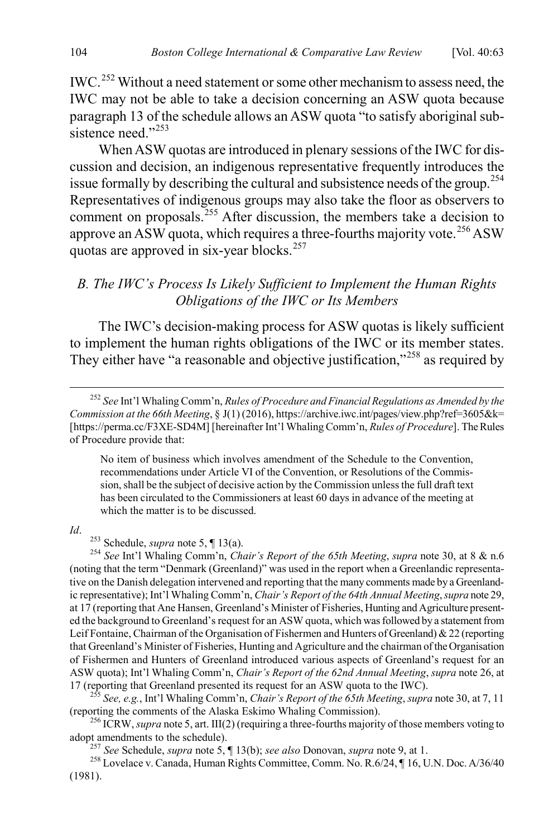<span id="page-42-8"></span>IWC.[252](#page-42-0) Without a need statement or some other mechanism to assess need, the IWC may not be able to take a decision concerning an ASW quota because paragraph 13 of the schedule allows an ASW quota "to satisfy aboriginal sub-sistence need."<sup>[253](#page-42-1)</sup>

<span id="page-42-7"></span>When ASW quotas are introduced in plenary sessions of the IWC for discussion and decision, an indigenous representative frequently introduces the issue formally by describing the cultural and subsistence needs of the group.<sup>[254](#page-42-2)</sup> Representatives of indigenous groups may also take the floor as observers to comment on proposals.<sup>[255](#page-42-3)</sup> After discussion, the members take a decision to approve an ASW quota, which requires a three-fourths majority vote.<sup>[256](#page-42-4)</sup> ASW quotas are approved in six-year blocks.<sup>[257](#page-42-5)</sup>

# *B. The IWC's Process Is Likely Sufficient to Implement the Human Rights Obligations of the IWC or Its Members*

The IWC's decision-making process for ASW quotas is likely sufficient to implement the human rights obligations of the IWC or its member states. They either have "a reasonable and objective justification,"<sup>[258](#page-42-6)</sup> as required by

No item of business which involves amendment of the Schedule to the Convention, recommendations under Article VI of the Convention, or Resolutions of the Commission, shall be the subject of decisive action by the Commission unless the full draft text has been circulated to the Commissioners at least 60 days in advance of the meeting at which the matter is to be discussed.

<span id="page-42-2"></span><span id="page-42-1"></span>*Id*. 253 Schedule, *supra* note [5,](#page-2-6) ¶ 13(a). <sup>254</sup> *See* Int'l Whaling Comm'n, *Chair's Report of the 65th Meeting*, *supra* not[e 30,](#page-6-10) at 8 & n.6 (noting that the term "Denmark (Greenland)" was used in the report when a Greenlandic representative on the Danish delegation intervened and reporting that the many comments made by a Greenlandic representative); Int'l Whaling Comm'n, *Chair's Report of the 64th Annual Meeting*, *supra* note [29,](#page-6-9) at 17 (reporting that Ane Hansen, Greenland's Minister of Fisheries, Hunting and Agriculture presented the background to Greenland's request for an ASW quota, which was followed by a statement from Leif Fontaine, Chairman of the Organisation of Fishermen and Hunters of Greenland) & 22 (reporting that Greenland's Minister of Fisheries, Hunting and Agriculture and the chairman of the Organisation of Fishermen and Hunters of Greenland introduced various aspects of Greenland's request for an ASW quota); Int'l Whaling Comm'n, *Chair's Report of the 62nd Annual Meeting*, *supra* note [26,](#page-6-11) at 17 (reporting that Greenland presented its request for an ASW quota to the IWC). <sup>255</sup> *See, e.g.*, Int'l Whaling Comm'n, *Chair's Report of the 65th Meeting*, *supra* not[e 30,](#page-6-10) at 7, 11

<span id="page-42-3"></span>(reporting the comments of the Alaska Eskimo Whaling Commission).

<span id="page-42-4"></span><sup>256</sup> ICRW, *supra* not[e 5,](#page-2-6) art. III(2) (requiring a three-fourths majority of those members voting to adopt amendments to the schedule).

<span id="page-42-6"></span><span id="page-42-5"></span><sup>257</sup> See Schedule, *supra* note [5,](#page-2-6)  $\P$  13(b); *see also* Donovan, *supra* not[e 9,](#page-3-10) at 1.<br><sup>258</sup> Lovelace v. Canada, Human Rights Committee, Comm. No. R.6/24,  $\P$  16, U.N. Doc. A/36/40 (1981).

<span id="page-42-0"></span> <sup>252</sup> *See* Int'l Whaling Comm'n, *Rules of Procedure and Financial Regulations as Amended by the Commission at the 66th Meeting*, § J(1) (2016), https://archive.iwc.int/pages/view.php?ref=3605&k= [https://perma.cc/F3XE-SD4M] [hereinafter Int'l Whaling Comm'n, *Rules of Procedure*]. The Rules of Procedure provide that: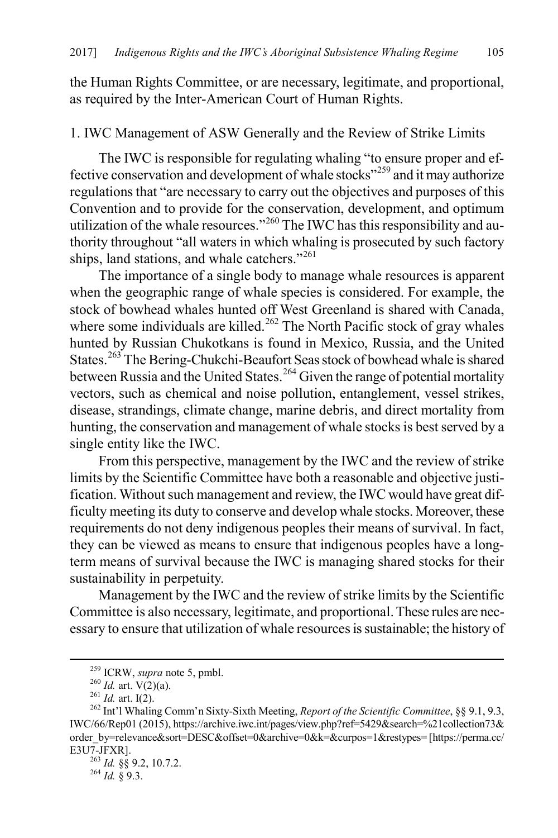the Human Rights Committee, or are necessary, legitimate, and proportional, as required by the Inter-American Court of Human Rights.

#### 1. IWC Management of ASW Generally and the Review of Strike Limits

The IWC is responsible for regulating whaling "to ensure proper and effective conservation and development of whale stocks"[259](#page-43-0) and it may authorize regulations that "are necessary to carry out the objectives and purposes of this Convention and to provide for the conservation, development, and optimum utilization of the whale resources."<sup>[260](#page-43-1)</sup> The IWC has this responsibility and authority throughout "all waters in which whaling is prosecuted by such factory ships, land stations, and whale catchers."<sup>[261](#page-43-2)</sup>

The importance of a single body to manage whale resources is apparent when the geographic range of whale species is considered. For example, the stock of bowhead whales hunted off West Greenland is shared with Canada, where some individuals are killed.<sup>262</sup> The North Pacific stock of gray whales hunted by Russian Chukotkans is found in Mexico, Russia, and the United States.<sup>[263](#page-43-4)</sup> The Bering-Chukchi-Beaufort Seas stock of bowhead whale is shared between Russia and the United States.<sup>[264](#page-43-5)</sup> Given the range of potential mortality vectors, such as chemical and noise pollution, entanglement, vessel strikes, disease, strandings, climate change, marine debris, and direct mortality from hunting, the conservation and management of whale stocks is best served by a single entity like the IWC.

From this perspective, management by the IWC and the review of strike limits by the Scientific Committee have both a reasonable and objective justification. Without such management and review, the IWC would have great difficulty meeting its duty to conserve and develop whale stocks. Moreover, these requirements do not deny indigenous peoples their means of survival. In fact, they can be viewed as means to ensure that indigenous peoples have a longterm means of survival because the IWC is managing shared stocks for their sustainability in perpetuity.

Management by the IWC and the review of strike limits by the Scientific Committee is also necessary, legitimate, and proportional. These rules are necessary to ensure that utilization of whale resources is sustainable; the history of

<span id="page-43-3"></span><span id="page-43-2"></span><span id="page-43-1"></span><span id="page-43-0"></span><sup>&</sup>lt;sup>259</sup> ICRW, *supra* note [5,](#page-2-6) pmbl.<br><sup>260</sup> *Id.* art. V(2)(a).<br><sup>261</sup> *Id.* art. I(2).<br><sup>262</sup> Int'l Whaling Comm'n Sixty-Sixth Meeting, *Report of the Scientific Committee*, §§ 9.1, 9.3, IWC/66/Rep01 (2015), https://archive.iwc.int/pages/view.php?ref=5429&search=%21collection73& order\_by=relevance&sort=DESC&offset=0&archive=0&k=&curpos=1&restypes= [https://perma.cc/ E3U7-JFXR]. 263 *Id.* §§ 9.2, 10.7.2. 264 *Id.* § 9.3.

<span id="page-43-5"></span><span id="page-43-4"></span>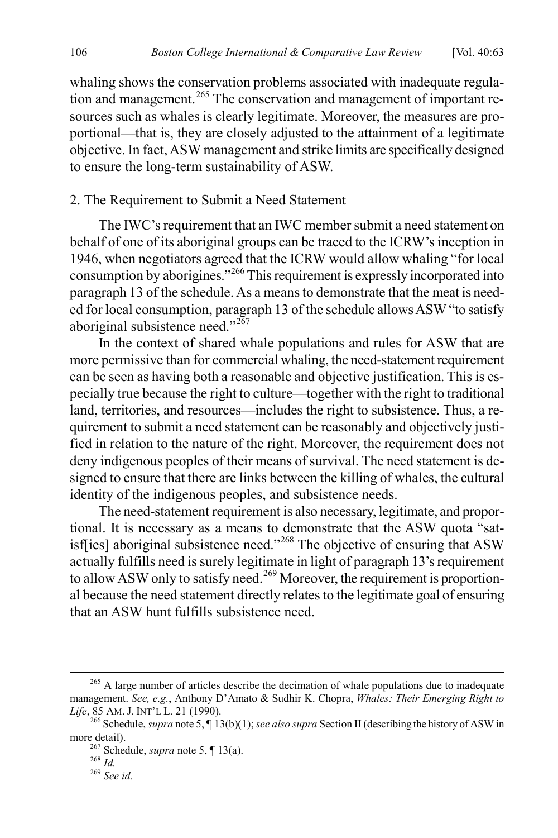whaling shows the conservation problems associated with inadequate regula-tion and management.<sup>[265](#page-44-0)</sup> The conservation and management of important resources such as whales is clearly legitimate. Moreover, the measures are proportional—that is, they are closely adjusted to the attainment of a legitimate objective. In fact, ASW management and strike limits are specifically designed to ensure the long-term sustainability of ASW.

#### 2. The Requirement to Submit a Need Statement

The IWC's requirement that an IWC member submit a need statement on behalf of one of its aboriginal groups can be traced to the ICRW's inception in 1946, when negotiators agreed that the ICRW would allow whaling "for local consumption by aborigines."[266](#page-44-1) This requirement is expressly incorporated into paragraph 13 of the schedule. As a means to demonstrate that the meat is needed for local consumption, paragraph 13 of the schedule allows ASW "to satisfy aboriginal subsistence need."<sup>[267](#page-44-2)</sup>

In the context of shared whale populations and rules for ASW that are more permissive than for commercial whaling, the need-statement requirement can be seen as having both a reasonable and objective justification. This is especially true because the right to culture—together with the right to traditional land, territories, and resources—includes the right to subsistence. Thus, a requirement to submit a need statement can be reasonably and objectively justified in relation to the nature of the right. Moreover, the requirement does not deny indigenous peoples of their means of survival. The need statement is designed to ensure that there are links between the killing of whales, the cultural identity of the indigenous peoples, and subsistence needs.

The need-statement requirement is also necessary, legitimate, and proportional. It is necessary as a means to demonstrate that the ASW quota "sat-isf[ies] aboriginal subsistence need."<sup>[268](#page-44-3)</sup> The objective of ensuring that ASW actually fulfills need is surely legitimate in light of paragraph 13's requirement to allow ASW only to satisfy need.<sup>[269](#page-44-4)</sup> Moreover, the requirement is proportional because the need statement directly relates to the legitimate goal of ensuring that an ASW hunt fulfills subsistence need.

<span id="page-44-0"></span> $265$  A large number of articles describe the decimation of whale populations due to inadequate management. *See, e.g.*, Anthony D'Amato & Sudhir K. Chopra, *Whales: Their Emerging Right to* 

<span id="page-44-1"></span><sup>&</sup>lt;sup>266</sup> Schedule, *supra* not[e 5,](#page-2-6) ¶ 13(b)(1); *see also supra* Section II (describing the history of ASW in

<span id="page-44-4"></span><span id="page-44-3"></span><span id="page-44-2"></span>more detail).<br><sup>267</sup> Schedule, *supra* note [5,](#page-2-6) ¶ 13(a).<br><sup>268</sup> *Id.* <sup>269</sup> *See id.*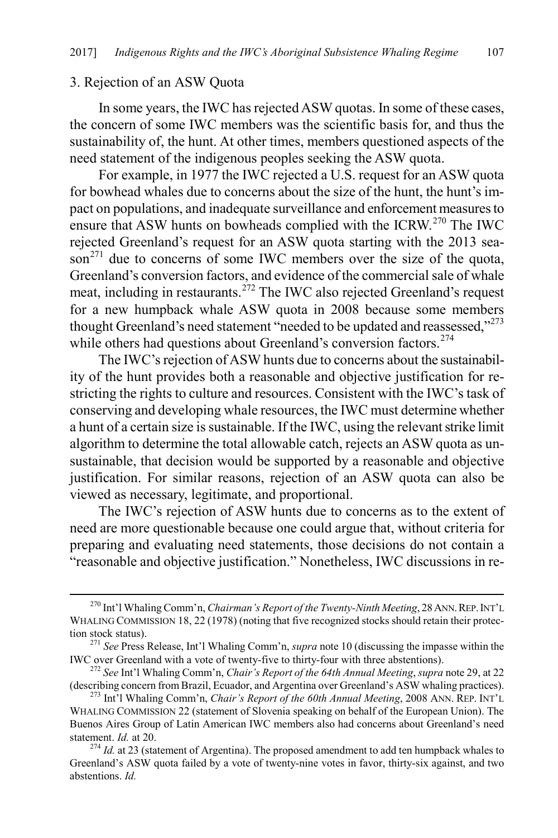#### 3. Rejection of an ASW Quota

In some years, the IWC has rejected ASW quotas. In some of these cases, the concern of some IWC members was the scientific basis for, and thus the sustainability of, the hunt. At other times, members questioned aspects of the need statement of the indigenous peoples seeking the ASW quota.

For example, in 1977 the IWC rejected a U.S. request for an ASW quota for bowhead whales due to concerns about the size of the hunt, the hunt's impact on populations, and inadequate surveillance and enforcement measures to ensure that ASW hunts on bowheads complied with the ICRW.<sup>270</sup> The IWC rejected Greenland's request for an ASW quota starting with the 2013 sea- $\sin^{271}$  $\sin^{271}$  $\sin^{271}$  due to concerns of some IWC members over the size of the quota, Greenland's conversion factors, and evidence of the commercial sale of whale meat, including in restaurants.<sup>[272](#page-45-2)</sup> The IWC also rejected Greenland's request for a new humpback whale ASW quota in 2008 because some members thought Greenland's need statement "needed to be updated and reassessed,"<sup>[273](#page-45-3)</sup> while others had questions about Greenland's conversion factors.<sup>[274](#page-45-4)</sup>

<span id="page-45-5"></span>The IWC's rejection of ASW hunts due to concerns about the sustainability of the hunt provides both a reasonable and objective justification for restricting the rights to culture and resources. Consistent with the IWC's task of conserving and developing whale resources, the IWC must determine whether a hunt of a certain size is sustainable. If the IWC, using the relevant strike limit algorithm to determine the total allowable catch, rejects an ASW quota as unsustainable, that decision would be supported by a reasonable and objective justification. For similar reasons, rejection of an ASW quota can also be viewed as necessary, legitimate, and proportional.

The IWC's rejection of ASW hunts due to concerns as to the extent of need are more questionable because one could argue that, without criteria for preparing and evaluating need statements, those decisions do not contain a "reasonable and objective justification." Nonetheless, IWC discussions in re-

<span id="page-45-0"></span><sup>&</sup>lt;sup>270</sup> Int'l Whaling Comm'n, *Chairman's Report of the Twenty-Ninth Meeting*, 28 ANN. REP. INT'L WHALING COMMISSION 18, 22 (1978) (noting that five recognized stocks should retain their protection stock status).

<span id="page-45-1"></span><sup>&</sup>lt;sup>271</sup> *See* Press Release, Int'l Whaling Comm'n, *supra* not[e 10](#page-3-7) (discussing the impasse within the IWC over Greenland with a vote of twenty-five to thirty-four with three abstentions).

<span id="page-45-2"></span><sup>&</sup>lt;sup>272</sup> See Int'l Whaling Comm'n, *Chair's Report of the 64th Annual Meeting*, *supra* not[e 29,](#page-6-9) at 22 (describing concern from Brazil, Ecuador, and Argentina over Greenland's ASW whaling practices). 273 Int'l Whaling Comm'n, *Chair's Report of the 60th Annual Meeting*, 2008 ANN. REP. INT'L

<span id="page-45-3"></span>WHALING COMMISSION 22 (statement of Slovenia speaking on behalf of the European Union). The Buenos Aires Group of Latin American IWC members also had concerns about Greenland's need statement. *Id.* at 20. <sup>274</sup> *Id.* at 23 (statement of Argentina). The proposed amendment to add ten humpback whales to

<span id="page-45-4"></span>Greenland's ASW quota failed by a vote of twenty-nine votes in favor, thirty-six against, and two abstentions. *Id.*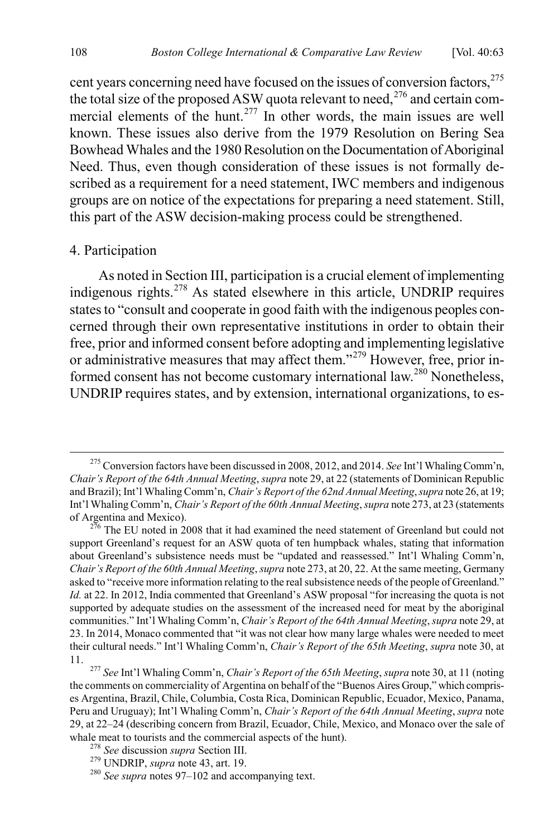cent years concerning need have focused on the issues of conversion factors,<sup>[275](#page-46-0)</sup> the total size of the proposed ASW quota relevant to need,<sup>[276](#page-46-1)</sup> and certain com-mercial elements of the hunt.<sup>[277](#page-46-2)</sup> In other words, the main issues are well known. These issues also derive from the 1979 Resolution on Bering Sea Bowhead Whales and the 1980 Resolution on the Documentation of Aboriginal Need. Thus, even though consideration of these issues is not formally described as a requirement for a need statement, IWC members and indigenous groups are on notice of the expectations for preparing a need statement. Still, this part of the ASW decision-making process could be strengthened.

#### 4. Participation

As noted in Section III, participation is a crucial element of implementing indigenous rights.[278](#page-46-3) As stated elsewhere in this article, UNDRIP requires states to "consult and cooperate in good faith with the indigenous peoples concerned through their own representative institutions in order to obtain their free, prior and informed consent before adopting and implementing legislative or administrative measures that may affect them."<sup>[279](#page-46-4)</sup> However, free, prior informed consent has not become customary international law.<sup>280</sup> Nonetheless, UNDRIP requires states, and by extension, international organizations, to es-

<span id="page-46-0"></span> <sup>275</sup> Conversion factors have been discussed in 2008, 2012, and 2014. *See* Int'l Whaling Comm'n, *Chair's Report of the 64th Annual Meeting*, *supra* not[e 29,](#page-6-9) at 22 (statements of Dominican Republic and Brazil); Int'l Whaling Comm'n, *Chair's Report of the 62nd Annual Meeting*, *supra* not[e 26,](#page-6-11) at 19; Int'l Whaling Comm'n, *Chair's Report of the 60th Annual Meeting*, *supra* not[e 273,](#page-45-5) at 23 (statements of Argentina and Mexico). <sup>276</sup> The EU noted in 2008 that it had examined the need statement of Greenland but could not

<span id="page-46-1"></span>support Greenland's request for an ASW quota of ten humpback whales, stating that information about Greenland's subsistence needs must be "updated and reassessed." Int'l Whaling Comm'n, *Chair's Report of the 60th Annual Meeting*, *supra* not[e 273,](#page-45-5) at 20, 22. At the same meeting, Germany asked to "receive more information relating to the real subsistence needs of the people of Greenland." *Id.* at 22. In 2012, India commented that Greenland's ASW proposal "for increasing the quota is not supported by adequate studies on the assessment of the increased need for meat by the aboriginal communities." Int'l Whaling Comm'n, *Chair's Report of the 64th Annual Meeting*, *supra* not[e 29,](#page-6-9) at 23. In 2014, Monaco commented that "it was not clear how many large whales were needed to meet their cultural needs." Int'l Whaling Comm'n, *Chair's Report of the 65th Meeting*, *supra* not[e 30,](#page-6-10) at

<span id="page-46-2"></span><sup>11.</sup> <sup>277</sup> *See* Int'l Whaling Comm'n, *Chair's Report of the 65th Meeting*, *supra* not[e 30,](#page-6-10) at 11 (noting the comments on commerciality of Argentina on behalf of the "Buenos Aires Group," which comprises Argentina, Brazil, Chile, Columbia, Costa Rica, Dominican Republic, Ecuador, Mexico, Panama, Peru and Uruguay); Int'l Whaling Comm'n, *Chair's Report of the 64th Annual Meeting*, *supra* note [29,](#page-6-9) at 22–24 (describing concern from Brazil, Ecuador, Chile, Mexico, and Monaco over the sale of whale meat to tourists and the commercial aspects of the hunt).<br><sup>278</sup> *See* discussion *supra* Section III.<br><sup>279</sup> UNDRIP, *supra* not[e 43,](#page-9-9) art. 19.<br><sup>280</sup> *See supra* note[s 97](#page-17-7)[–102](#page-18-7) and accompanying text.

<span id="page-46-3"></span>

<span id="page-46-5"></span><span id="page-46-4"></span>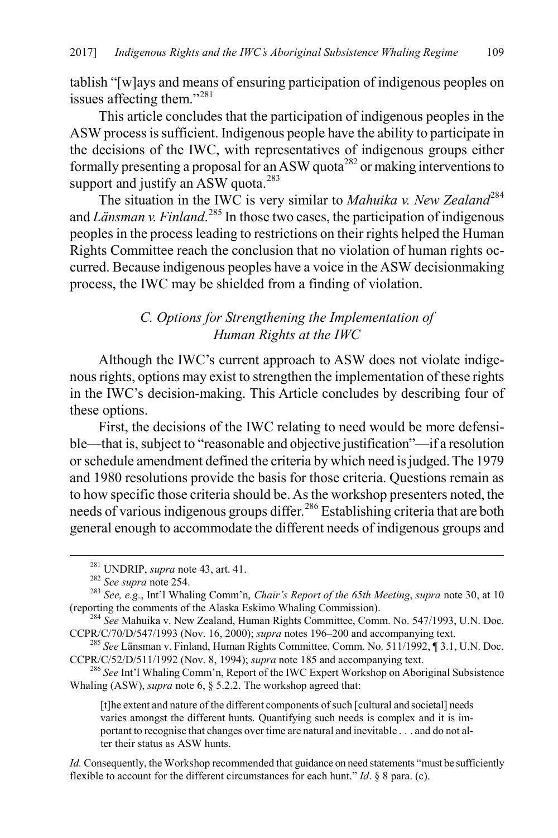tablish "[w]ays and means of ensuring participation of indigenous peoples on issues affecting them."[281](#page-47-0)

This article concludes that the participation of indigenous peoples in the ASW process is sufficient. Indigenous people have the ability to participate in the decisions of the IWC, with representatives of indigenous groups either formally presenting a proposal for an ASW quota<sup>[282](#page-47-1)</sup> or making interventions to support and justify an  $\overline{ASW}$  quota.<sup>283</sup>

The situation in the IWC is very similar to *Mahuika v. New Zealand*<sup>[284](#page-47-3)</sup> and *Länsman v. Finland*.<sup>[285](#page-47-4)</sup> In those two cases, the participation of indigenous peoples in the process leading to restrictions on their rights helped the Human Rights Committee reach the conclusion that no violation of human rights occurred. Because indigenous peoples have a voice in the ASW decisionmaking process, the IWC may be shielded from a finding of violation.

# *C. Options for Strengthening the Implementation of Human Rights at the IWC*

Although the IWC's current approach to ASW does not violate indigenous rights, options may exist to strengthen the implementation of these rights in the IWC's decision-making. This Article concludes by describing four of these options.

First, the decisions of the IWC relating to need would be more defensible—that is, subject to "reasonable and objective justification"—if a resolution or schedule amendment defined the criteria by which need is judged. The 1979 and 1980 resolutions provide the basis for those criteria. Questions remain as to how specific those criteria should be. As the workshop presenters noted, the needs of various indigenous groups differ.<sup>[286](#page-47-5)</sup> Establishing criteria that are both general enough to accommodate the different needs of indigenous groups and

[t]he extent and nature of the different components of such [cultural and societal] needs varies amongst the different hunts. Quantifying such needs is complex and it is important to recognise that changes over time are natural and inevitable . . . and do not alter their status as ASW hunts.

*Id.* Consequently, the Workshop recommended that guidance on need statements "must be sufficiently flexible to account for the different circumstances for each hunt." *Id*. § 8 para. (c).

<span id="page-47-2"></span><span id="page-47-1"></span><span id="page-47-0"></span><sup>&</sup>lt;sup>281</sup> UNDRIP, *supra* not[e 43,](#page-9-9) art. 41.<br><sup>282</sup> *See supra* not[e 254.](#page-42-7)<br><sup>283</sup> *See, e.g.*, Int'l Whaling Comm'n, *Chair's Report of the 65th Meeting*, *supra* not[e 30,](#page-6-10) at 10<br>(reporting the comments of the Alaska Eskimo Whaling

<span id="page-47-3"></span><sup>&</sup>lt;sup>284</sup> See Mahuika v. New Zealand, Human Rights Committee, Comm. No. 547/1993, U.N. Doc. CCPR/C/70/D/547/1993 (Nov. 16, 2000); *supra* note[s 196](#page-31-6)[–200](#page-31-7) and accompanying text. <sup>285</sup> *See* Länsman v. Finland, Human Rights Committee, Comm. No. 511/1992, ¶ 3.1, U.N. Doc.

<span id="page-47-4"></span>CCPR/C/52/D/511/1992 (Nov. 8, 1994); *supra* not[e 185](#page-29-13) and accompanying text. <sup>286</sup> *See* Int'l Whaling Comm'n, Report of the IWC Expert Workshop on Aboriginal Subsistence

<span id="page-47-5"></span>Whaling (ASW), *supra* not[e 6,](#page-2-7) § 5.2.2. The workshop agreed that: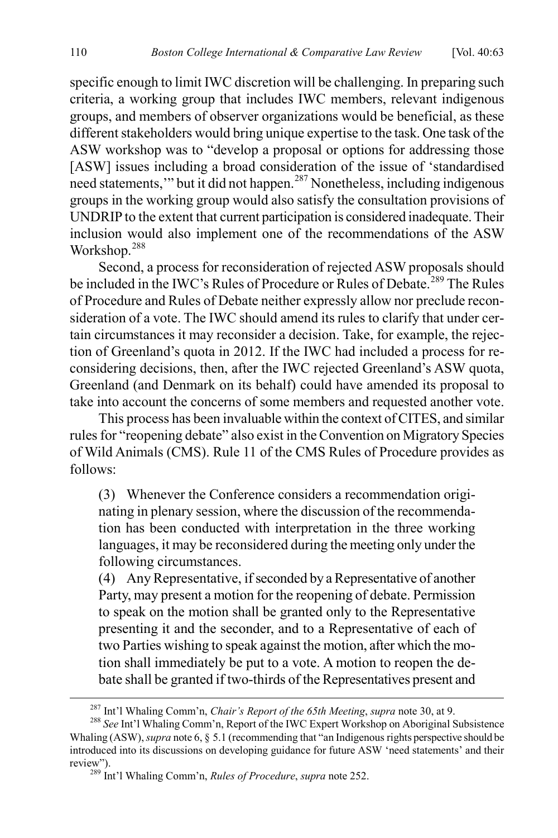specific enough to limit IWC discretion will be challenging. In preparing such criteria, a working group that includes IWC members, relevant indigenous groups, and members of observer organizations would be beneficial, as these different stakeholders would bring unique expertise to the task. One task of the ASW workshop was to "develop a proposal or options for addressing those [ASW] issues including a broad consideration of the issue of 'standardised need statements,'" but it did not happen.[287](#page-48-0) Nonetheless, including indigenous groups in the working group would also satisfy the consultation provisions of UNDRIP to the extent that current participation is considered inadequate. Their inclusion would also implement one of the recommendations of the ASW Workshop.<sup>[288](#page-48-1)</sup>

Second, a process for reconsideration of rejected ASW proposals should be included in the IWC's Rules of Procedure or Rules of Debate.<sup>[289](#page-48-2)</sup> The Rules of Procedure and Rules of Debate neither expressly allow nor preclude reconsideration of a vote. The IWC should amend its rules to clarify that under certain circumstances it may reconsider a decision. Take, for example, the rejection of Greenland's quota in 2012. If the IWC had included a process for reconsidering decisions, then, after the IWC rejected Greenland's ASW quota, Greenland (and Denmark on its behalf) could have amended its proposal to take into account the concerns of some members and requested another vote.

This process has been invaluable within the context of CITES, and similar rules for "reopening debate" also exist in the Convention on Migratory Species of Wild Animals (CMS). Rule 11 of the CMS Rules of Procedure provides as follows:

(3) Whenever the Conference considers a recommendation originating in plenary session, where the discussion of the recommendation has been conducted with interpretation in the three working languages, it may be reconsidered during the meeting only under the following circumstances.

(4) Any Representative, if seconded by a Representative of another Party, may present a motion for the reopening of debate. Permission to speak on the motion shall be granted only to the Representative presenting it and the seconder, and to a Representative of each of two Parties wishing to speak against the motion, after which the motion shall immediately be put to a vote. A motion to reopen the debate shall be granted if two-thirds of the Representatives present and

<span id="page-48-1"></span><span id="page-48-0"></span><sup>&</sup>lt;sup>287</sup> Int'l Whaling Comm'n, *Chair's Report of the 65th Meeting*, *supra* note [30,](#page-6-10) at 9.<br><sup>288</sup> *See* Int'l Whaling Comm'n, Report of the IWC Expert Workshop on Aboriginal Subsistence Whaling (ASW), *supra* not[e 6,](#page-2-7) § 5.1 (recommending that "an Indigenous rights perspective should be introduced into its discussions on developing guidance for future ASW 'need statements' and their review"). <sup>289</sup> Int'l Whaling Comm'n, *Rules of Procedure*, *supra* note [252.](#page-42-8) 

<span id="page-48-2"></span>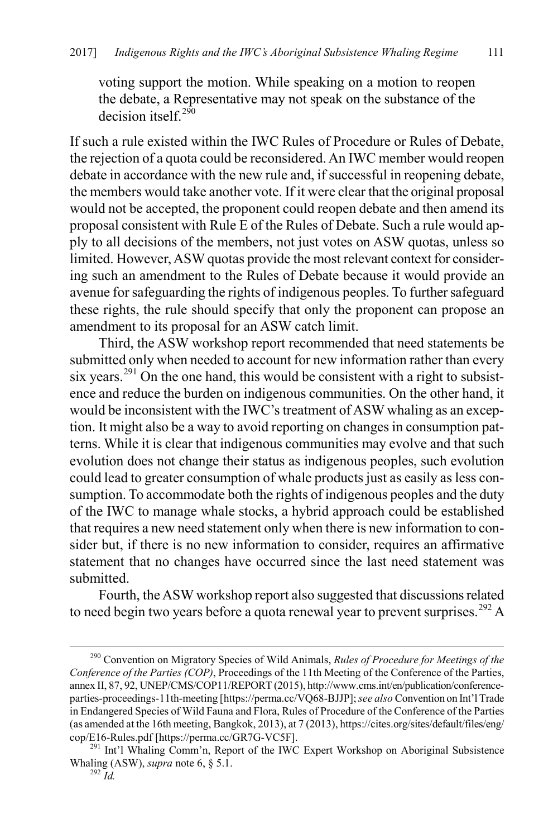voting support the motion. While speaking on a motion to reopen the debate, a Representative may not speak on the substance of the decision itself<sup>[290](#page-49-0)</sup>

If such a rule existed within the IWC Rules of Procedure or Rules of Debate, the rejection of a quota could be reconsidered. An IWC member would reopen debate in accordance with the new rule and, if successful in reopening debate, the members would take another vote. If it were clear that the original proposal would not be accepted, the proponent could reopen debate and then amend its proposal consistent with Rule E of the Rules of Debate. Such a rule would apply to all decisions of the members, not just votes on ASW quotas, unless so limited. However, ASW quotas provide the most relevant context for considering such an amendment to the Rules of Debate because it would provide an avenue forsafeguarding the rights of indigenous peoples. To further safeguard these rights, the rule should specify that only the proponent can propose an amendment to its proposal for an ASW catch limit.

Third, the ASW workshop report recommended that need statements be submitted only when needed to account for new information rather than every six years.<sup>[291](#page-49-1)</sup> On the one hand, this would be consistent with a right to subsistence and reduce the burden on indigenous communities. On the other hand, it would be inconsistent with the IWC's treatment of ASW whaling as an exception. It might also be a way to avoid reporting on changes in consumption patterns. While it is clear that indigenous communities may evolve and that such evolution does not change their status as indigenous peoples, such evolution could lead to greater consumption of whale products just as easily as less consumption. To accommodate both the rights of indigenous peoples and the duty of the IWC to manage whale stocks, a hybrid approach could be established that requires a new need statement only when there is new information to consider but, if there is no new information to consider, requires an affirmative statement that no changes have occurred since the last need statement was submitted.

Fourth, the ASW workshop report also suggested that discussions related to need begin two years before a quota renewal year to prevent surprises.<sup>[292](#page-49-2)</sup> A

<span id="page-49-0"></span> <sup>290</sup> Convention on Migratory Species of Wild Animals, *Rules of Procedure for Meetings of the Conference of the Parties (COP)*, Proceedings of the 11th Meeting of the Conference of the Parties, annex II, 87, 92, UNEP/CMS/COP11/REPORT (2015), http://www.cms.int/en/publication/conferenceparties-proceedings-11th-meeting [https://perma.cc/VQ68-BJJP]; *see also* Convention on Int'l Trade in Endangered Species of Wild Fauna and Flora, Rules of Procedure of the Conference of the Parties (as amended at the 16th meeting, Bangkok, 2013), at 7 (2013), https://cites.org/sites/default/files/eng/

<span id="page-49-2"></span><span id="page-49-1"></span><sup>&</sup>lt;sup>291</sup> Int'l Whaling Comm'n, Report of the IWC Expert Workshop on Aboriginal Subsistence Whaling (ASW), *supra* not[e 6,](#page-2-7) § 5.1.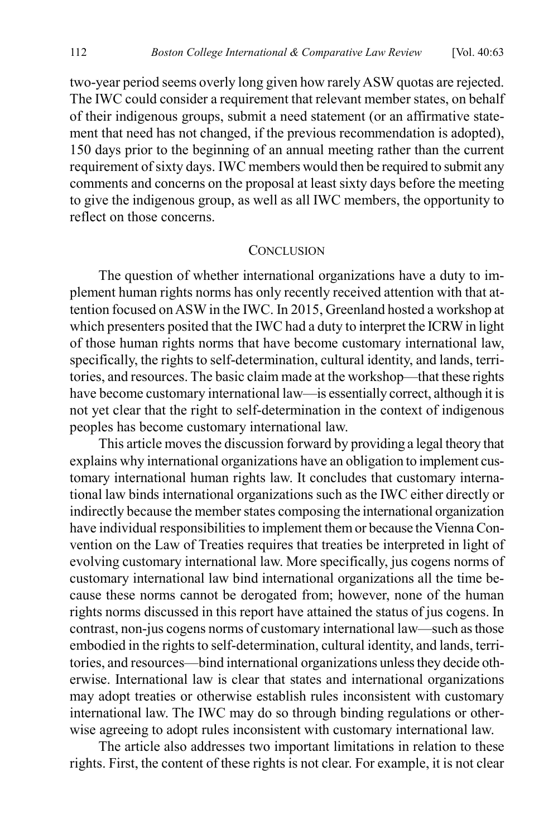two-year period seems overly long given how rarelyASW quotas are rejected. The IWC could consider a requirement that relevant member states, on behalf of their indigenous groups, submit a need statement (or an affirmative statement that need has not changed, if the previous recommendation is adopted), 150 days prior to the beginning of an annual meeting rather than the current requirement of sixty days. IWC members would then be required to submit any comments and concerns on the proposal at least sixty days before the meeting to give the indigenous group, as well as all IWC members, the opportunity to reflect on those concerns.

#### **CONCLUSION**

The question of whether international organizations have a duty to implement human rights norms has only recently received attention with that attention focused on ASW in the IWC. In 2015, Greenland hosted a workshop at which presenters posited that the IWC had a duty to interpret the ICRW in light of those human rights norms that have become customary international law, specifically, the rights to self-determination, cultural identity, and lands, territories, and resources. The basic claim made at the workshop—that these rights have become customary international law—is essentially correct, although it is not yet clear that the right to self-determination in the context of indigenous peoples has become customary international law.

This article moves the discussion forward by providing a legal theory that explains why international organizations have an obligation to implement customary international human rights law. It concludes that customary international law binds international organizations such as the IWC either directly or indirectly because the member states composing the international organization have individual responsibilities to implement them or because the Vienna Convention on the Law of Treaties requires that treaties be interpreted in light of evolving customary international law. More specifically, jus cogens norms of customary international law bind international organizations all the time because these norms cannot be derogated from; however, none of the human rights norms discussed in this report have attained the status of jus cogens. In contrast, non-jus cogens norms of customary international law—such as those embodied in the rights to self-determination, cultural identity, and lands, territories, and resources—bind international organizations unless they decide otherwise. International law is clear that states and international organizations may adopt treaties or otherwise establish rules inconsistent with customary international law. The IWC may do so through binding regulations or otherwise agreeing to adopt rules inconsistent with customary international law.

The article also addresses two important limitations in relation to these rights. First, the content of these rights is not clear. For example, it is not clear